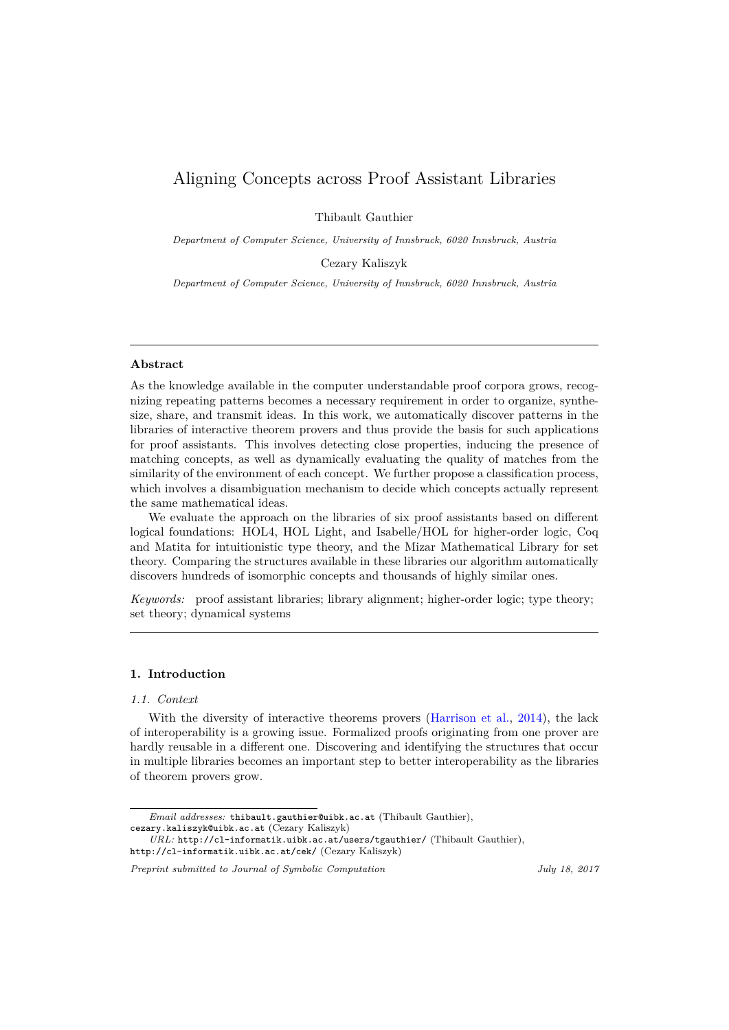# Aligning Concepts across Proof Assistant Libraries

Thibault Gauthier

*Department of Computer Science, University of Innsbruck, 6020 Innsbruck, Austria*

Cezary Kaliszyk

*Department of Computer Science, University of Innsbruck, 6020 Innsbruck, Austria*

# **Abstract**

As the knowledge available in the computer understandable proof corpora grows, recognizing repeating patterns becomes a necessary requirement in order to organize, synthesize, share, and transmit ideas. In this work, we automatically discover patterns in the libraries of interactive theorem provers and thus provide the basis for such applications for proof assistants. This involves detecting close properties, inducing the presence of matching concepts, as well as dynamically evaluating the quality of matches from the similarity of the environment of each concept. We further propose a classification process, which involves a disambiguation mechanism to decide which concepts actually represent the same mathematical ideas.

We evaluate the approach on the libraries of six proof assistants based on different logical foundations: HOL4, HOL Light, and Isabelle/HOL for higher-order logic, Coq and Matita for intuitionistic type theory, and the Mizar Mathematical Library for set theory. Comparing the structures available in these libraries our algorithm automatically discovers hundreds of isomorphic concepts and thousands of highly similar ones.

*Keywords:* proof assistant libraries; library alignment; higher-order logic; type theory; set theory; dynamical systems

# **1. Introduction**

### *1.1. Context*

With the diversity of interactive theorems provers [\(Harrison et al.,](#page-41-0) [2014\)](#page-41-0), the lack of interoperability is a growing issue. Formalized proofs originating from one prover are hardly reusable in a different one. Discovering and identifying the structures that occur in multiple libraries becomes an important step to better interoperability as the libraries of theorem provers grow.

*Email addresses:* thibault.gauthier@uibk.ac.at (Thibault Gauthier), cezary.kaliszyk@uibk.ac.at (Cezary Kaliszyk)

*URL:* http://cl-informatik.uibk.ac.at/users/tgauthier/ (Thibault Gauthier),

http://cl-informatik.uibk.ac.at/cek/ (Cezary Kaliszyk)

*Preprint submitted to Journal of Symbolic Computation* July 18, 2017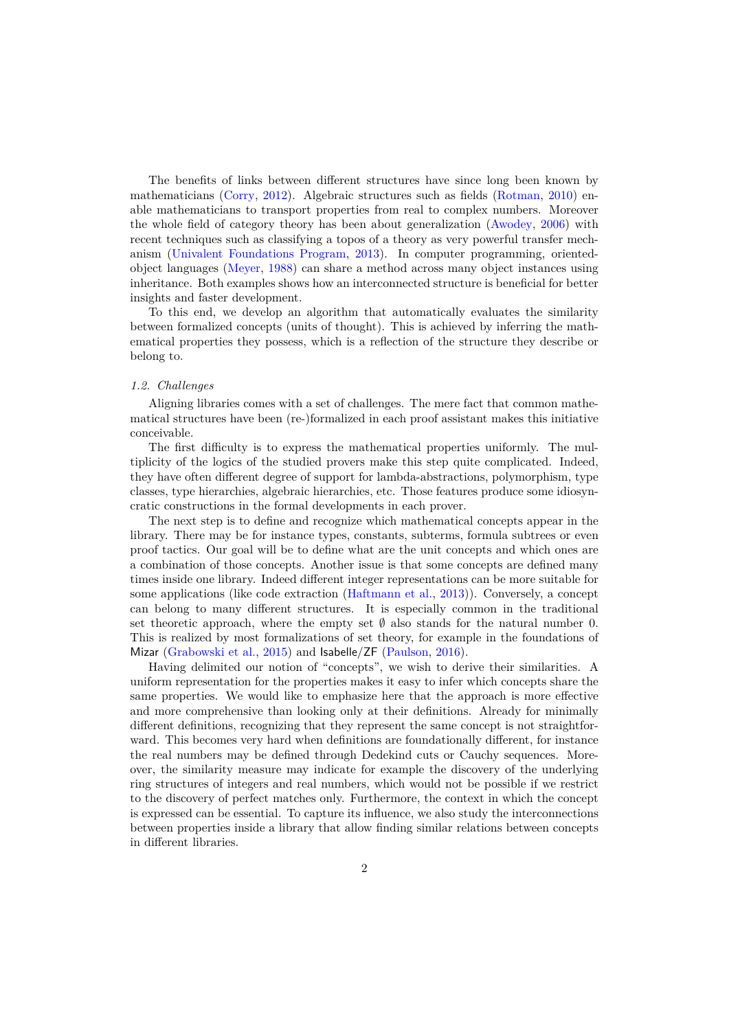The benefits of links between different structures have since long been known by mathematicians [\(Corry,](#page-41-1) [2012\)](#page-41-1). Algebraic structures such as fields [\(Rotman,](#page-43-0) [2010\)](#page-43-0) enable mathematicians to transport properties from real to complex numbers. Moreover the whole field of category theory has been about generalization [\(Awodey,](#page-40-0) [2006\)](#page-40-0) with recent techniques such as classifying a topos of a theory as very powerful transfer mechanism [\(Univalent Foundations Program,](#page-43-1) [2013\)](#page-43-1). In computer programming, orientedobject languages [\(Meyer,](#page-42-0) [1988\)](#page-42-0) can share a method across many object instances using inheritance. Both examples shows how an interconnected structure is beneficial for better insights and faster development.

To this end, we develop an algorithm that automatically evaluates the similarity between formalized concepts (units of thought). This is achieved by inferring the mathematical properties they possess, which is a reflection of the structure they describe or belong to.

# *1.2. Challenges*

Aligning libraries comes with a set of challenges. The mere fact that common mathematical structures have been (re-)formalized in each proof assistant makes this initiative conceivable.

The first difficulty is to express the mathematical properties uniformly. The multiplicity of the logics of the studied provers make this step quite complicated. Indeed, they have often different degree of support for lambda-abstractions, polymorphism, type classes, type hierarchies, algebraic hierarchies, etc. Those features produce some idiosyncratic constructions in the formal developments in each prover.

The next step is to define and recognize which mathematical concepts appear in the library. There may be for instance types, constants, subterms, formula subtrees or even proof tactics. Our goal will be to define what are the unit concepts and which ones are a combination of those concepts. Another issue is that some concepts are defined many times inside one library. Indeed different integer representations can be more suitable for some applications (like code extraction [\(Haftmann et al.,](#page-41-2) [2013\)](#page-41-2)). Conversely, a concept can belong to many different structures. It is especially common in the traditional set theoretic approach, where the empty set  $\emptyset$  also stands for the natural number 0. This is realized by most formalizations of set theory, for example in the foundations of Mizar [\(Grabowski et al.,](#page-41-3) [2015\)](#page-41-3) and Isabelle/ZF [\(Paulson,](#page-43-2) [2016\)](#page-43-2).

Having delimited our notion of "concepts", we wish to derive their similarities. A uniform representation for the properties makes it easy to infer which concepts share the same properties. We would like to emphasize here that the approach is more effective and more comprehensive than looking only at their definitions. Already for minimally different definitions, recognizing that they represent the same concept is not straightforward. This becomes very hard when definitions are foundationally different, for instance the real numbers may be defined through Dedekind cuts or Cauchy sequences. Moreover, the similarity measure may indicate for example the discovery of the underlying ring structures of integers and real numbers, which would not be possible if we restrict to the discovery of perfect matches only. Furthermore, the context in which the concept is expressed can be essential. To capture its influence, we also study the interconnections between properties inside a library that allow finding similar relations between concepts in different libraries.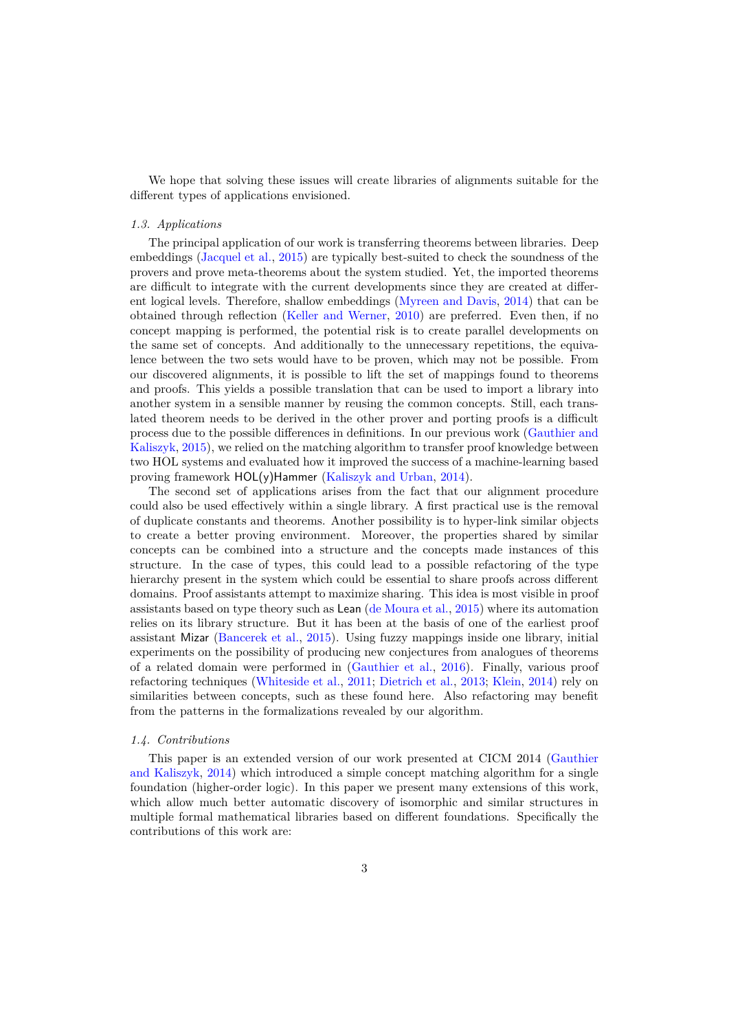We hope that solving these issues will create libraries of alignments suitable for the different types of applications envisioned.

### *1.3. Applications*

The principal application of our work is transferring theorems between libraries. Deep embeddings [\(Jacquel et al.,](#page-42-1) [2015\)](#page-42-1) are typically best-suited to check the soundness of the provers and prove meta-theorems about the system studied. Yet, the imported theorems are difficult to integrate with the current developments since they are created at different logical levels. Therefore, shallow embeddings [\(Myreen and Davis,](#page-42-2) [2014\)](#page-42-2) that can be obtained through reflection [\(Keller and Werner,](#page-42-3) [2010\)](#page-42-3) are preferred. Even then, if no concept mapping is performed, the potential risk is to create parallel developments on the same set of concepts. And additionally to the unnecessary repetitions, the equivalence between the two sets would have to be proven, which may not be possible. From our discovered alignments, it is possible to lift the set of mappings found to theorems and proofs. This yields a possible translation that can be used to import a library into another system in a sensible manner by reusing the common concepts. Still, each translated theorem needs to be derived in the other prover and porting proofs is a difficult process due to the possible differences in definitions. In our previous work [\(Gauthier and](#page-41-4) [Kaliszyk,](#page-41-4) [2015\)](#page-41-4), we relied on the matching algorithm to transfer proof knowledge between two HOL systems and evaluated how it improved the success of a machine-learning based proving framework HOL(y)Hammer [\(Kaliszyk and Urban,](#page-42-4) [2014\)](#page-42-4).

The second set of applications arises from the fact that our alignment procedure could also be used effectively within a single library. A first practical use is the removal of duplicate constants and theorems. Another possibility is to hyper-link similar objects to create a better proving environment. Moreover, the properties shared by similar concepts can be combined into a structure and the concepts made instances of this structure. In the case of types, this could lead to a possible refactoring of the type hierarchy present in the system which could be essential to share proofs across different domains. Proof assistants attempt to maximize sharing. This idea is most visible in proof assistants based on type theory such as Lean [\(de Moura et al.,](#page-41-5) [2015\)](#page-41-5) where its automation relies on its library structure. But it has been at the basis of one of the earliest proof assistant Mizar [\(Bancerek et al.,](#page-40-1) [2015\)](#page-40-1). Using fuzzy mappings inside one library, initial experiments on the possibility of producing new conjectures from analogues of theorems of a related domain were performed in [\(Gauthier et al.,](#page-41-6) [2016\)](#page-41-6). Finally, various proof refactoring techniques [\(Whiteside et al.,](#page-43-3) [2011;](#page-43-3) [Dietrich et al.,](#page-41-7) [2013;](#page-41-7) [Klein,](#page-42-5) [2014\)](#page-42-5) rely on similarities between concepts, such as these found here. Also refactoring may benefit from the patterns in the formalizations revealed by our algorithm.

### *1.4. Contributions*

This paper is an extended version of our work presented at CICM 2014 [\(Gauthier](#page-41-8) [and Kaliszyk,](#page-41-8) [2014\)](#page-41-8) which introduced a simple concept matching algorithm for a single foundation (higher-order logic). In this paper we present many extensions of this work, which allow much better automatic discovery of isomorphic and similar structures in multiple formal mathematical libraries based on different foundations. Specifically the contributions of this work are: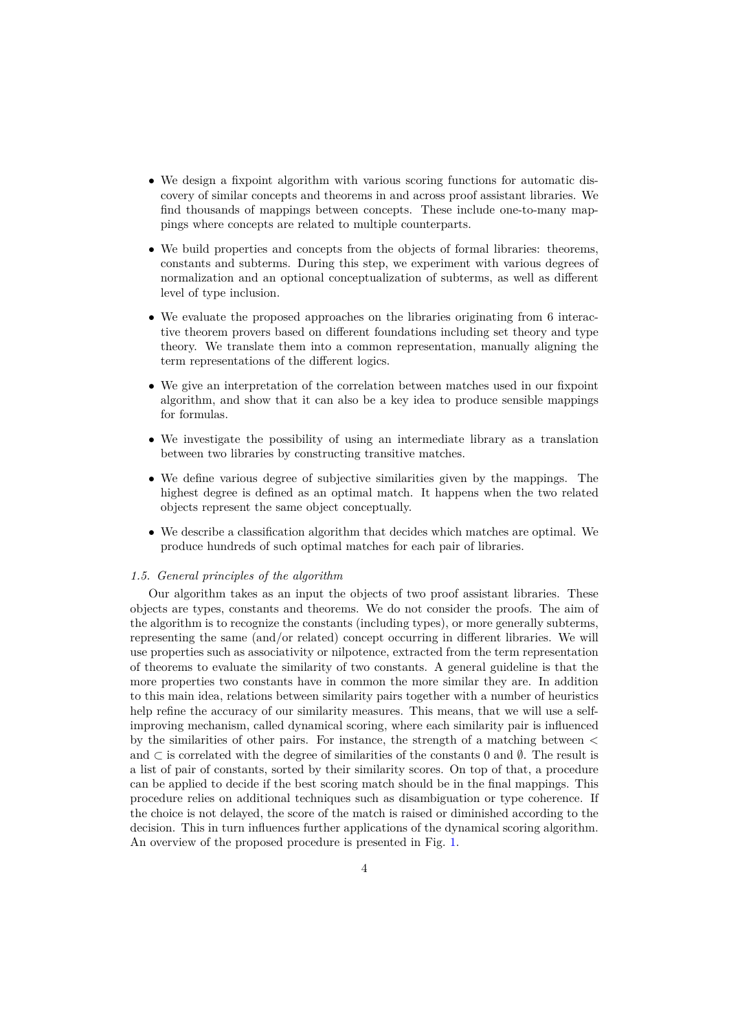- We design a fixpoint algorithm with various scoring functions for automatic discovery of similar concepts and theorems in and across proof assistant libraries. We find thousands of mappings between concepts. These include one-to-many mappings where concepts are related to multiple counterparts.
- We build properties and concepts from the objects of formal libraries: theorems, constants and subterms. During this step, we experiment with various degrees of normalization and an optional conceptualization of subterms, as well as different level of type inclusion.
- We evaluate the proposed approaches on the libraries originating from 6 interactive theorem provers based on different foundations including set theory and type theory. We translate them into a common representation, manually aligning the term representations of the different logics.
- We give an interpretation of the correlation between matches used in our fixpoint algorithm, and show that it can also be a key idea to produce sensible mappings for formulas.
- We investigate the possibility of using an intermediate library as a translation between two libraries by constructing transitive matches.
- We define various degree of subjective similarities given by the mappings. The highest degree is defined as an optimal match. It happens when the two related objects represent the same object conceptually.
- We describe a classification algorithm that decides which matches are optimal. We produce hundreds of such optimal matches for each pair of libraries.

# *1.5. General principles of the algorithm*

Our algorithm takes as an input the objects of two proof assistant libraries. These objects are types, constants and theorems. We do not consider the proofs. The aim of the algorithm is to recognize the constants (including types), or more generally subterms, representing the same (and/or related) concept occurring in different libraries. We will use properties such as associativity or nilpotence, extracted from the term representation of theorems to evaluate the similarity of two constants. A general guideline is that the more properties two constants have in common the more similar they are. In addition to this main idea, relations between similarity pairs together with a number of heuristics help refine the accuracy of our similarity measures. This means, that we will use a selfimproving mechanism, called dynamical scoring, where each similarity pair is influenced by the similarities of other pairs. For instance, the strength of a matching between *<* and  $\subset$  is correlated with the degree of similarities of the constants 0 and  $\emptyset$ . The result is a list of pair of constants, sorted by their similarity scores. On top of that, a procedure can be applied to decide if the best scoring match should be in the final mappings. This procedure relies on additional techniques such as disambiguation or type coherence. If the choice is not delayed, the score of the match is raised or diminished according to the decision. This in turn influences further applications of the dynamical scoring algorithm. An overview of the proposed procedure is presented in Fig. [1.](#page-4-0)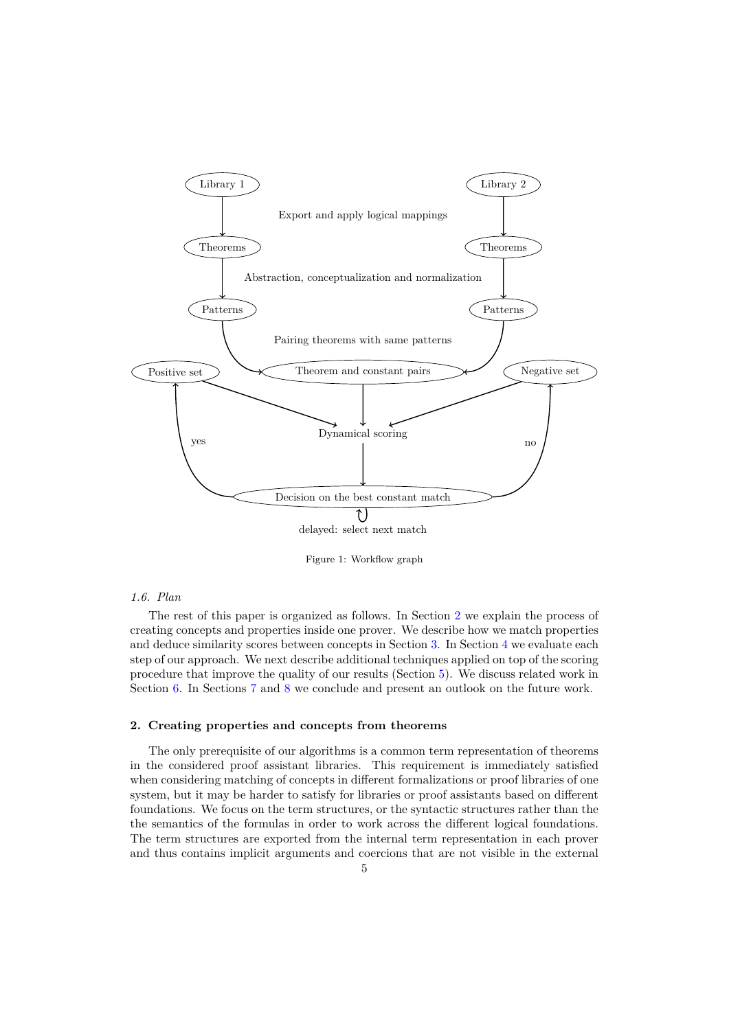

<span id="page-4-0"></span>Figure 1: Workflow graph

# *1.6. Plan*

The rest of this paper is organized as follows. In Section [2](#page-4-1) we explain the process of creating concepts and properties inside one prover. We describe how we match properties and deduce similarity scores between concepts in Section [3.](#page-10-0) In Section [4](#page-18-0) we evaluate each step of our approach. We next describe additional techniques applied on top of the scoring procedure that improve the quality of our results (Section [5\)](#page-30-0). We discuss related work in Section [6.](#page-38-0) In Sections [7](#page-39-0) and [8](#page-39-1) we conclude and present an outlook on the future work.

# <span id="page-4-1"></span>**2. Creating properties and concepts from theorems**

The only prerequisite of our algorithms is a common term representation of theorems in the considered proof assistant libraries. This requirement is immediately satisfied when considering matching of concepts in different formalizations or proof libraries of one system, but it may be harder to satisfy for libraries or proof assistants based on different foundations. We focus on the term structures, or the syntactic structures rather than the the semantics of the formulas in order to work across the different logical foundations. The term structures are exported from the internal term representation in each prover and thus contains implicit arguments and coercions that are not visible in the external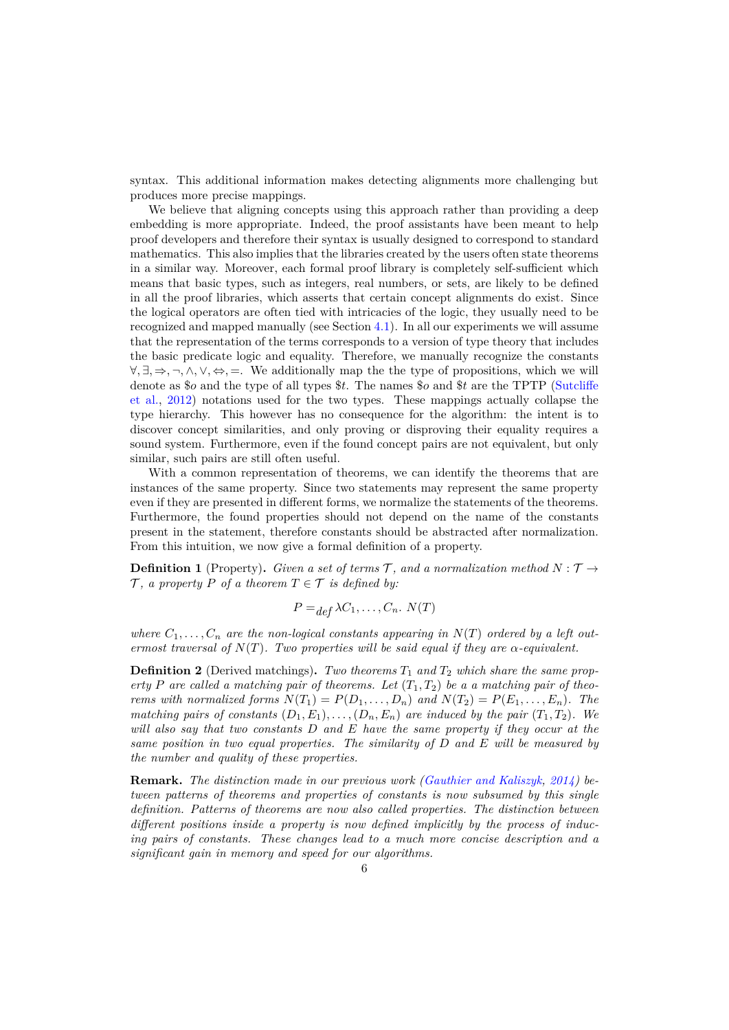syntax. This additional information makes detecting alignments more challenging but produces more precise mappings.

We believe that aligning concepts using this approach rather than providing a deep embedding is more appropriate. Indeed, the proof assistants have been meant to help proof developers and therefore their syntax is usually designed to correspond to standard mathematics. This also implies that the libraries created by the users often state theorems in a similar way. Moreover, each formal proof library is completely self-sufficient which means that basic types, such as integers, real numbers, or sets, are likely to be defined in all the proof libraries, which asserts that certain concept alignments do exist. Since the logical operators are often tied with intricacies of the logic, they usually need to be recognized and mapped manually (see Section [4.1\)](#page-18-1). In all our experiments we will assume that the representation of the terms corresponds to a version of type theory that includes the basic predicate logic and equality. Therefore, we manually recognize the constants ∀*,* ∃*,* ⇒*,* ¬*,* ∧*,* ∨*,* ⇔*,* =. We additionally map the the type of propositions, which we will denote as \$*o* and the type of all types \$*t*. The names \$*o* and \$*t* are the TPTP [\(Sutcliffe](#page-43-4) [et al.,](#page-43-4) [2012\)](#page-43-4) notations used for the two types. These mappings actually collapse the type hierarchy. This however has no consequence for the algorithm: the intent is to discover concept similarities, and only proving or disproving their equality requires a sound system. Furthermore, even if the found concept pairs are not equivalent, but only similar, such pairs are still often useful.

With a common representation of theorems, we can identify the theorems that are instances of the same property. Since two statements may represent the same property even if they are presented in different forms, we normalize the statements of the theorems. Furthermore, the found properties should not depend on the name of the constants present in the statement, therefore constants should be abstracted after normalization. From this intuition, we now give a formal definition of a property.

**Definition 1** (Property). Given a set of terms T, and a normalization method  $N : T \rightarrow$  $\mathcal{T}$ , a property P of a theorem  $T \in \mathcal{T}$  is defined by:

$$
P =_{def} \lambda C_1, \dots, C_n. N(T)
$$

where  $C_1, \ldots, C_n$  are the non-logical constants appearing in  $N(T)$  ordered by a left out*ermost traversal of N*(*T*)*. Two properties will be said equal if they are α-equivalent.*

**Definition 2** (Derived matchings). Two theorems  $T_1$  and  $T_2$  which share the same property P are called a matching pair of theorems. Let  $(T_1, T_2)$  be a a matching pair of theo*rems with normalized forms*  $N(T_1) = P(D_1, \ldots, D_n)$  *and*  $N(T_2) = P(E_1, \ldots, E_n)$ *. The matching pairs of constants*  $(D_1, E_1), \ldots, (D_n, E_n)$  *are induced by the pair*  $(T_1, T_2)$ *. We will also say that two constants D and E have the same property if they occur at the same position in two equal properties. The similarity of D and E will be measured by the number and quality of these properties.*

**Remark.** *The distinction made in our previous work [\(Gauthier and Kaliszyk,](#page-41-8) [2014\)](#page-41-8) between patterns of theorems and properties of constants is now subsumed by this single definition. Patterns of theorems are now also called properties. The distinction between different positions inside a property is now defined implicitly by the process of inducing pairs of constants. These changes lead to a much more concise description and a significant gain in memory and speed for our algorithms.*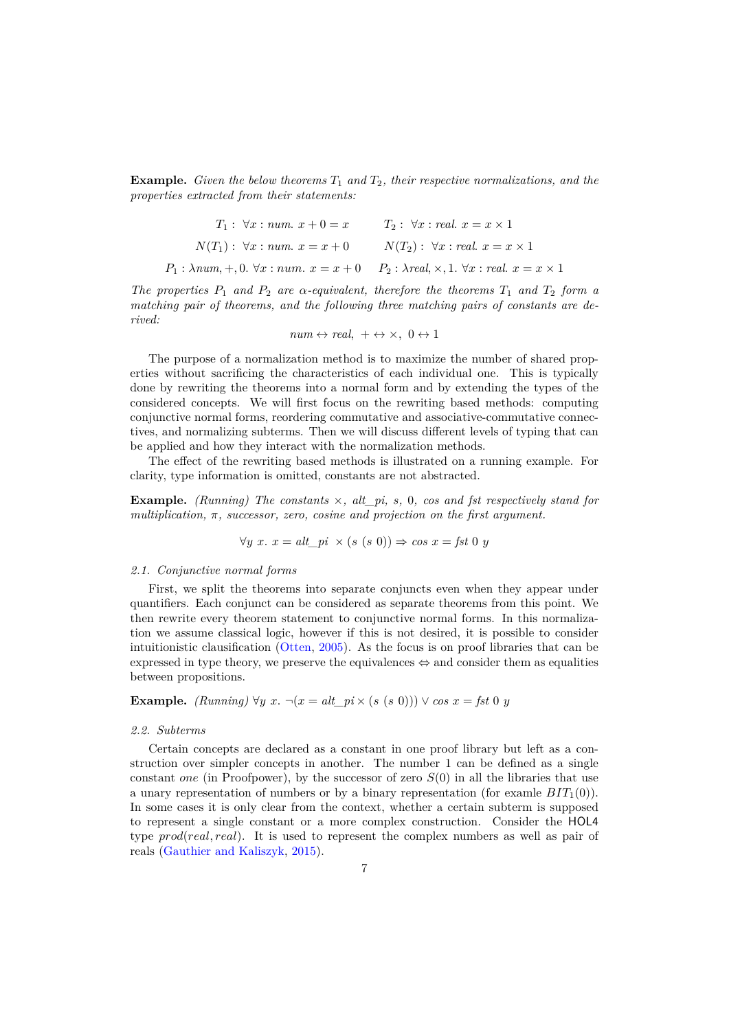**Example.** *Given the below theorems T*<sup>1</sup> *and T*2*, their respective normalizations, and the properties extracted from their statements:*

| $T_1: \forall x: num. x + 0 = x$                                                                                            | $T_2$ : $\forall x$ : real. $x = x \times 1$ |
|-----------------------------------------------------------------------------------------------------------------------------|----------------------------------------------|
| $N(T_1): \forall x: num. x = x+0$                                                                                           | $N(T_2): \forall x : real. x = x \times 1$   |
| $P_1: \lambda num, +, 0. \ \forall x: num. \ x = x + 0$ $P_2: \lambda real, \times, 1. \ \forall x: real. \ x = x \times 1$ |                                              |

*The properties*  $P_1$  *and*  $P_2$  *are*  $\alpha$ -equivalent, therefore the theorems  $T_1$  and  $T_2$  form a *matching pair of theorems, and the following three matching pairs of constants are derived:*

$$
num \leftrightarrow real, + \leftrightarrow \times, 0 \leftrightarrow 1
$$

The purpose of a normalization method is to maximize the number of shared properties without sacrificing the characteristics of each individual one. This is typically done by rewriting the theorems into a normal form and by extending the types of the considered concepts. We will first focus on the rewriting based methods: computing conjunctive normal forms, reordering commutative and associative-commutative connectives, and normalizing subterms. Then we will discuss different levels of typing that can be applied and how they interact with the normalization methods.

The effect of the rewriting based methods is illustrated on a running example. For clarity, type information is omitted, constants are not abstracted.

**Example.** *(Running) The constants* ×*, alt\_pi, s,* 0*, cos and fst respectively stand for multiplication, π, successor, zero, cosine and projection on the first argument.*

$$
\forall y \ x. \ x = alt\_pi \times (s (s 0)) \Rightarrow cos x = fst 0 y
$$

# *2.1. Conjunctive normal forms*

First, we split the theorems into separate conjuncts even when they appear under quantifiers. Each conjunct can be considered as separate theorems from this point. We then rewrite every theorem statement to conjunctive normal forms. In this normalization we assume classical logic, however if this is not desired, it is possible to consider intuitionistic clausification [\(Otten,](#page-42-6) [2005\)](#page-42-6). As the focus is on proof libraries that can be expressed in type theory, we preserve the equivalences  $\Leftrightarrow$  and consider them as equalities between propositions.

**Example.** *(Running)*  $\forall y \ x$ .  $\neg(x = alt\_pi \times (s (s 0))) \lor \cos x = \text{fst } 0 \ y$ 

# *2.2. Subterms*

Certain concepts are declared as a constant in one proof library but left as a construction over simpler concepts in another. The number 1 can be defined as a single constant *one* (in Proofpower), by the successor of zero  $S(0)$  in all the libraries that use a unary representation of numbers or by a binary representation (for examle  $BIT<sub>1</sub>(0)$ ). In some cases it is only clear from the context, whether a certain subterm is supposed to represent a single constant or a more complex construction. Consider the HOL4 type *prod*(*real, real*). It is used to represent the complex numbers as well as pair of reals [\(Gauthier and Kaliszyk,](#page-41-4) [2015\)](#page-41-4).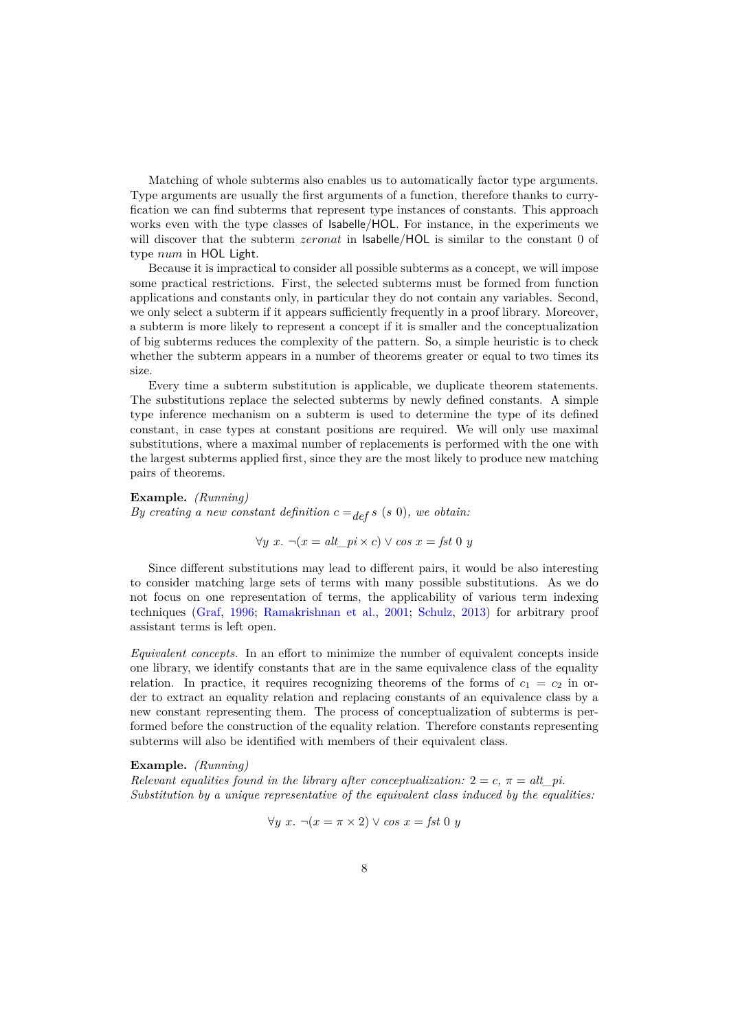Matching of whole subterms also enables us to automatically factor type arguments. Type arguments are usually the first arguments of a function, therefore thanks to curryfication we can find subterms that represent type instances of constants. This approach works even with the type classes of Isabelle/HOL. For instance, in the experiments we will discover that the subterm *zeronat* in **Isabelle/HOL** is similar to the constant 0 of type *num* in HOL Light.

Because it is impractical to consider all possible subterms as a concept, we will impose some practical restrictions. First, the selected subterms must be formed from function applications and constants only, in particular they do not contain any variables. Second, we only select a subterm if it appears sufficiently frequently in a proof library. Moreover, a subterm is more likely to represent a concept if it is smaller and the conceptualization of big subterms reduces the complexity of the pattern. So, a simple heuristic is to check whether the subterm appears in a number of theorems greater or equal to two times its size.

Every time a subterm substitution is applicable, we duplicate theorem statements. The substitutions replace the selected subterms by newly defined constants. A simple type inference mechanism on a subterm is used to determine the type of its defined constant, in case types at constant positions are required. We will only use maximal substitutions, where a maximal number of replacements is performed with the one with the largest subterms applied first, since they are the most likely to produce new matching pairs of theorems.

#### **Example.** *(Running)*

*By creating a new constant definition*  $c =_{def} s$  (*s* 0)*, we obtain:* 

$$
\forall y \ x. \ \neg(x = alt\_pi \times c) \lor \cos x = fst \ 0 \ y
$$

Since different substitutions may lead to different pairs, it would be also interesting to consider matching large sets of terms with many possible substitutions. As we do not focus on one representation of terms, the applicability of various term indexing techniques [\(Graf,](#page-41-9) [1996;](#page-41-9) [Ramakrishnan et al.,](#page-43-5) [2001;](#page-43-5) [Schulz,](#page-43-6) [2013\)](#page-43-6) for arbitrary proof assistant terms is left open.

*Equivalent concepts.* In an effort to minimize the number of equivalent concepts inside one library, we identify constants that are in the same equivalence class of the equality relation. In practice, it requires recognizing theorems of the forms of  $c_1 = c_2$  in order to extract an equality relation and replacing constants of an equivalence class by a new constant representing them. The process of conceptualization of subterms is performed before the construction of the equality relation. Therefore constants representing subterms will also be identified with members of their equivalent class.

# **Example.** *(Running)*

*Relevant equalities found in the library after conceptualization:*  $2 = c$ ,  $\pi = alt\_pi$ . *Substitution by a unique representative of the equivalent class induced by the equalities:*

$$
\forall y \ x. \ \neg(x = \pi \times 2) \lor \cos x = \text{fst } 0 \ y
$$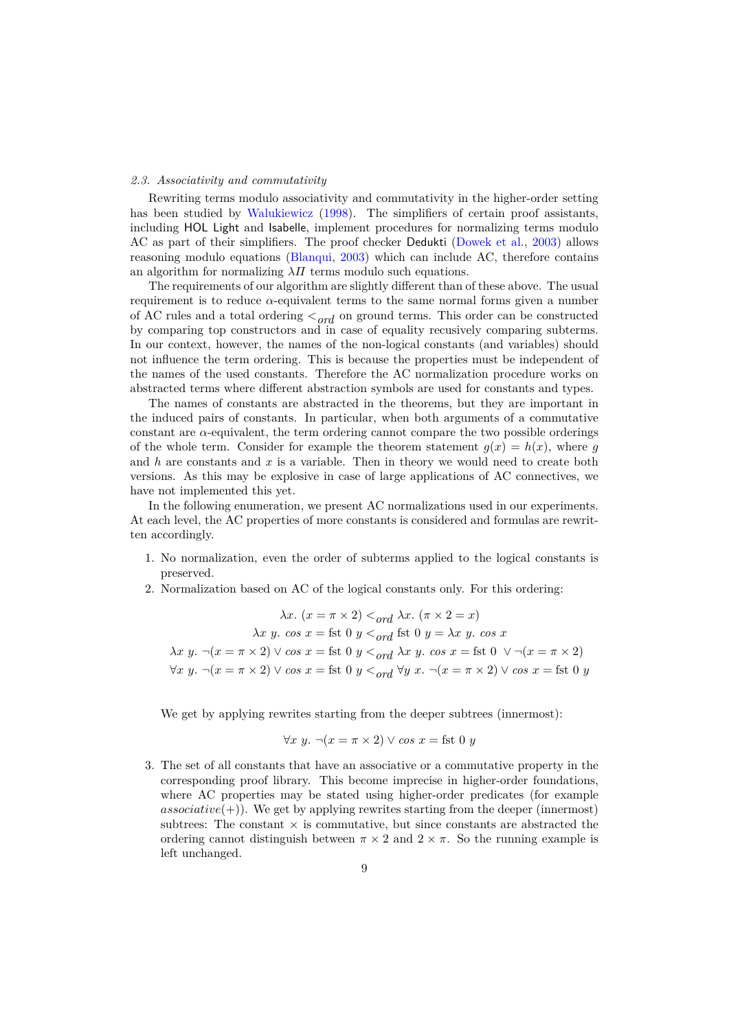#### *2.3. Associativity and commutativity*

Rewriting terms modulo associativity and commutativity in the higher-order setting has been studied by [Walukiewicz](#page-43-7) [\(1998\)](#page-43-7). The simplifiers of certain proof assistants, including HOL Light and Isabelle, implement procedures for normalizing terms modulo AC as part of their simplifiers. The proof checker Dedukti [\(Dowek et al.,](#page-41-10) [2003\)](#page-41-10) allows reasoning modulo equations [\(Blanqui,](#page-40-2) [2003\)](#page-40-2) which can include AC, therefore contains an algorithm for normalizing  $\lambda \Pi$  terms modulo such equations.

The requirements of our algorithm are slightly different than of these above. The usual requirement is to reduce *α*-equivalent terms to the same normal forms given a number of AC rules and a total ordering *<ord* on ground terms. This order can be constructed by comparing top constructors and in case of equality recusively comparing subterms. In our context, however, the names of the non-logical constants (and variables) should not influence the term ordering. This is because the properties must be independent of the names of the used constants. Therefore the AC normalization procedure works on abstracted terms where different abstraction symbols are used for constants and types.

The names of constants are abstracted in the theorems, but they are important in the induced pairs of constants. In particular, when both arguments of a commutative constant are  $\alpha$ -equivalent, the term ordering cannot compare the two possible orderings of the whole term. Consider for example the theorem statement  $g(x) = h(x)$ , where *g* and *h* are constants and *x* is a variable. Then in theory we would need to create both versions. As this may be explosive in case of large applications of AC connectives, we have not implemented this yet.

In the following enumeration, we present AC normalizations used in our experiments. At each level, the AC properties of more constants is considered and formulas are rewritten accordingly.

- 1. No normalization, even the order of subterms applied to the logical constants is preserved.
- 2. Normalization based on AC of the logical constants only. For this ordering:

*λx.*  $(x = π × 2) <$ <sub>*ord</sub>*  $\lambda x$ .  $(π × 2 = x)$ </sub> *λx y. cos*  $x =$  fst 0  $y <_{ord}$  fst 0  $y = \lambda x$  y. *cos x λx y.*  $\neg(x = π × 2) ∨ cos x = \text{fst } 0$  *y*  $\lt_{ord}$  *λx y. cos x* = fst 0  $\lor \neg(x = π × 2)$ ∀*x y.* ¬(*x* = *π* × 2) ∨ *cos x* = fst 0 *y <ord* ∀*y x.* ¬(*x* = *π* × 2) ∨ *cos x* = fst 0 *y*

We get by applying rewrites starting from the deeper subtrees (innermost):

$$
\forall x \ y. \ \neg(x = \pi \times 2) \lor \cos x = \text{fst } 0 \ y
$$

3. The set of all constants that have an associative or a commutative property in the corresponding proof library. This become imprecise in higher-order foundations, where AC properties may be stated using higher-order predicates (for example  $associative(+)$ . We get by applying rewrites starting from the deeper (innermost) subtrees: The constant  $\times$  is commutative, but since constants are abstracted the ordering cannot distinguish between  $\pi \times 2$  and  $2 \times \pi$ . So the running example is left unchanged.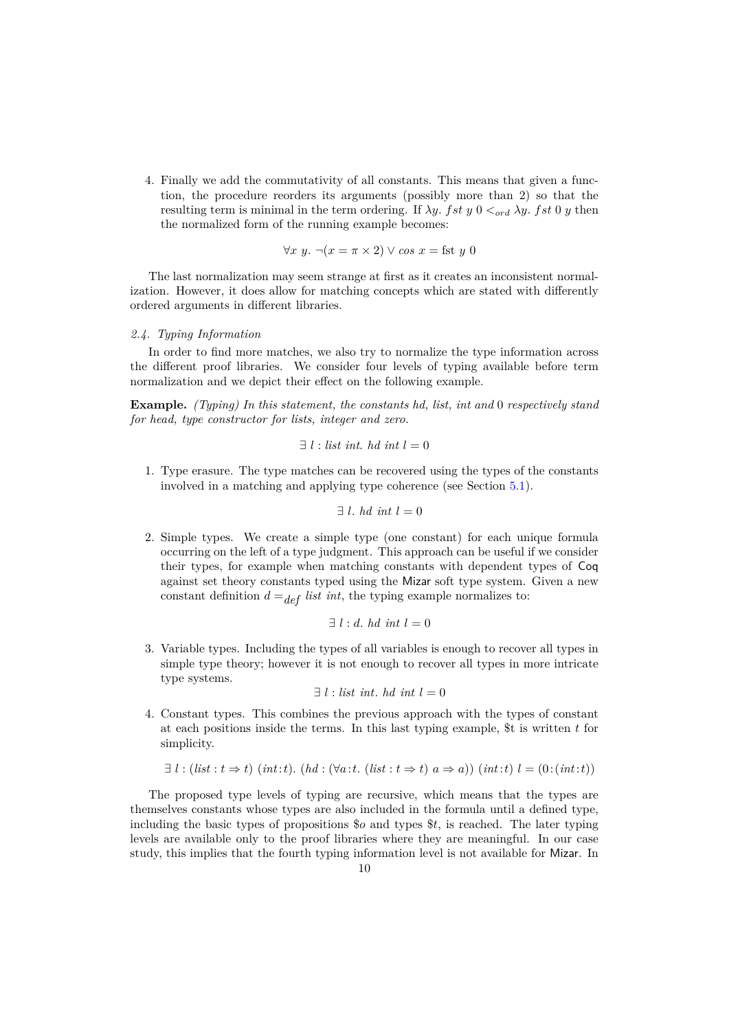4. Finally we add the commutativity of all constants. This means that given a function, the procedure reorders its arguments (possibly more than 2) so that the resulting term is minimal in the term ordering. If  $\lambda y$ . fst y 0  $\lt_{ord} \lambda y$ . fst 0 y then the normalized form of the running example becomes:

$$
\forall x \ y. \ \neg(x = \pi \times 2) \lor \cos x = \text{fst } y \ 0
$$

The last normalization may seem strange at first as it creates an inconsistent normalization. However, it does allow for matching concepts which are stated with differently ordered arguments in different libraries.

#### *2.4. Typing Information*

In order to find more matches, we also try to normalize the type information across the different proof libraries. We consider four levels of typing available before term normalization and we depict their effect on the following example.

**Example.** *(Typing) In this statement, the constants hd, list, int and* 0 *respectively stand for head, type constructor for lists, integer and zero.*

$$
\exists l: list \ int. \ hd \ int \ l = 0
$$

1. Type erasure. The type matches can be recovered using the types of the constants involved in a matching and applying type coherence (see Section [5.1\)](#page-32-0).

$$
\exists l. hd \ int l = 0
$$

2. Simple types. We create a simple type (one constant) for each unique formula occurring on the left of a type judgment. This approach can be useful if we consider their types, for example when matching constants with dependent types of Coq against set theory constants typed using the Mizar soft type system. Given a new constant definition  $d =_{def}$  *list int*, the typing example normalizes to:

$$
\exists l : d. hd \; int \; l = 0
$$

3. Variable types. Including the types of all variables is enough to recover all types in simple type theory; however it is not enough to recover all types in more intricate type systems.

$$
\exists l: list \ int. \ hd \ int \ l = 0
$$

4. Constant types. This combines the previous approach with the types of constant at each positions inside the terms. In this last typing example, \$t is written *t* for simplicity.

$$
\exists l : (list : t \Rightarrow t) (int : t). (hd : (\forall a : t. (list : t \Rightarrow t) a \Rightarrow a)) (int : t) l = (0 : (int : t))
$$

The proposed type levels of typing are recursive, which means that the types are themselves constants whose types are also included in the formula until a defined type, including the basic types of propositions \$*o* and types \$*t*, is reached. The later typing levels are available only to the proof libraries where they are meaningful. In our case study, this implies that the fourth typing information level is not available for Mizar. In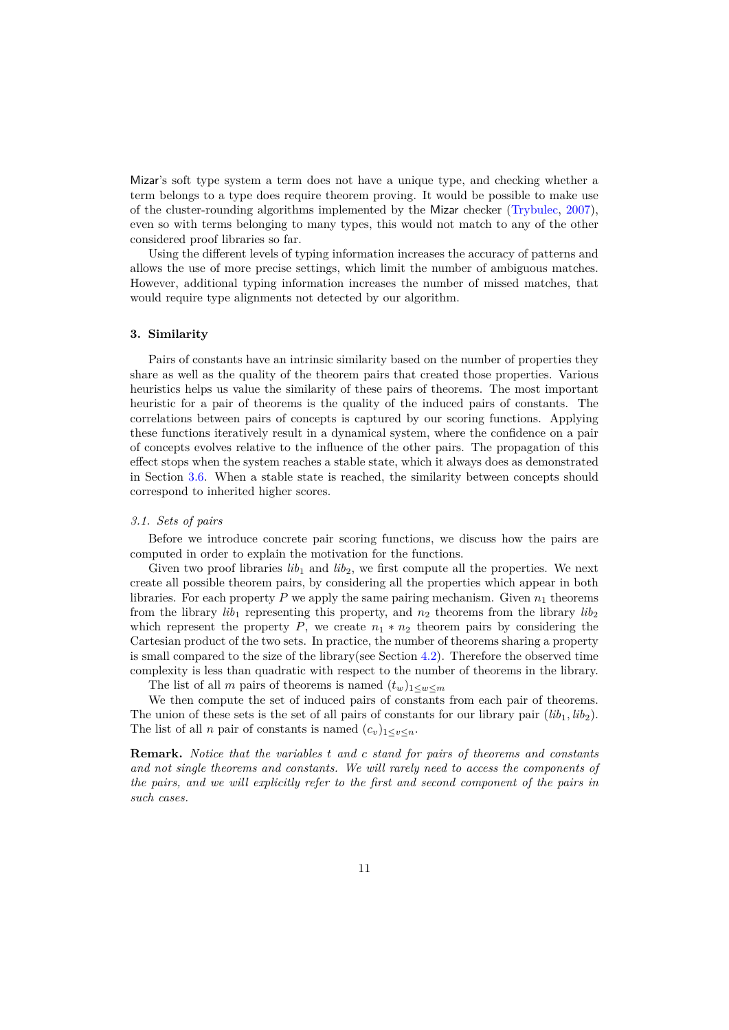Mizar's soft type system a term does not have a unique type, and checking whether a term belongs to a type does require theorem proving. It would be possible to make use of the cluster-rounding algorithms implemented by the Mizar checker [\(Trybulec,](#page-43-8) [2007\)](#page-43-8), even so with terms belonging to many types, this would not match to any of the other considered proof libraries so far.

Using the different levels of typing information increases the accuracy of patterns and allows the use of more precise settings, which limit the number of ambiguous matches. However, additional typing information increases the number of missed matches, that would require type alignments not detected by our algorithm.

# <span id="page-10-0"></span>**3. Similarity**

Pairs of constants have an intrinsic similarity based on the number of properties they share as well as the quality of the theorem pairs that created those properties. Various heuristics helps us value the similarity of these pairs of theorems. The most important heuristic for a pair of theorems is the quality of the induced pairs of constants. The correlations between pairs of concepts is captured by our scoring functions. Applying these functions iteratively result in a dynamical system, where the confidence on a pair of concepts evolves relative to the influence of the other pairs. The propagation of this effect stops when the system reaches a stable state, which it always does as demonstrated in Section [3.6.](#page-14-0) When a stable state is reached, the similarity between concepts should correspond to inherited higher scores.

### *3.1. Sets of pairs*

Before we introduce concrete pair scoring functions, we discuss how the pairs are computed in order to explain the motivation for the functions.

Given two proof libraries  $lib_1$  and  $lib_2$ , we first compute all the properties. We next create all possible theorem pairs, by considering all the properties which appear in both libraries. For each property  $P$  we apply the same pairing mechanism. Given  $n_1$  theorems from the library  $lib_1$  representing this property, and  $n_2$  theorems from the library  $li b_2$ which represent the property  $P$ , we create  $n_1 * n_2$  theorem pairs by considering the Cartesian product of the two sets. In practice, the number of theorems sharing a property is small compared to the size of the library(see Section [4.2\)](#page-20-0). Therefore the observed time complexity is less than quadratic with respect to the number of theorems in the library.

The list of all *m* pairs of theorems is named  $(t_w)_{1 \leq w \leq m}$ 

We then compute the set of induced pairs of constants from each pair of theorems. The union of these sets is the set of all pairs of constants for our library pair  $(lib<sub>1</sub>, lib<sub>2</sub>)$ . The list of all *n* pair of constants is named  $(c_v)_{1 \le v \le n}$ .

**Remark.** *Notice that the variables t and c stand for pairs of theorems and constants and not single theorems and constants. We will rarely need to access the components of the pairs, and we will explicitly refer to the first and second component of the pairs in such cases.*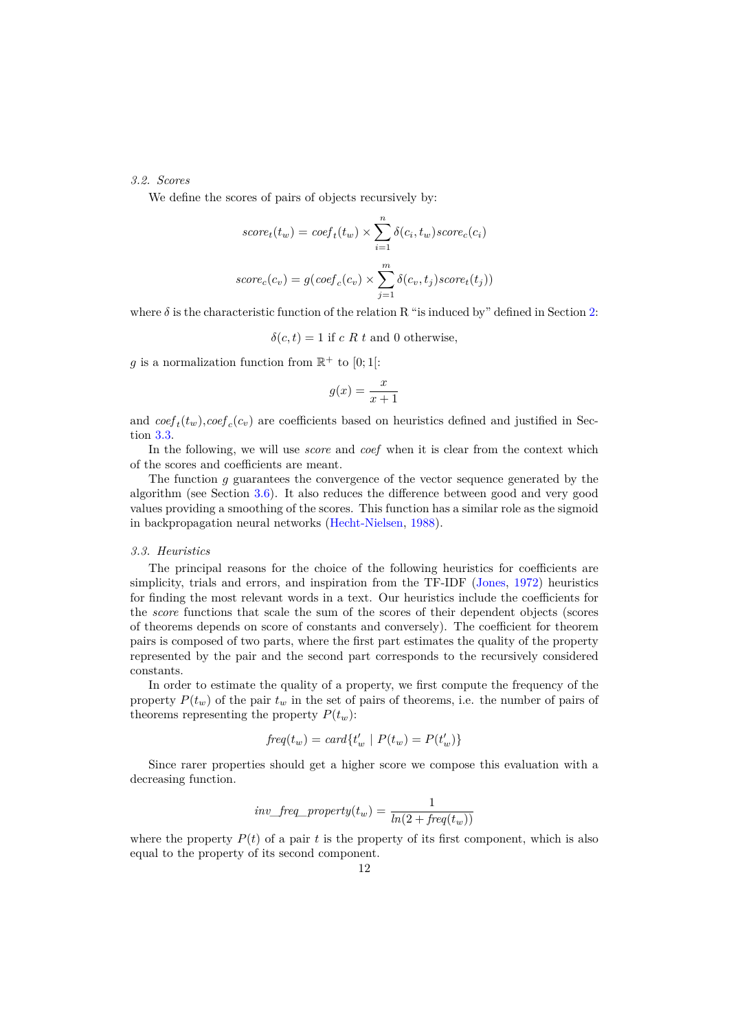# *3.2. Scores*

We define the scores of pairs of objects recursively by:

$$
score_t(t_w) = coef_t(t_w) \times \sum_{i=1}^{n} \delta(c_i, t_w) score_c(c_i)
$$

$$
score_c(c_v) = g(coef_c(c_v) \times \sum_{j=1}^{m} \delta(c_v, t_j) score_t(t_j))
$$

where  $\delta$  is the characteristic function of the relation R "is induced by" defined in Section [2:](#page-4-1)

 $\delta(c, t) = 1$  if *c R t* and 0 otherwise,

g is a normalization function from  $\mathbb{R}^+$  to [0; 1[:

$$
g(x) = \frac{x}{x+1}
$$

and  $\text{coeff}_t(t_w)$ ,  $\text{coeff}_c(c_v)$  are coefficients based on heuristics defined and justified in Section [3.3.](#page-11-0)

In the following, we will use *score* and *coef* when it is clear from the context which of the scores and coefficients are meant.

The function *g* guarantees the convergence of the vector sequence generated by the algorithm (see Section [3.6\)](#page-14-0). It also reduces the difference between good and very good values providing a smoothing of the scores. This function has a similar role as the sigmoid in backpropagation neural networks [\(Hecht-Nielsen,](#page-41-11) [1988\)](#page-41-11).

#### <span id="page-11-0"></span>*3.3. Heuristics*

The principal reasons for the choice of the following heuristics for coefficients are simplicity, trials and errors, and inspiration from the TF-IDF [\(Jones,](#page-42-7) [1972\)](#page-42-7) heuristics for finding the most relevant words in a text. Our heuristics include the coefficients for the *score* functions that scale the sum of the scores of their dependent objects (scores of theorems depends on score of constants and conversely). The coefficient for theorem pairs is composed of two parts, where the first part estimates the quality of the property represented by the pair and the second part corresponds to the recursively considered constants.

In order to estimate the quality of a property, we first compute the frequency of the property  $P(t_w)$  of the pair  $t_w$  in the set of pairs of theorems, i.e. the number of pairs of theorems representing the property  $P(t_w)$ :

$$
freq(t_w) = card{t'_w \mid P(t_w) = P(t'_w)}
$$

Since rarer properties should get a higher score we compose this evaluation with a decreasing function.

$$
inv\_freq\_property(t_w) = \frac{1}{ln(2 + freq(t_w))}
$$

where the property  $P(t)$  of a pair  $t$  is the property of its first component, which is also equal to the property of its second component.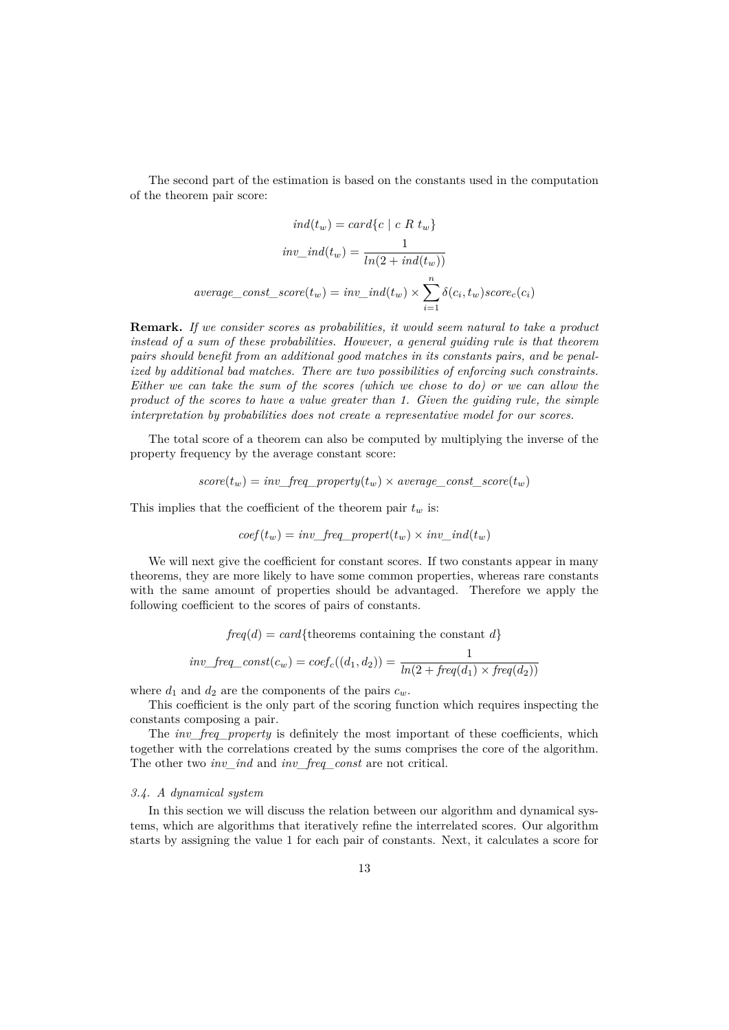The second part of the estimation is based on the constants used in the computation of the theorem pair score:

$$
ind(t_w) = card\{c \mid c \math R \ t_w\}
$$

$$
inv\_ind(t_w) = \frac{1}{ln(2 + ind(t_w))}
$$

$$
average\_const\_score(t_w) = inv\_ind(t_w) \times \sum_{i=1}^{n} \delta(c_i, t_w) score_c(c_i)
$$

**Remark.** *If we consider scores as probabilities, it would seem natural to take a product instead of a sum of these probabilities. However, a general guiding rule is that theorem pairs should benefit from an additional good matches in its constants pairs, and be penalized by additional bad matches. There are two possibilities of enforcing such constraints. Either we can take the sum of the scores (which we chose to do) or we can allow the product of the scores to have a value greater than 1. Given the guiding rule, the simple interpretation by probabilities does not create a representative model for our scores.*

The total score of a theorem can also be computed by multiplying the inverse of the property frequency by the average constant score:

$$
score(t_w) = inv\_freq\_property(t_w) \times average\_const\_score(t_w)
$$

This implies that the coefficient of the theorem pair  $t_w$  is:

$$
coeff(t_w) = inv\_freq\_property(t_w) \times inv\_ind(t_w)
$$

We will next give the coefficient for constant scores. If two constants appear in many theorems, they are more likely to have some common properties, whereas rare constants with the same amount of properties should be advantaged. Therefore we apply the following coefficient to the scores of pairs of constants.

$$
freq(d) = card{theorems containing the constant d}
$$
  
 
$$
inv\_freq\_const(c_w) = coef_c((d_1, d_2)) = \frac{1}{ln(2 + freq(d_1) \times freq(d_2))}
$$

where  $d_1$  and  $d_2$  are the components of the pairs  $c_w$ .

This coefficient is the only part of the scoring function which requires inspecting the constants composing a pair.

The *inv* freq property is definitely the most important of these coefficients, which together with the correlations created by the sums comprises the core of the algorithm. The other two *inv\_ind* and *inv\_freq\_const* are not critical.

# <span id="page-12-0"></span>*3.4. A dynamical system*

In this section we will discuss the relation between our algorithm and dynamical systems, which are algorithms that iteratively refine the interrelated scores. Our algorithm starts by assigning the value 1 for each pair of constants. Next, it calculates a score for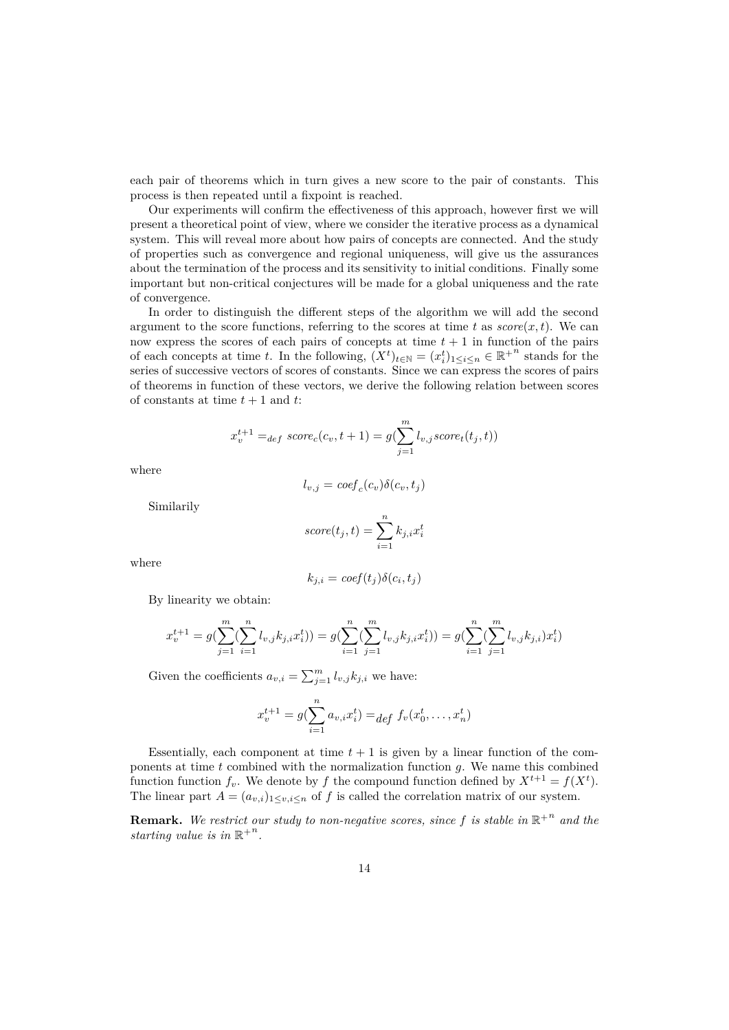each pair of theorems which in turn gives a new score to the pair of constants. This process is then repeated until a fixpoint is reached.

Our experiments will confirm the effectiveness of this approach, however first we will present a theoretical point of view, where we consider the iterative process as a dynamical system. This will reveal more about how pairs of concepts are connected. And the study of properties such as convergence and regional uniqueness, will give us the assurances about the termination of the process and its sensitivity to initial conditions. Finally some important but non-critical conjectures will be made for a global uniqueness and the rate of convergence.

In order to distinguish the different steps of the algorithm we will add the second argument to the score functions, referring to the scores at time  $t$  as  $score(x, t)$ . We can now express the scores of each pairs of concepts at time  $t + 1$  in function of the pairs of each concepts at time *t*. In the following,  $(X^t)_{t \in \mathbb{N}} = (x_i^t)_{1 \leq i \leq n} \in \mathbb{R}^{+^n}$  stands for the series of successive vectors of scores of constants. Since we can express the scores of pairs of theorems in function of these vectors, we derive the following relation between scores of constants at time  $t + 1$  and  $t$ :

$$
x_v^{t+1} =_{def} score_c(c_v, t+1) = g(\sum_{j=1}^m l_{v,j} score_t(t_j, t))
$$

where

$$
l_{v,j} = \text{coef}_c(c_v)\delta(c_v, t_j)
$$

Similarily

$$
score(t_j, t) = \sum_{i=1}^{n} k_{j,i} x_i^t
$$

where

$$
k_{j,i} = \text{coeff}(t_j) \delta(c_i, t_j)
$$

By linearity we obtain:

$$
x_v^{t+1} = g\left(\sum_{j=1}^m \left(\sum_{i=1}^n l_{v,j} k_{j,i} x_i^t\right)\right) = g\left(\sum_{i=1}^n \left(\sum_{j=1}^m l_{v,j} k_{j,i} x_i^t\right)\right) = g\left(\sum_{i=1}^n \left(\sum_{j=1}^m l_{v,j} k_{j,i}\right) x_i^t\right)
$$

Given the coefficients  $a_{v,i} = \sum_{j=1}^{m} l_{v,j} k_{j,i}$  we have:

$$
x_v^{t+1} = g(\sum_{i=1}^n a_{v,i} x_i^t) =_{def} f_v(x_0^t, \dots, x_n^t)
$$

Essentially, each component at time  $t + 1$  is given by a linear function of the components at time *t* combined with the normalization function *g*. We name this combined function function  $f_v$ . We denote by  $f$  the compound function defined by  $X^{t+1} = f(X^t)$ . The linear part  $A = (a_{v,i})_{1 \le v,i \le n}$  of *f* is called the correlation matrix of our system.

**Remark.** We restrict our study to non-negative scores, since f is stable in  $\mathbb{R}^{+n}$  and the *starting value is in*  $\mathbb{R}^+$ <sup>*n*</sup>.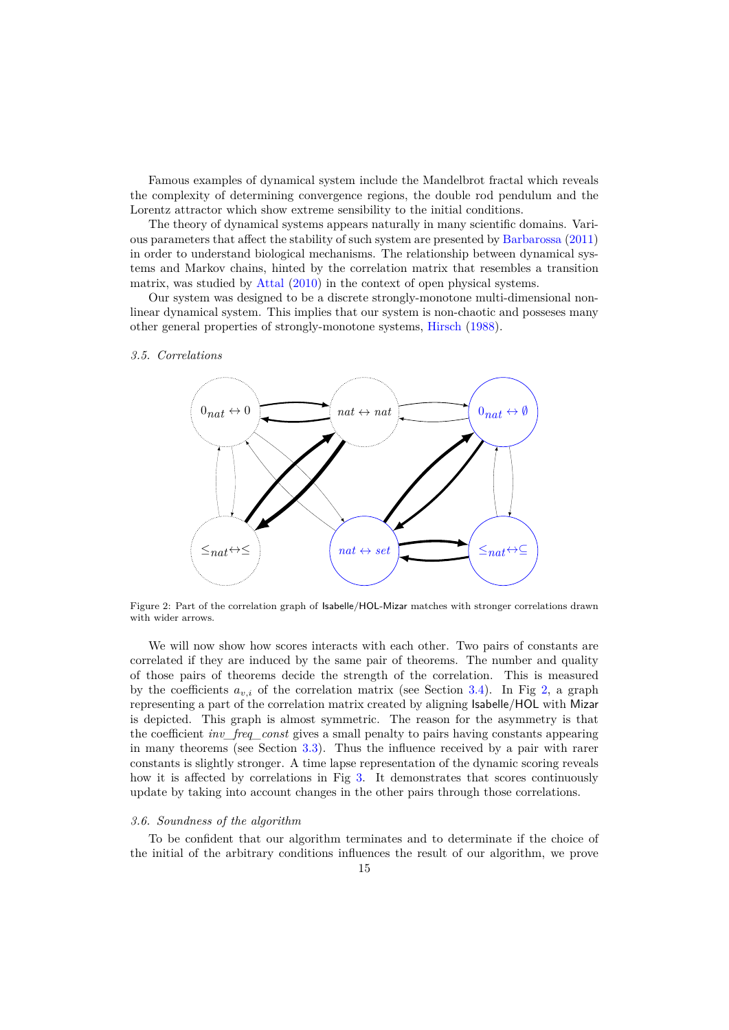Famous examples of dynamical system include the Mandelbrot fractal which reveals the complexity of determining convergence regions, the double rod pendulum and the Lorentz attractor which show extreme sensibility to the initial conditions.

The theory of dynamical systems appears naturally in many scientific domains. Various parameters that affect the stability of such system are presented by [Barbarossa](#page-40-3) [\(2011\)](#page-40-3) in order to understand biological mechanisms. The relationship between dynamical systems and Markov chains, hinted by the correlation matrix that resembles a transition matrix, was studied by [Attal](#page-40-4) [\(2010\)](#page-40-4) in the context of open physical systems.

Our system was designed to be a discrete strongly-monotone multi-dimensional nonlinear dynamical system. This implies that our system is non-chaotic and posseses many other general properties of strongly-monotone systems, [Hirsch](#page-42-8) [\(1988\)](#page-42-8).

# <span id="page-14-2"></span>*3.5. Correlations*



<span id="page-14-1"></span>Figure 2: Part of the correlation graph of Isabelle/HOL-Mizar matches with stronger correlations drawn with wider arrows.

We will now show how scores interacts with each other. Two pairs of constants are correlated if they are induced by the same pair of theorems. The number and quality of those pairs of theorems decide the strength of the correlation. This is measured by the coefficients  $a_{v,i}$  of the correlation matrix (see Section [3.4\)](#page-12-0). In Fig [2,](#page-14-1) a graph representing a part of the correlation matrix created by aligning Isabelle/HOL with Mizar is depicted. This graph is almost symmetric. The reason for the asymmetry is that the coefficient *inv\_freq\_const* gives a small penalty to pairs having constants appearing in many theorems (see Section [3.3\)](#page-11-0). Thus the influence received by a pair with rarer constants is slightly stronger. A time lapse representation of the dynamic scoring reveals how it is affected by correlations in Fig [3.](#page-15-0) It demonstrates that scores continuously update by taking into account changes in the other pairs through those correlations.

# <span id="page-14-0"></span>*3.6. Soundness of the algorithm*

To be confident that our algorithm terminates and to determinate if the choice of the initial of the arbitrary conditions influences the result of our algorithm, we prove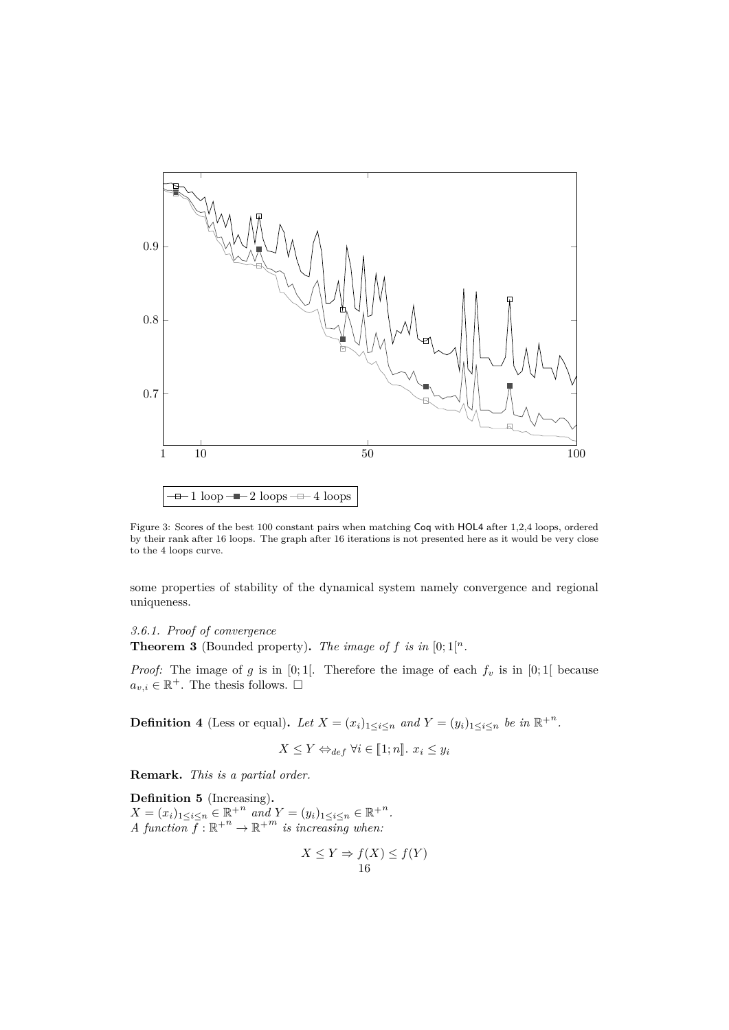

<span id="page-15-0"></span>Figure 3: Scores of the best 100 constant pairs when matching Coq with HOL4 after 1,2,4 loops, ordered by their rank after 16 loops. The graph after 16 iterations is not presented here as it would be very close to the 4 loops curve.

some properties of stability of the dynamical system namely convergence and regional uniqueness.

*3.6.1. Proof of convergence*

**Theorem 3** (Bounded property). The image of  $f$  is in  $[0;1]^n$ .

*Proof:* The image of *g* is in [0;1[. Therefore the image of each  $f_v$  is in [0;1] because  $a_{v,i} \in \mathbb{R}^+$ . The thesis follows.  $\square$ 

**Definition 4** (Less or equal). Let  $X = (x_i)_{1 \leq i \leq n}$  and  $Y = (y_i)_{1 \leq i \leq n}$  be in  $\mathbb{R}^{+^n}$ .

$$
X \le Y \Leftrightarrow_{def} \forall i \in [\![1;n]\!]. \ x_i \le y_i
$$

**Remark.** *This is a partial order.*

**Definition 5** (Increasing)**.**  $X = (x_i)_{1 \leq i \leq n} \in \mathbb{R}^{+^n}$  and  $Y = (y_i)_{1 \leq i \leq n} \in \mathbb{R}^{+^n}$ .  $A$  function  $\overline{f}: \mathbb{R}^{+^n} \to \mathbb{R}^{+^m}$  is increasing when:

$$
X \le Y \Rightarrow f(X) \le f(Y)
$$
  
16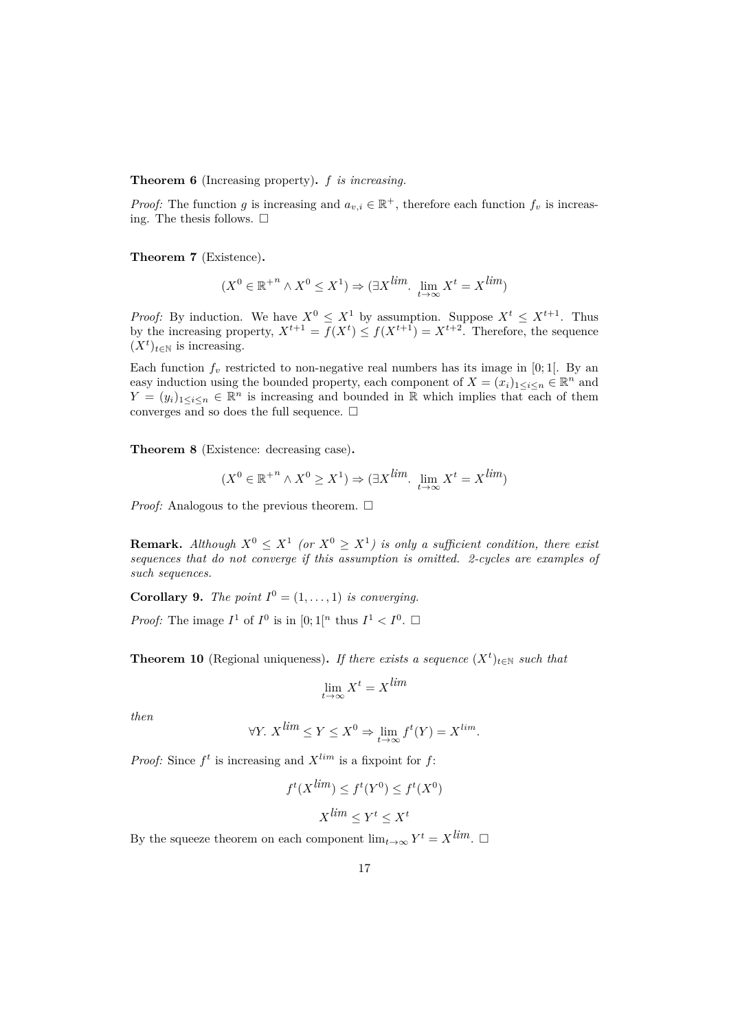**Theorem 6** (Increasing property)**.** *f is increasing.*

*Proof:* The function *g* is increasing and  $a_{v,i} \in \mathbb{R}^+$ , therefore each function  $f_v$  is increasing. The thesis follows.  $\square$ 

**Theorem 7** (Existence)**.**

$$
(X^0 \in \mathbb{R}^{+^n} \wedge X^0 \le X^1) \Rightarrow (\exists X^{lim.} \lim_{t \to \infty} X^t = X^{lim})
$$

*Proof:* By induction. We have  $X^0 \leq X^1$  by assumption. Suppose  $X^t \leq X^{t+1}$ . Thus by the increasing property,  $X^{t+1} = f(X^t) \le f(X^{t+1}) = X^{t+2}$ . Therefore, the sequence  $(X<sup>t</sup>)<sub>t\in\mathbb{N}</sub>$  is increasing.

Each function  $f_\nu$  restricted to non-negative real numbers has its image in [0; 1]. By an easy induction using the bounded property, each component of  $X = (x_i)_{1 \leq i \leq n} \in \mathbb{R}^n$  and  $Y = (y_i)_{1 \leq i \leq n} \in \mathbb{R}^n$  is increasing and bounded in R which implies that each of them converges and so does the full sequence.  $\Box$ 

**Theorem 8** (Existence: decreasing case)**.**

$$
(X^0 \in \mathbb{R}^{+^n} \wedge X^0 \ge X^1) \Rightarrow (\exists X^{lim.} \lim_{t \to \infty} X^t = X^{lim})
$$

*Proof:* Analogous to the previous theorem.  $\Box$ 

**Remark.** Although  $X^0 \leq X^1$  (or  $X^0 \geq X^1$ ) is only a sufficient condition, there exist *sequences that do not converge if this assumption is omitted. 2-cycles are examples of such sequences.*

**Corollary 9.** *The point*  $I^0 = (1, \ldots, 1)$  *is converging.* 

*Proof:* The image  $I^1$  of  $I^0$  is in  $[0; 1]^n$  thus  $I^1 < I^0$ .

**Theorem 10** (Regional uniqueness). If there exists a sequence  $(X^t)_{t \in \mathbb{N}}$  such that

$$
\lim_{t \to \infty} X^t = X^{\lim}
$$

*then*

$$
\forall Y. \ X^{lim} \le Y \le X^0 \Rightarrow \lim_{t \to \infty} f^t(Y) = X^{lim}.
$$

*Proof:* Since  $f^t$  is increasing and  $X^{lim}$  is a fixpoint for  $f$ :

$$
f^t(X^{lim}) \le f^t(Y^0) \le f^t(X^0)
$$

$$
X^{lim} \le Y^t \le X^t
$$

By the squeeze theorem on each component  $\lim_{t\to\infty} Y^t = X^{\lim}$ .  $\Box$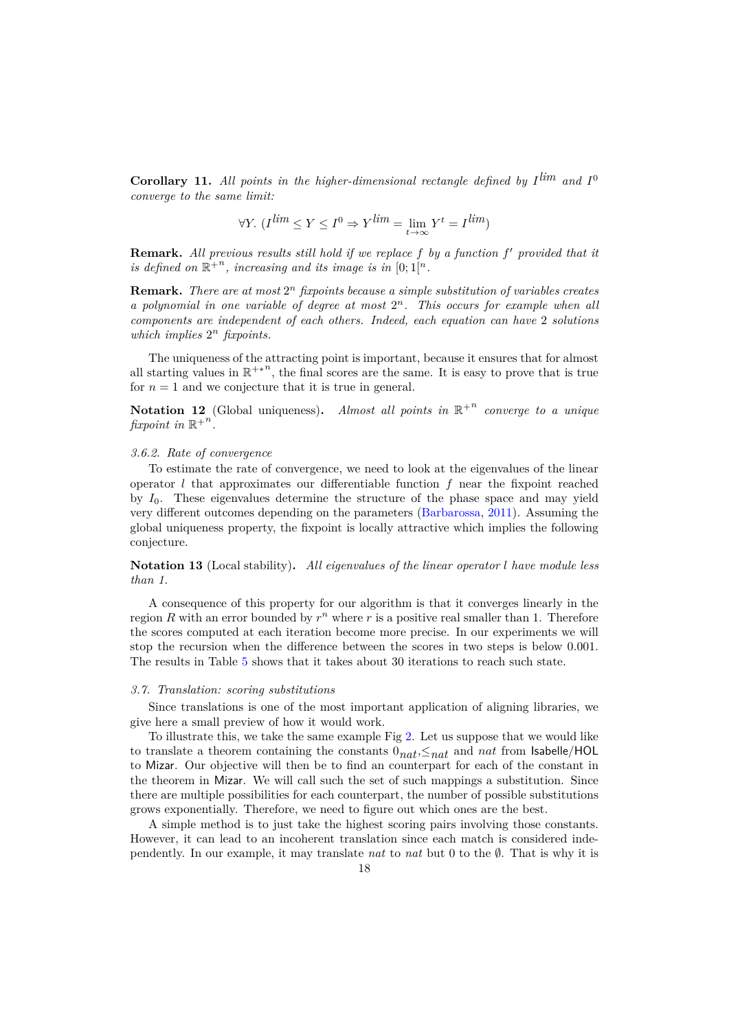**Corollary 11.** All points in the higher-dimensional rectangle defined by  $I^{lim}$  and  $I^0$ *converge to the same limit:*

$$
\forall Y. \ (I^{lim} \le Y \le I^0 \Rightarrow Y^{lim} = \lim_{t \to \infty} Y^t = I^{lim})
$$

**Remark.** *All previous results still hold if we replace f by a function f* <sup>0</sup> *provided that it* is defined on  $\mathbb{R}^{+n}$ , increasing and its image is in  $[0,1]^{n}$ .

**Remark.** *There are at most* 2 *<sup>n</sup> fixpoints because a simple substitution of variables creates a polynomial in one variable of degree at most* 2 *<sup>n</sup>. This occurs for example when all components are independent of each others. Indeed, each equation can have* 2 *solutions which implies* 2 *<sup>n</sup> fixpoints.*

The uniqueness of the attracting point is important, because it ensures that for almost all starting values in  $\mathbb{R}^{+*n}$ , the final scores are the same. It is easy to prove that is true for  $n = 1$  and we conjecture that it is true in general.

**Notation 12** (Global uniqueness). Almost all points in  $\mathbb{R}^{+n}$  converge to a unique *fixpoint in*  $\mathbb{R}^+$ <sup>*n*</sup> *.*

# *3.6.2. Rate of convergence*

To estimate the rate of convergence, we need to look at the eigenvalues of the linear operator *l* that approximates our differentiable function *f* near the fixpoint reached by *I*0. These eigenvalues determine the structure of the phase space and may yield very different outcomes depending on the parameters [\(Barbarossa,](#page-40-3) [2011\)](#page-40-3). Assuming the global uniqueness property, the fixpoint is locally attractive which implies the following conjecture.

# **Notation 13** (Local stability)**.** *All eigenvalues of the linear operator l have module less than 1.*

A consequence of this property for our algorithm is that it converges linearly in the region  $R$  with an error bounded by  $r^n$  where  $r$  is a positive real smaller than 1. Therefore the scores computed at each iteration become more precise. In our experiments we will stop the recursion when the difference between the scores in two steps is below 0*.*001. The results in Table [5](#page-25-0) shows that it takes about 30 iterations to reach such state.

# *3.7. Translation: scoring substitutions*

Since translations is one of the most important application of aligning libraries, we give here a small preview of how it would work.

To illustrate this, we take the same example Fig [2.](#page-14-1) Let us suppose that we would like to translate a theorem containing the constants  $0_{nat} \leq_{nat}$  and *nat* from **Isabelle**/HOL to Mizar. Our objective will then be to find an counterpart for each of the constant in the theorem in Mizar. We will call such the set of such mappings a substitution. Since there are multiple possibilities for each counterpart, the number of possible substitutions grows exponentially. Therefore, we need to figure out which ones are the best.

A simple method is to just take the highest scoring pairs involving those constants. However, it can lead to an incoherent translation since each match is considered independently. In our example, it may translate *nat* to *nat* but 0 to the ∅. That is why it is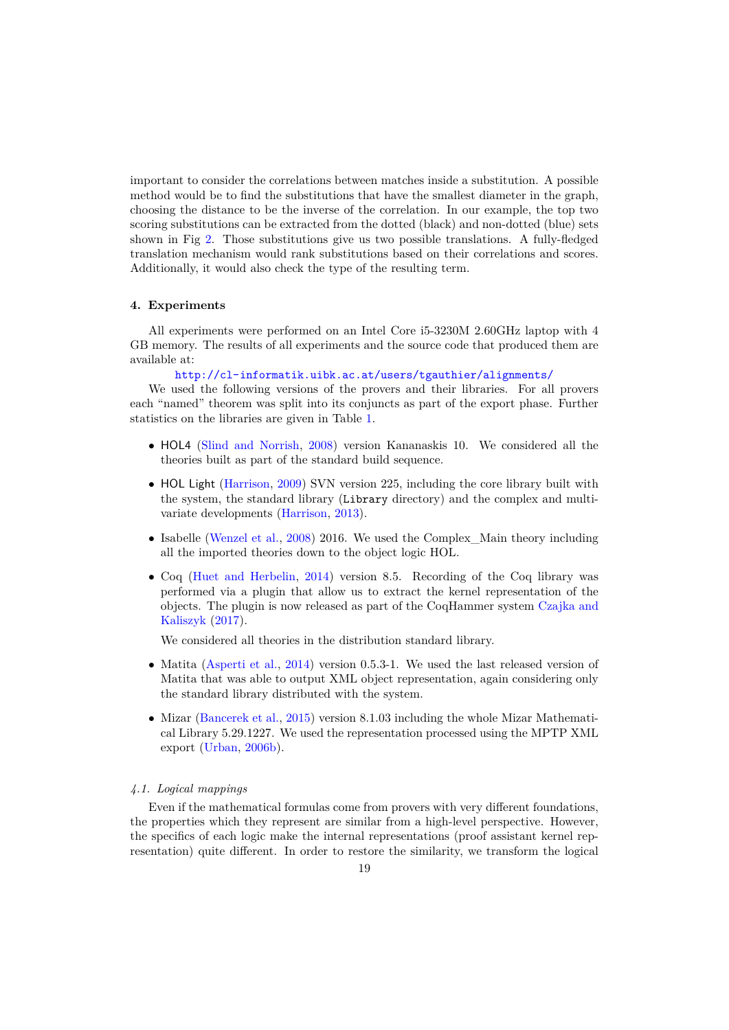important to consider the correlations between matches inside a substitution. A possible method would be to find the substitutions that have the smallest diameter in the graph, choosing the distance to be the inverse of the correlation. In our example, the top two scoring substitutions can be extracted from the dotted (black) and non-dotted (blue) sets shown in Fig [2.](#page-14-1) Those substitutions give us two possible translations. A fully-fledged translation mechanism would rank substitutions based on their correlations and scores. Additionally, it would also check the type of the resulting term.

# <span id="page-18-0"></span>**4. Experiments**

All experiments were performed on an Intel Core i5-3230M 2.60GHz laptop with 4 GB memory. The results of all experiments and the source code that produced them are available at:

<http://cl-informatik.uibk.ac.at/users/tgauthier/alignments/>

We used the following versions of the provers and their libraries. For all provers each "named" theorem was split into its conjuncts as part of the export phase. Further statistics on the libraries are given in Table [1.](#page-19-0)

- HOL4 [\(Slind and Norrish,](#page-43-9) [2008\)](#page-43-9) version Kananaskis 10. We considered all the theories built as part of the standard build sequence.
- HOL Light [\(Harrison,](#page-41-12) [2009\)](#page-41-12) SVN version 225, including the core library built with the system, the standard library (Library directory) and the complex and multivariate developments [\(Harrison,](#page-41-13) [2013\)](#page-41-13).
- Isabelle [\(Wenzel et al.,](#page-43-10) [2008\)](#page-43-10) 2016. We used the Complex\_Main theory including all the imported theories down to the object logic HOL.
- Coq [\(Huet and Herbelin,](#page-42-9) [2014\)](#page-42-9) version 8.5. Recording of the Coq library was performed via a plugin that allow us to extract the kernel representation of the objects. The plugin is now released as part of the CoqHammer system [Czajka and](#page-41-14) [Kaliszyk](#page-41-14) [\(2017\)](#page-41-14).

We considered all theories in the distribution standard library.

- Matita [\(Asperti et al.,](#page-40-5) [2014\)](#page-40-5) version 0.5.3-1. We used the last released version of Matita that was able to output XML object representation, again considering only the standard library distributed with the system.
- Mizar [\(Bancerek et al.,](#page-40-1) [2015\)](#page-40-1) version 8.1.03 including the whole Mizar Mathematical Library 5.29.1227. We used the representation processed using the MPTP XML export [\(Urban,](#page-43-11) [2006b\)](#page-43-11).

# <span id="page-18-1"></span>*4.1. Logical mappings*

Even if the mathematical formulas come from provers with very different foundations, the properties which they represent are similar from a high-level perspective. However, the specifics of each logic make the internal representations (proof assistant kernel representation) quite different. In order to restore the similarity, we transform the logical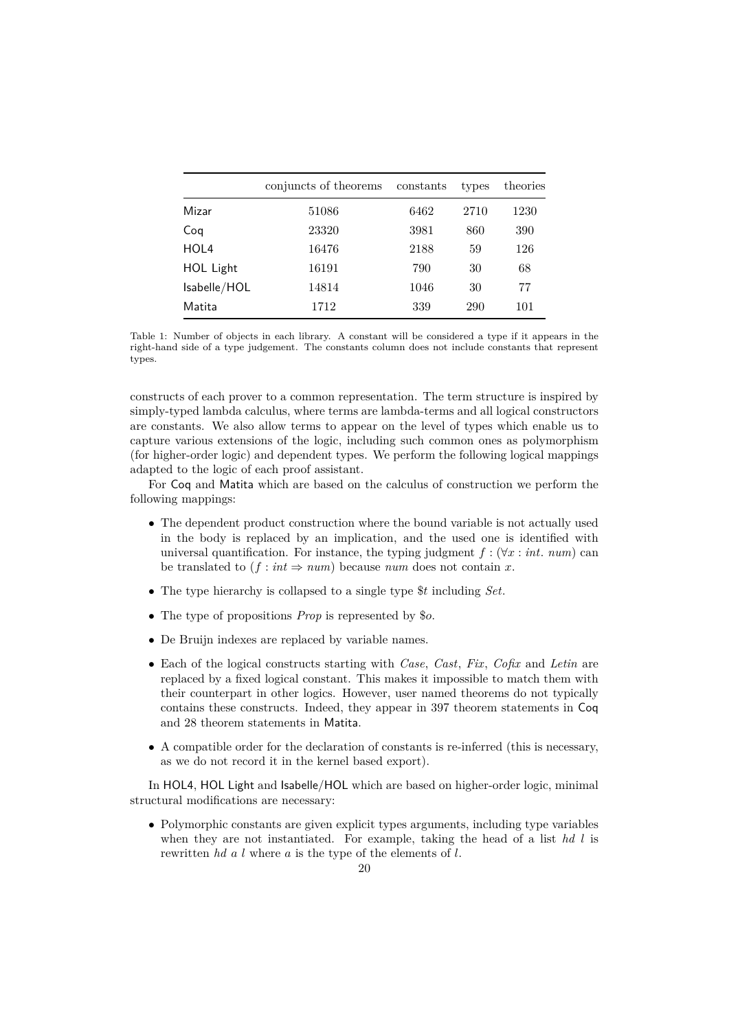|                  | conjuncts of theorems constants |      | types | theories |
|------------------|---------------------------------|------|-------|----------|
| Mizar            | 51086                           | 6462 | 2710  | 1230     |
| Coq              | 23320                           | 3981 | 860   | 390      |
| HOL4             | 16476                           | 2188 | 59    | 126      |
| <b>HOL Light</b> | 16191                           | 790  | 30    | 68       |
| Isabelle/HOL     | 14814                           | 1046 | 30    | 77       |
| Matita           | 1712                            | 339  | 290   | 101      |

<span id="page-19-0"></span>Table 1: Number of objects in each library. A constant will be considered a type if it appears in the right-hand side of a type judgement. The constants column does not include constants that represent types.

constructs of each prover to a common representation. The term structure is inspired by simply-typed lambda calculus, where terms are lambda-terms and all logical constructors are constants. We also allow terms to appear on the level of types which enable us to capture various extensions of the logic, including such common ones as polymorphism (for higher-order logic) and dependent types. We perform the following logical mappings adapted to the logic of each proof assistant.

For Coq and Matita which are based on the calculus of construction we perform the following mappings:

- The dependent product construction where the bound variable is not actually used in the body is replaced by an implication, and the used one is identified with universal quantification. For instance, the typing judgment  $f : (\forall x : int. num)$  can be translated to  $(f : int \Rightarrow num)$  because *num* does not contain *x*.
- The type hierarchy is collapsed to a single type \$*t* including *Set*.
- The type of propositions *Prop* is represented by \$*o*.
- De Bruijn indexes are replaced by variable names.
- Each of the logical constructs starting with *Case*, *Cast*, *Fix*, *Cofix* and *Letin* are replaced by a fixed logical constant. This makes it impossible to match them with their counterpart in other logics. However, user named theorems do not typically contains these constructs. Indeed, they appear in 397 theorem statements in Coq and 28 theorem statements in Matita.
- A compatible order for the declaration of constants is re-inferred (this is necessary, as we do not record it in the kernel based export).

In HOL4, HOL Light and Isabelle/HOL which are based on higher-order logic, minimal structural modifications are necessary:

• Polymorphic constants are given explicit types arguments, including type variables when they are not instantiated. For example, taking the head of a list *hd l* is rewritten *hd a l* where *a* is the type of the elements of *l*.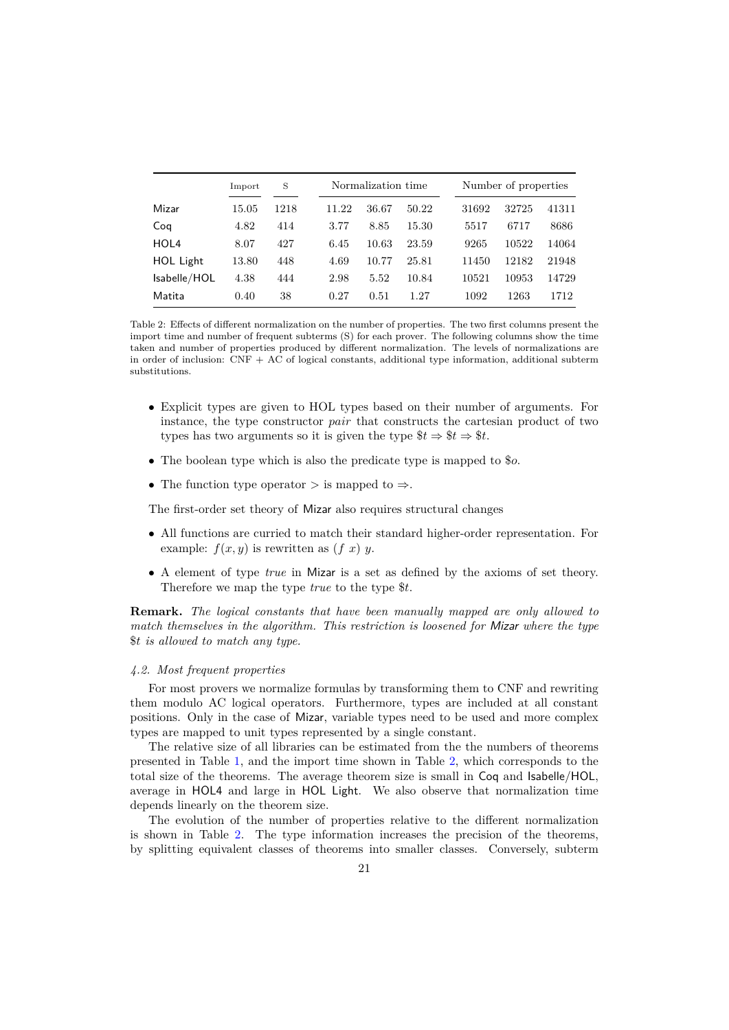|              | Import | S    |       | Normalization time |       |       | Number of properties |       |
|--------------|--------|------|-------|--------------------|-------|-------|----------------------|-------|
| Mizar        | 15.05  | 1218 | 11.22 | 36.67              | 50.22 | 31692 | 32725                | 41311 |
| Coq          | 4.82   | 414  | 3.77  | 8.85               | 15.30 | 5517  | 6717                 | 8686  |
| HOL4         | 8.07   | 427  | 6.45  | 10.63              | 23.59 | 9265  | 10522                | 14064 |
| HOL Light    | 13.80  | 448  | 4.69  | 10.77              | 25.81 | 11450 | 12182                | 21948 |
| Isabelle/HOL | 4.38   | 444  | 2.98  | 5.52               | 10.84 | 10521 | 10953                | 14729 |
| Matita       | 0.40   | 38   | 0.27  | 0.51               | 1.27  | 1092  | 1263                 | 1712  |

<span id="page-20-1"></span>Table 2: Effects of different normalization on the number of properties. The two first columns present the import time and number of frequent subterms (S) for each prover. The following columns show the time taken and number of properties produced by different normalization. The levels of normalizations are in order of inclusion: CNF + AC of logical constants, additional type information, additional subterm substitutions.

- Explicit types are given to HOL types based on their number of arguments. For instance, the type constructor *pair* that constructs the cartesian product of two types has two arguments so it is given the type  $t \Rightarrow t \Rightarrow$   $t \Rightarrow$
- The boolean type which is also the predicate type is mapped to \$*o*.
- The function type operator *>* is mapped to ⇒.

The first-order set theory of Mizar also requires structural changes

- All functions are curried to match their standard higher-order representation. For example:  $f(x, y)$  is rewritten as  $(f(x, y), y)$ .
- A element of type *true* in Mizar is a set as defined by the axioms of set theory. Therefore we map the type *true* to the type \$*t*.

**Remark.** *The logical constants that have been manually mapped are only allowed to match themselves in the algorithm. This restriction is loosened for* Mizar *where the type* \$*t is allowed to match any type.*

### <span id="page-20-0"></span>*4.2. Most frequent properties*

For most provers we normalize formulas by transforming them to CNF and rewriting them modulo AC logical operators. Furthermore, types are included at all constant positions. Only in the case of Mizar, variable types need to be used and more complex types are mapped to unit types represented by a single constant.

The relative size of all libraries can be estimated from the the numbers of theorems presented in Table [1,](#page-19-0) and the import time shown in Table [2,](#page-20-1) which corresponds to the total size of the theorems. The average theorem size is small in Coq and Isabelle/HOL, average in HOL4 and large in HOL Light. We also observe that normalization time depends linearly on the theorem size.

The evolution of the number of properties relative to the different normalization is shown in Table [2.](#page-20-1) The type information increases the precision of the theorems, by splitting equivalent classes of theorems into smaller classes. Conversely, subterm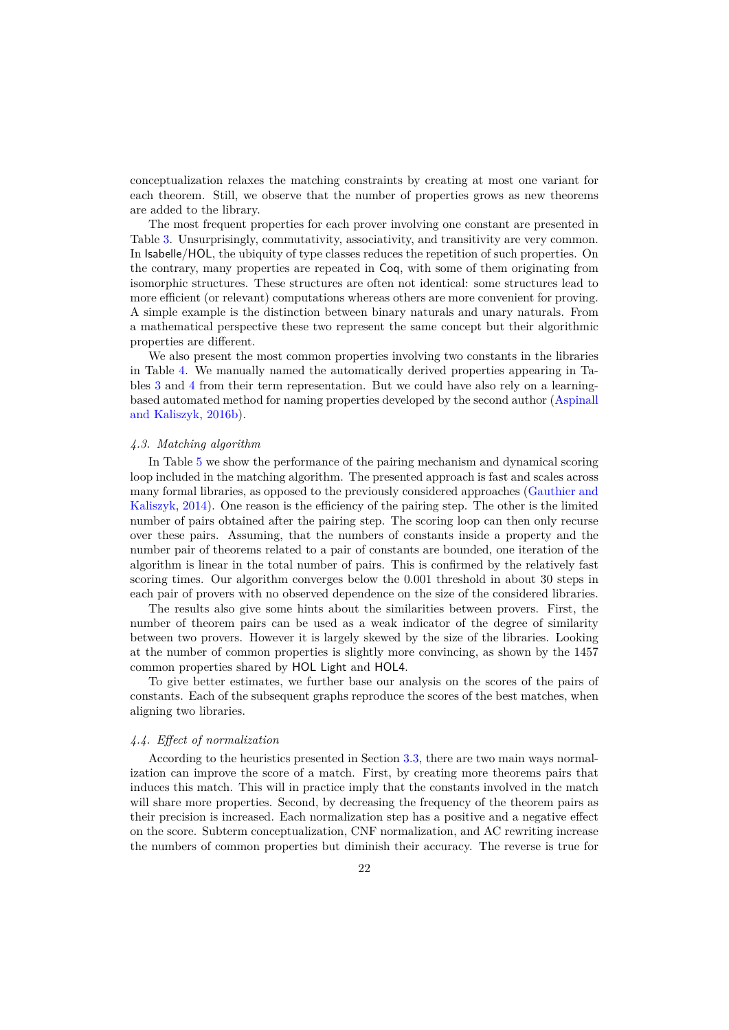conceptualization relaxes the matching constraints by creating at most one variant for each theorem. Still, we observe that the number of properties grows as new theorems are added to the library.

The most frequent properties for each prover involving one constant are presented in Table [3.](#page-22-0) Unsurprisingly, commutativity, associativity, and transitivity are very common. In Isabelle/HOL, the ubiquity of type classes reduces the repetition of such properties. On the contrary, many properties are repeated in Coq, with some of them originating from isomorphic structures. These structures are often not identical: some structures lead to more efficient (or relevant) computations whereas others are more convenient for proving. A simple example is the distinction between binary naturals and unary naturals. From a mathematical perspective these two represent the same concept but their algorithmic properties are different.

We also present the most common properties involving two constants in the libraries in Table [4.](#page-23-0) We manually named the automatically derived properties appearing in Tables [3](#page-22-0) and [4](#page-23-0) from their term representation. But we could have also rely on a learningbased automated method for naming properties developed by the second author [\(Aspinall](#page-40-6) [and Kaliszyk,](#page-40-6) [2016b\)](#page-40-6).

### *4.3. Matching algorithm*

In Table [5](#page-25-0) we show the performance of the pairing mechanism and dynamical scoring loop included in the matching algorithm. The presented approach is fast and scales across many formal libraries, as opposed to the previously considered approaches [\(Gauthier and](#page-41-8) [Kaliszyk,](#page-41-8) [2014\)](#page-41-8). One reason is the efficiency of the pairing step. The other is the limited number of pairs obtained after the pairing step. The scoring loop can then only recurse over these pairs. Assuming, that the numbers of constants inside a property and the number pair of theorems related to a pair of constants are bounded, one iteration of the algorithm is linear in the total number of pairs. This is confirmed by the relatively fast scoring times. Our algorithm converges below the 0.001 threshold in about 30 steps in each pair of provers with no observed dependence on the size of the considered libraries.

The results also give some hints about the similarities between provers. First, the number of theorem pairs can be used as a weak indicator of the degree of similarity between two provers. However it is largely skewed by the size of the libraries. Looking at the number of common properties is slightly more convincing, as shown by the 1457 common properties shared by HOL Light and HOL4.

To give better estimates, we further base our analysis on the scores of the pairs of constants. Each of the subsequent graphs reproduce the scores of the best matches, when aligning two libraries.

# *4.4. Effect of normalization*

According to the heuristics presented in Section [3.3,](#page-11-0) there are two main ways normalization can improve the score of a match. First, by creating more theorems pairs that induces this match. This will in practice imply that the constants involved in the match will share more properties. Second, by decreasing the frequency of the theorem pairs as their precision is increased. Each normalization step has a positive and a negative effect on the score. Subterm conceptualization, CNF normalization, and AC rewriting increase the numbers of common properties but diminish their accuracy. The reverse is true for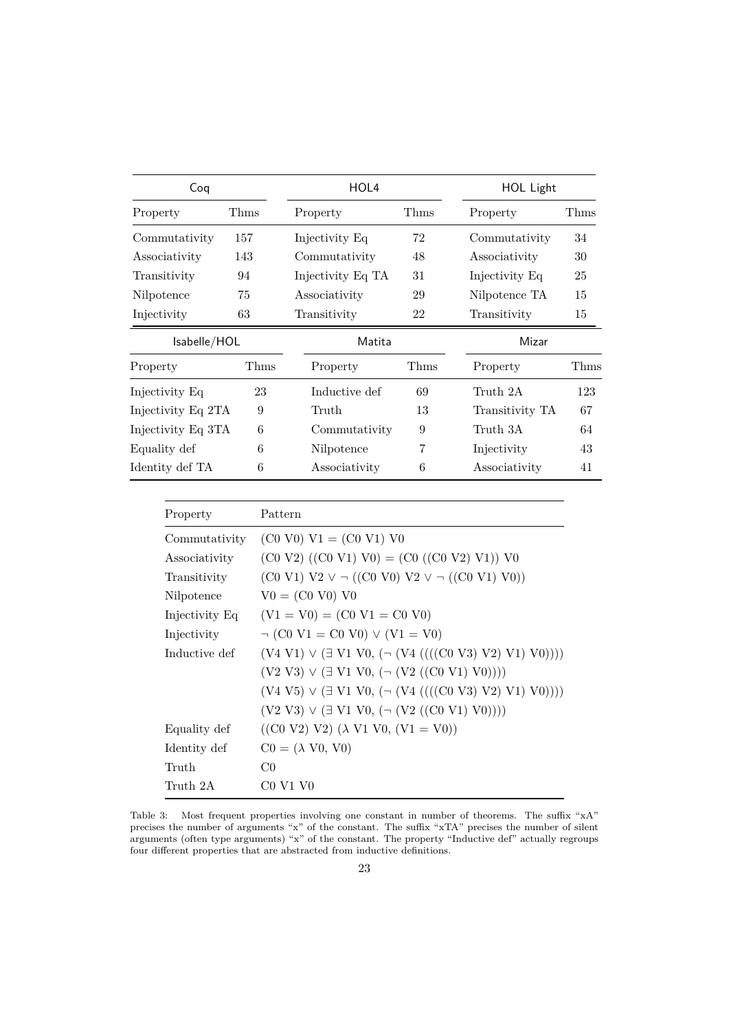| Coq                |      | HOL4              |      | HOL Light       |      |
|--------------------|------|-------------------|------|-----------------|------|
| Property           | Thms | Property          | Thms | Property        | Thms |
| Commutativity      | 157  | Injectivity Eq    | 72   | Commutativity   | 34   |
| Associativity      | 143  | Commutativity     | 48   | Associativity   | 30   |
| Transitivity       | 94   | Injectivity Eq TA | 31   | Injectivity Eq  | 25   |
| Nilpotence         | 75   | Associativity     | 29   | Nilpotence TA   | 15   |
| Injectivity        | 63   | Transitivity      | 22   | Transitivity    | 15   |
| Isabelle/HOL       |      | Matita            |      | Mizar           |      |
| Property           | Thms | Property          | Thms | Property        | Thms |
| Injectivity Eq     | 23   | Inductive def     | 69   | Truth 2A        | 123  |
| Injectivity Eq 2TA | 9    | Truth             | 13   | Transitivity TA | 67   |
| Injectivity Eq 3TA | 6    | Commutativity     | 9    | Truth 3A        | 64   |
| Equality def       | 6    | Nilpotence        | 7    | Injectivity     | 43   |
|                    |      |                   |      |                 |      |

| Property       | Pattern                                                           |
|----------------|-------------------------------------------------------------------|
| Commutativity  | $(C0 V0) V1 = (C0 V1) V0$                                         |
| Associativity  | $(C0 V2) ((C0 V1) V0) = (C0 ((C0 V2) V1)) V0$                     |
| Transitivity   | $(C0 V1) V2 V - ((C0 V0) V2 V - ((C0 V1) V0))$                    |
| Nilpotence     | $VO = (CO\ V0) \ V0$                                              |
| Injectivity Eq | $(V1 = V0) = (C0 V1 = C0 V0)$                                     |
| Injectivity    | $\neg$ (C0 V1 = C0 V0) $\lor$ (V1 = V0)                           |
| Inductive def  | $(V4 V1) \vee (\exists V1 V0, (\neg (V4 (((CO V3) V2) V1) V0))))$ |
|                | $(V2 V3) \vee (\exists V1 V0, (\neg (V2 ((CO V1) V0))))$          |
|                | $(V4 V5) \vee (\exists V1 V0, (\neg (V4 (((CO V3) V2) V1) V0))))$ |
|                | $(V2 V3) \vee (\exists V1 V0, (\neg (V2 ((CO V1) V0))))$          |
| Equality def   | $((C0 V2) V2) (\lambda V1 V0, (V1 = V0))$                         |
| Identity def   | $CO = (\lambda \text{ V0}, \text{ V0})$                           |
| Truth          | C <sub>0</sub>                                                    |
| Truth 2A       | C0 V1 V0                                                          |

<span id="page-22-0"></span>Table 3: Most frequent properties involving one constant in number of theorems. The suffix "xA" precises the number of arguments "x" of the constant. The suffix "xTA" precises the number of silent arguments (often type arguments) "x" of the constant. The property "Inductive def" actually regroups four different properties that are abstracted from inductive definitions.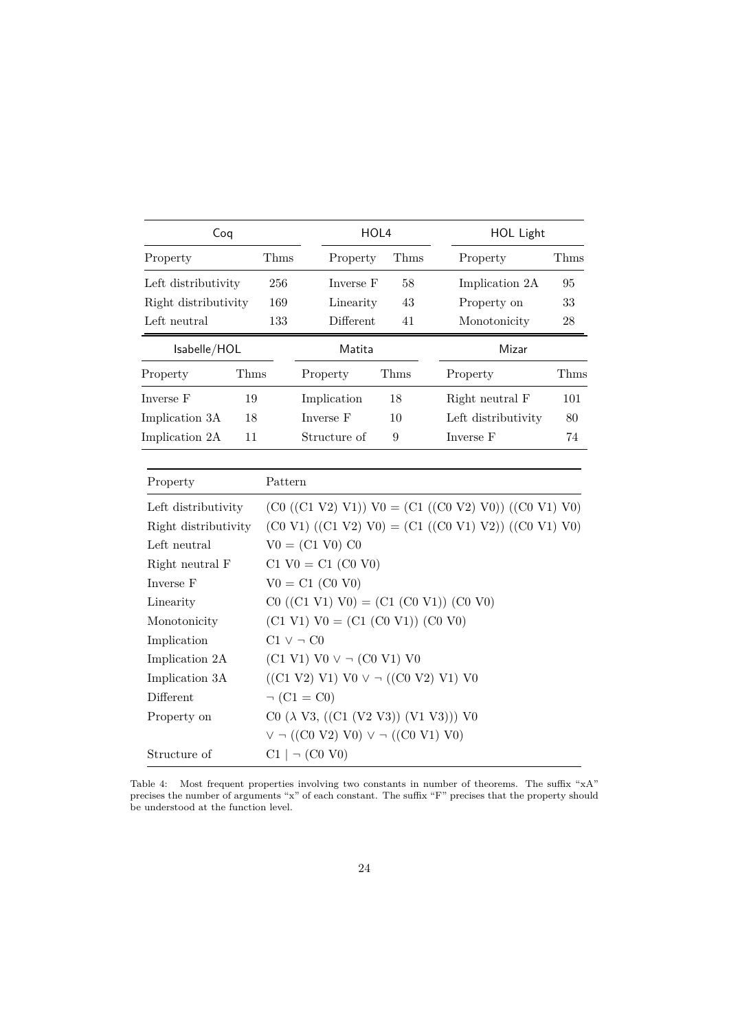| Cog                  |      |      |              | HOL4            |      | <b>HOL Light</b>    |      |  |
|----------------------|------|------|--------------|-----------------|------|---------------------|------|--|
| Property             |      | Thms | Property     |                 | Thms | Property            | Thms |  |
| Left distributivity  |      | 256  | Inverse F    |                 | 58   | Implication 2A      | 95   |  |
| Right distributivity |      | 169  |              | 43<br>Linearity |      | Property on         | 33   |  |
| Left neutral         |      | 133  |              | Different<br>41 |      | Monotonicity        | 28   |  |
| Isabelle/HOL         |      |      | Matita       |                 |      | Mizar               |      |  |
| Property             | Thms |      | Property     | Thms            |      | Property            | Thms |  |
| Inverse F            | 19   |      | Implication  | 18              |      | Right neutral F     | 101  |  |
| Implication 3A       | 18   |      | Inverse F    | 10              |      | Left distributivity | 80   |  |
| Implication 2A       | 11   |      | Structure of | 9               |      | Inverse F           | 74   |  |

| Property             | Pattern                                                     |
|----------------------|-------------------------------------------------------------|
| Left distributivity  | $(C0 ((C1 V2) V1)) V0 = (C1 ((C0 V2) V0)) ((C0 V1) V0)$     |
| Right distributivity | $(C0 V1) ((C1 V2) V0) = (C1 ((C0 V1) V2)) ((C0 V1) V0)$     |
| Left neutral         | $V0 = (C1 V0) C0$                                           |
| Right neutral F      | $C1$ V <sub>0</sub> = $C1$ (C <sub>0</sub> V <sub>0</sub> ) |
| Inverse F            | $V0 = C1$ (C0 V0)                                           |
| Linearity            | C0 ((C1 V1) V0) = (C1 (C0 V1)) (C0 V0)                      |
| Monotonicity         | $(C1 V1) V0 = (C1 (C0 V1)) (C0 V0)$                         |
| Implication          | $C1 \vee \neg C0$                                           |
| Implication 2A       | $(C1 V1) V0 V - (C0 V1) V0$                                 |
| Implication 3A       | $((C1 V2) V1) V0 V - ((C0 V2) V1) V0$                       |
| Different            | $\neg$ (C1 = C0)                                            |
| Property on          | C0 $(\lambda V3, ((C1 (V2 V3)) (V1 V3)))$ V0                |
|                      | $V \neg ((C0 V2) V0) V \neg ((C0 V1) V0)$                   |
| Structure of         | $C1$   $\neg$ (C0 V0)                                       |

<span id="page-23-0"></span>Table 4: Most frequent properties involving two constants in number of theorems. The suffix "xA" precises the number of arguments "x" of each constant. The suffix "F" precises that the property should be understood at the function level.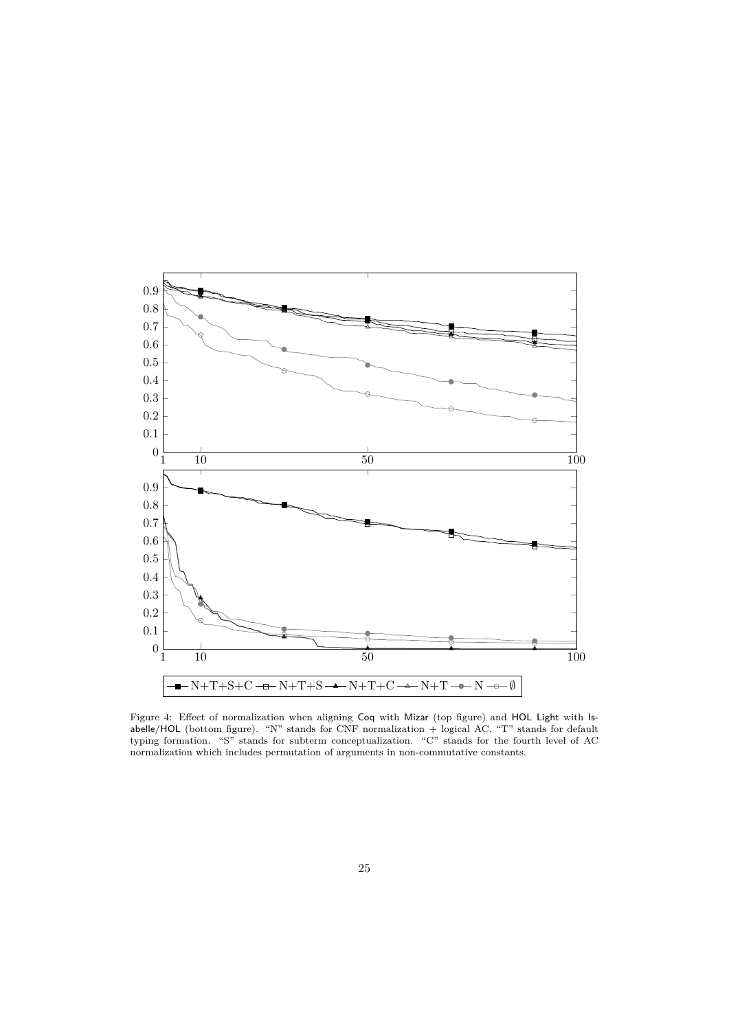

<span id="page-24-0"></span>Figure 4: Effect of normalization when aligning Coq with Mizar (top figure) and HOL Light with Isabelle/HOL (bottom figure). "N" stands for CNF normalization + logical AC. "T" stands for default typing formation. "S" stands for subterm conceptualization. "C" stands for the fourth level of AC normalization which includes permutation of arguments in non-commutative constants.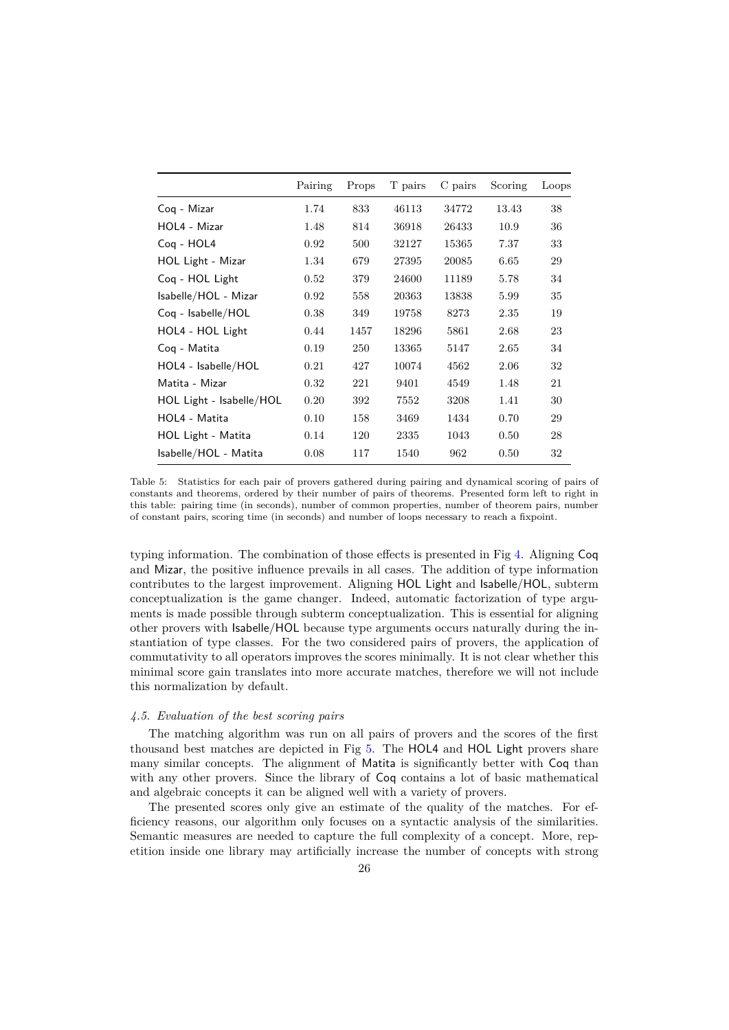|                          | Pairing | Props | T pairs | C pairs | Scoring | Loops |
|--------------------------|---------|-------|---------|---------|---------|-------|
| Cog - Mizar              | 1.74    | 833   | 46113   | 34772   | 13.43   | 38    |
| HOL4 - Mizar             | 1.48    | 814   | 36918   | 26433   | 10.9    | 36    |
| Coq - HOL4               | 0.92    | 500   | 32127   | 15365   | 7.37    | 33    |
| HOL Light - Mizar        | 1.34    | 679   | 27395   | 20085   | 6.65    | 29    |
| Cog - HOL Light          | 0.52    | 379   | 24600   | 11189   | 5.78    | 34    |
| Isabelle/HOL - Mizar     | 0.92    | 558   | 20363   | 13838   | 5.99    | 35    |
| Cog - Isabelle/HOL       | 0.38    | 349   | 19758   | 8273    | 2.35    | 19    |
| HOL4 - HOL Light         | 0.44    | 1457  | 18296   | 5861    | 2.68    | 23    |
| Coq - Matita             | 0.19    | 250   | 13365   | 5147    | 2.65    | 34    |
| HOL4 - Isabelle/HOL      | 0.21    | 427   | 10074   | 4562    | 2.06    | 32    |
| Matita - Mizar           | 0.32    | 221   | 9401    | 4549    | 1.48    | 21    |
| HOL Light - Isabelle/HOL | 0.20    | 392   | 7552    | 3208    | 1.41    | 30    |
| HOL4 - Matita            | 0.10    | 158   | 3469    | 1434    | 0.70    | 29    |
| HOL Light - Matita       | 0.14    | 120   | 2335    | 1043    | 0.50    | 28    |
| Isabelle/HOL - Matita    | 0.08    | 117   | 1540    | 962     | 0.50    | 32    |

<span id="page-25-0"></span>Table 5: Statistics for each pair of provers gathered during pairing and dynamical scoring of pairs of constants and theorems, ordered by their number of pairs of theorems. Presented form left to right in this table: pairing time (in seconds), number of common properties, number of theorem pairs, number of constant pairs, scoring time (in seconds) and number of loops necessary to reach a fixpoint.

typing information. The combination of those effects is presented in Fig [4.](#page-24-0) Aligning Coq and Mizar, the positive influence prevails in all cases. The addition of type information contributes to the largest improvement. Aligning HOL Light and Isabelle/HOL, subterm conceptualization is the game changer. Indeed, automatic factorization of type arguments is made possible through subterm conceptualization. This is essential for aligning other provers with Isabelle/HOL because type arguments occurs naturally during the instantiation of type classes. For the two considered pairs of provers, the application of commutativity to all operators improves the scores minimally. It is not clear whether this minimal score gain translates into more accurate matches, therefore we will not include this normalization by default.

# *4.5. Evaluation of the best scoring pairs*

The matching algorithm was run on all pairs of provers and the scores of the first thousand best matches are depicted in Fig [5.](#page-26-0) The HOL4 and HOL Light provers share many similar concepts. The alignment of Matita is significantly better with Coq than with any other provers. Since the library of  $\text{Coq}$  contains a lot of basic mathematical and algebraic concepts it can be aligned well with a variety of provers.

The presented scores only give an estimate of the quality of the matches. For efficiency reasons, our algorithm only focuses on a syntactic analysis of the similarities. Semantic measures are needed to capture the full complexity of a concept. More, repetition inside one library may artificially increase the number of concepts with strong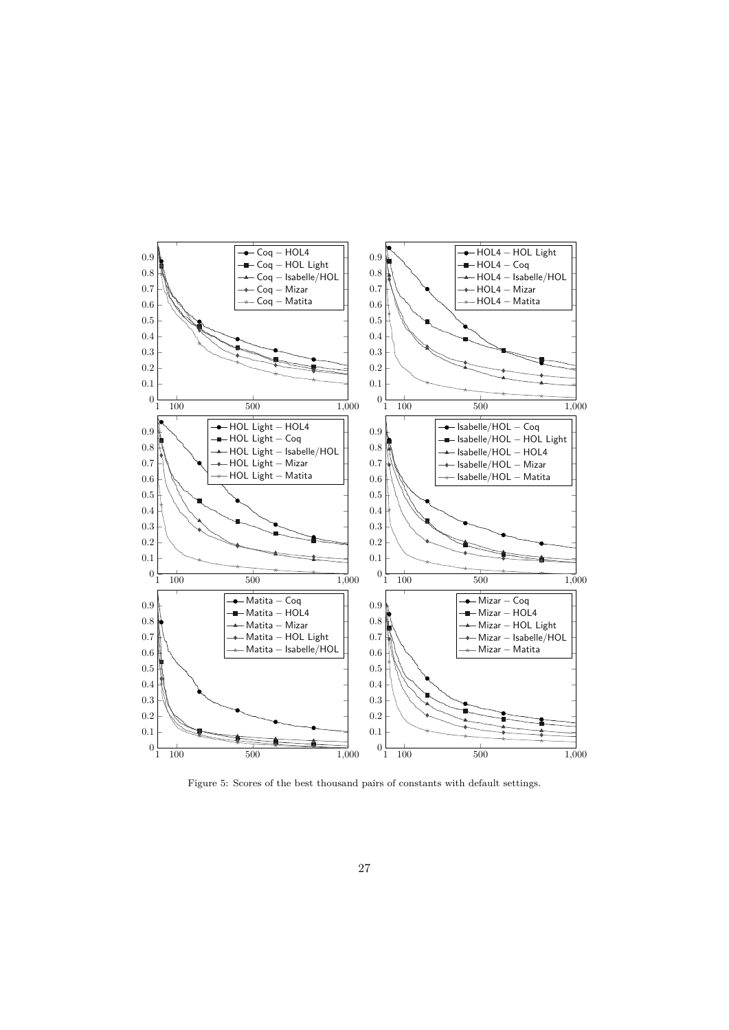

<span id="page-26-0"></span>Figure 5: Scores of the best thousand pairs of constants with default settings.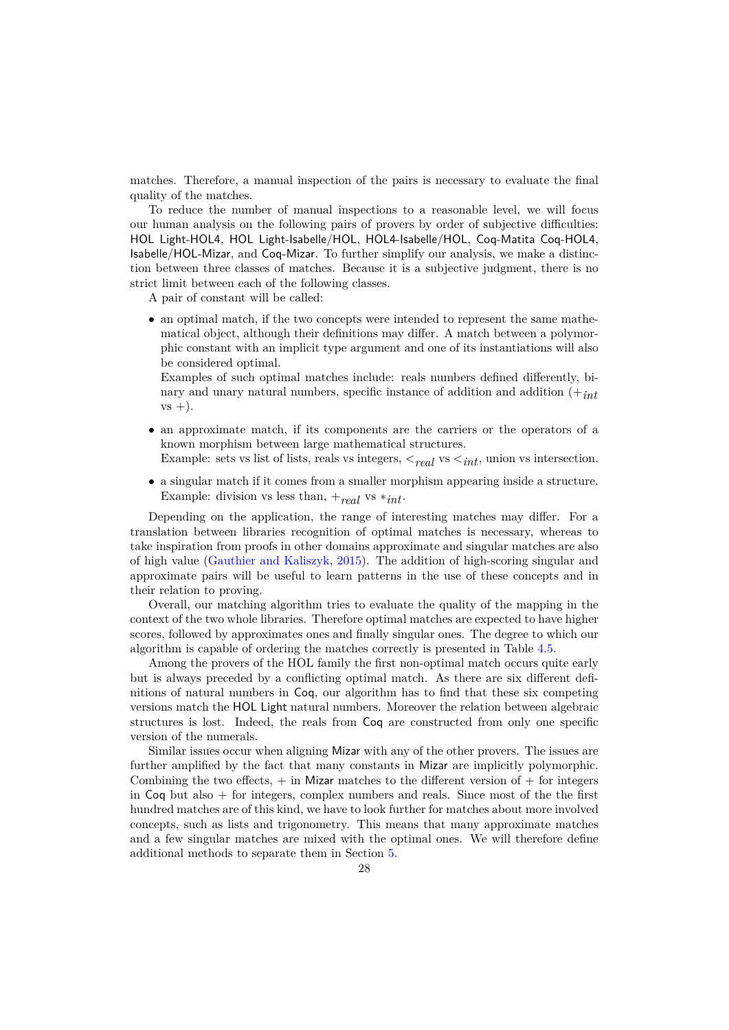matches. Therefore, a manual inspection of the pairs is necessary to evaluate the final quality of the matches.

To reduce the number of manual inspections to a reasonable level, we will focus our human analysis on the following pairs of provers by order of subjective difficulties: HOL Light-HOL4, HOL Light-Isabelle/HOL, HOL4-Isabelle/HOL, Coq-Matita Coq-HOL4, Isabelle/HOL-Mizar, and Coq-Mizar. To further simplify our analysis, we make a distinction between three classes of matches. Because it is a subjective judgment, there is no strict limit between each of the following classes.

A pair of constant will be called:

• an optimal match, if the two concepts were intended to represent the same mathematical object, although their definitions may differ. A match between a polymorphic constant with an implicit type argument and one of its instantiations will also be considered optimal.

Examples of such optimal matches include: reals numbers defined differently, binary and unary natural numbers, specific instance of addition and addition (+*int*  $vs +$ ).

• an approximate match, if its components are the carriers or the operators of a known morphism between large mathematical structures.

Example: sets vs list of lists, reals vs integers, *<real* vs *<int*, union vs intersection.

• a singular match if it comes from a smaller morphism appearing inside a structure. Example: division vs less than,  $+_{real}$  vs  $*_{int}$ .

Depending on the application, the range of interesting matches may differ. For a translation between libraries recognition of optimal matches is necessary, whereas to take inspiration from proofs in other domains approximate and singular matches are also of high value [\(Gauthier and Kaliszyk,](#page-41-4) [2015\)](#page-41-4). The addition of high-scoring singular and approximate pairs will be useful to learn patterns in the use of these concepts and in their relation to proving.

Overall, our matching algorithm tries to evaluate the quality of the mapping in the context of the two whole libraries. Therefore optimal matches are expected to have higher scores, followed by approximates ones and finally singular ones. The degree to which our algorithm is capable of ordering the matches correctly is presented in Table [4.5.](#page-26-0)

Among the provers of the HOL family the first non-optimal match occurs quite early but is always preceded by a conflicting optimal match. As there are six different definitions of natural numbers in Coq, our algorithm has to find that these six competing versions match the HOL Light natural numbers. Moreover the relation between algebraic structures is lost. Indeed, the reals from Coq are constructed from only one specific version of the numerals.

Similar issues occur when aligning Mizar with any of the other provers. The issues are further amplified by the fact that many constants in Mizar are implicitly polymorphic. Combining the two effects,  $+$  in Mizar matches to the different version of  $+$  for integers in Coq but also + for integers, complex numbers and reals. Since most of the the first hundred matches are of this kind, we have to look further for matches about more involved concepts, such as lists and trigonometry. This means that many approximate matches and a few singular matches are mixed with the optimal ones. We will therefore define additional methods to separate them in Section [5.](#page-30-0)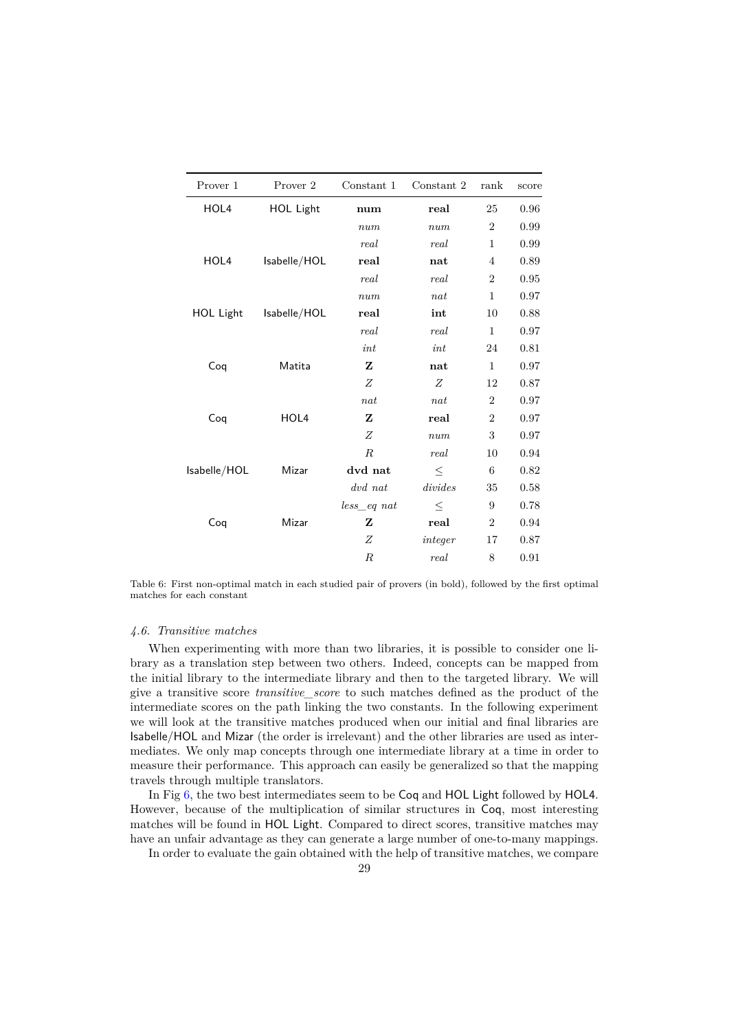| Prover 1         | Prover 2         | Constant 1       | Constant 2 | rank           | score |
|------------------|------------------|------------------|------------|----------------|-------|
| HOL4             | <b>HOL Light</b> | num              | real       | 25             | 0.96  |
|                  |                  | num              | num        | $\overline{2}$ | 0.99  |
|                  |                  | real             | real       | $\mathbf{1}$   | 0.99  |
| HOL4             | Isabelle/HOL     | real             | nat        | $\overline{4}$ | 0.89  |
|                  |                  | real             | real       | $\overline{2}$ | 0.95  |
|                  |                  | num              | nat        | $\mathbf{1}$   | 0.97  |
| <b>HOL Light</b> | Isabelle/HOL     | real             | int        | 10             | 0.88  |
|                  |                  | real             | real       | $\mathbf{1}$   | 0.97  |
|                  |                  | int              | int        | 24             | 0.81  |
| Coq              | Matita           | z                | nat        | $\mathbf{1}$   | 0.97  |
|                  |                  | Ζ                | Ζ          | 12             | 0.87  |
|                  |                  | nat              | nat        | $\overline{2}$ | 0.97  |
| Coq              | HOL4             | z                | real       | $\overline{2}$ | 0.97  |
|                  |                  | Z                | num        | 3              | 0.97  |
|                  |                  | $\boldsymbol{R}$ | real       | 10             | 0.94  |
| Isabelle/HOL     | Mizar            | dvd nat          | $\leq$     | 6              | 0.82  |
|                  |                  | dvd nat          | divides    | 35             | 0.58  |
|                  |                  | $less\_eq$ nat   | $\leq$     | 9              | 0.78  |
| Coq              | Mizar            | z                | real       | $\overline{2}$ | 0.94  |
|                  |                  | Ζ                | integer    | 17             | 0.87  |
|                  |                  | $\boldsymbol{R}$ | real       | 8              | 0.91  |

Table 6: First non-optimal match in each studied pair of provers (in bold), followed by the first optimal matches for each constant

#### *4.6. Transitive matches*

When experimenting with more than two libraries, it is possible to consider one library as a translation step between two others. Indeed, concepts can be mapped from the initial library to the intermediate library and then to the targeted library. We will give a transitive score *transitive\_score* to such matches defined as the product of the intermediate scores on the path linking the two constants. In the following experiment we will look at the transitive matches produced when our initial and final libraries are Isabelle/HOL and Mizar (the order is irrelevant) and the other libraries are used as intermediates. We only map concepts through one intermediate library at a time in order to measure their performance. This approach can easily be generalized so that the mapping travels through multiple translators.

In Fig [6,](#page-29-0) the two best intermediates seem to be Coq and HOL Light followed by HOL4. However, because of the multiplication of similar structures in Coq, most interesting matches will be found in HOL Light. Compared to direct scores, transitive matches may have an unfair advantage as they can generate a large number of one-to-many mappings.

In order to evaluate the gain obtained with the help of transitive matches, we compare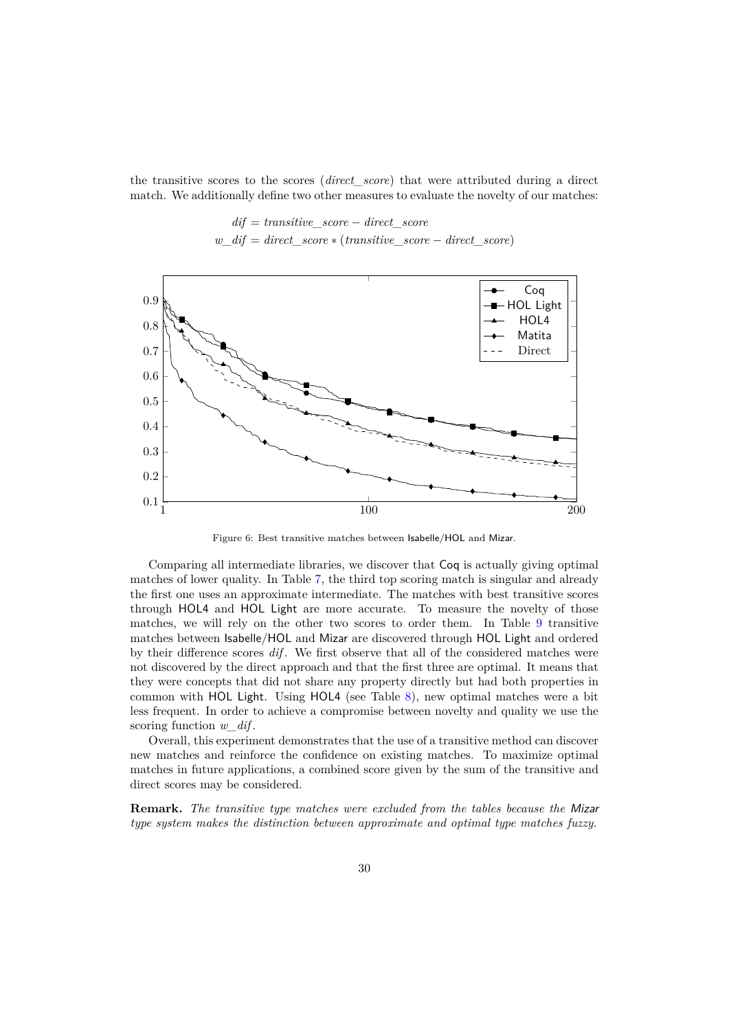the transitive scores to the scores (*direct\_score*) that were attributed during a direct match. We additionally define two other measures to evaluate the novelty of our matches:

$$
dif = transitive\_score - direct\_score
$$
  
 $w\_dif = direct\_score * (transitive\_score - direct\_score)$ 



<span id="page-29-0"></span>Figure 6: Best transitive matches between Isabelle/HOL and Mizar.

Comparing all intermediate libraries, we discover that Coq is actually giving optimal matches of lower quality. In Table [7,](#page-30-1) the third top scoring match is singular and already the first one uses an approximate intermediate. The matches with best transitive scores through HOL4 and HOL Light are more accurate. To measure the novelty of those matches, we will rely on the other two scores to order them. In Table [9](#page-31-0) transitive matches between Isabelle/HOL and Mizar are discovered through HOL Light and ordered by their difference scores *dif* . We first observe that all of the considered matches were not discovered by the direct approach and that the first three are optimal. It means that they were concepts that did not share any property directly but had both properties in common with HOL Light. Using HOL4 (see Table [8\)](#page-30-2), new optimal matches were a bit less frequent. In order to achieve a compromise between novelty and quality we use the scoring function *w\_dif* .

Overall, this experiment demonstrates that the use of a transitive method can discover new matches and reinforce the confidence on existing matches. To maximize optimal matches in future applications, a combined score given by the sum of the transitive and direct scores may be considered.

**Remark.** *The transitive type matches were excluded from the tables because the* Mizar *type system makes the distinction between approximate and optimal type matches fuzzy.*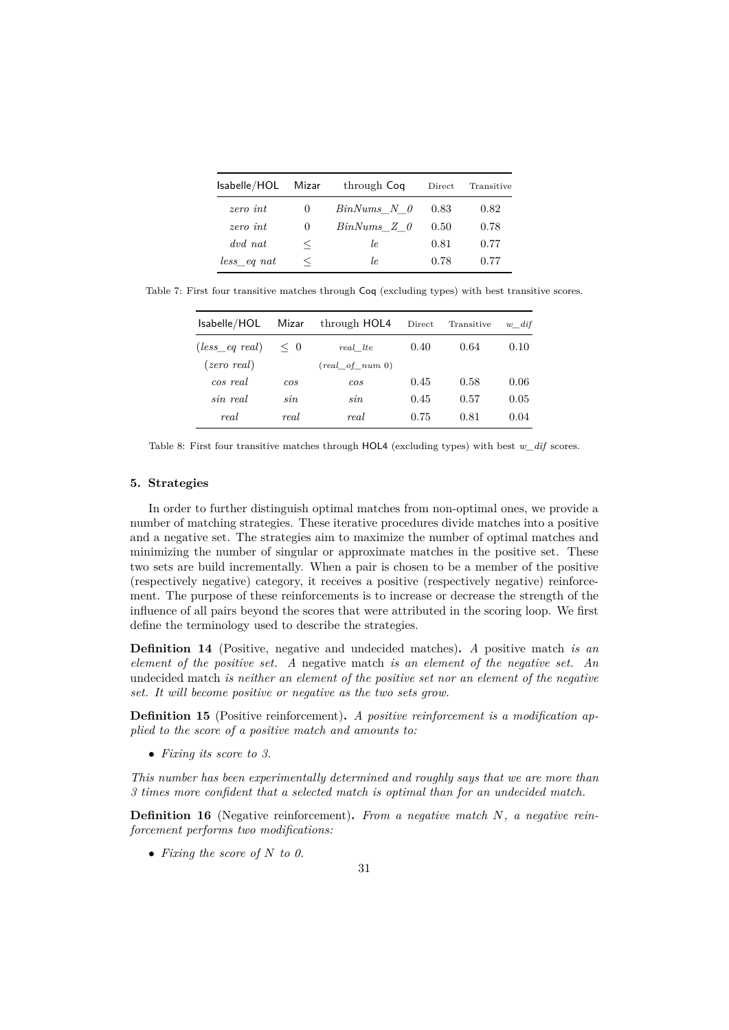| Isabelle/HOL Mizar |          | through Coq          | Direct | Transitive |
|--------------------|----------|----------------------|--------|------------|
| zero int           | $\theta$ | $BinNums$ N $\theta$ | 0.83   | 0.82       |
| zero int           | $\theta$ | BinNums Z 0          | 0.50   | 0.78       |
| $dvd$ nat          | $\,<\,$  | le.                  | 0.81   | 0.77       |
| less eq nat        |          | le.                  | 0.78   | 0.77       |

Table 7: First four transitive matches through Coq (excluding types) with best transitive scores.

<span id="page-30-1"></span>

| Isabelle/HOL                          | Mizar    | through HOL4             | Direct | Transitive | $w \text{ dif}$ |
|---------------------------------------|----------|--------------------------|--------|------------|-----------------|
| $(\text{less} \text{eq} \text{real})$ | $\leq 0$ | real lte                 | 0.40   | 0.64       | 0.10            |
| $(zero \ real)$                       |          | $\text{(real of num 0)}$ |        |            |                 |
| cos real                              | cos      | cos                      | 0.45   | 0.58       | 0.06            |
| sin real                              | sin      | sin                      | 0.45   | 0.57       | 0.05            |
| real                                  | real     | real                     | 0.75   | 0.81       | 0.04            |

<span id="page-30-2"></span>Table 8: First four transitive matches through HOL4 (excluding types) with best *w\_dif* scores.

#### <span id="page-30-0"></span>**5. Strategies**

In order to further distinguish optimal matches from non-optimal ones, we provide a number of matching strategies. These iterative procedures divide matches into a positive and a negative set. The strategies aim to maximize the number of optimal matches and minimizing the number of singular or approximate matches in the positive set. These two sets are build incrementally. When a pair is chosen to be a member of the positive (respectively negative) category, it receives a positive (respectively negative) reinforcement. The purpose of these reinforcements is to increase or decrease the strength of the influence of all pairs beyond the scores that were attributed in the scoring loop. We first define the terminology used to describe the strategies.

**Definition 14** (Positive, negative and undecided matches)**.** *A* positive match *is an element of the positive set. A* negative match *is an element of the negative set. An* undecided match *is neither an element of the positive set nor an element of the negative set. It will become positive or negative as the two sets grow.*

**Definition 15** (Positive reinforcement)**.** *A positive reinforcement is a modification applied to the score of a positive match and amounts to:*

• *Fixing its score to 3.*

*This number has been experimentally determined and roughly says that we are more than 3 times more confident that a selected match is optimal than for an undecided match.*

**Definition 16** (Negative reinforcement)**.** *From a negative match N, a negative reinforcement performs two modifications:*

• *Fixing the score of N to 0.*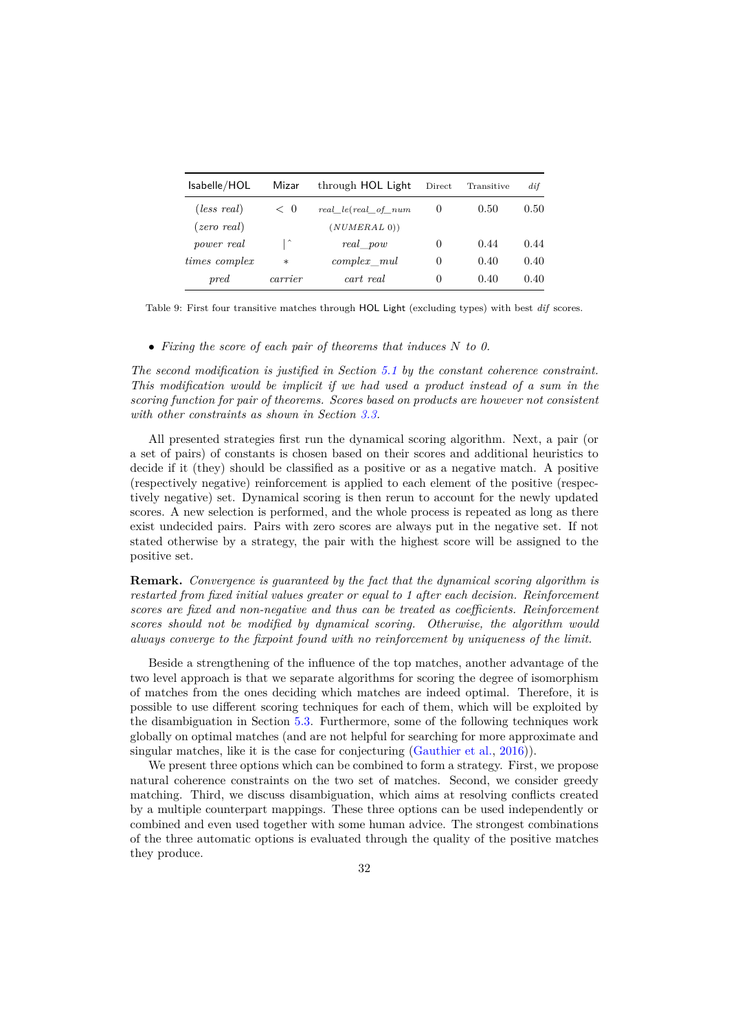| Isabelle/HOL         | Mizar   | through HOL Light         | Direct   | Transitive | $di\ddot{}$ |
|----------------------|---------|---------------------------|----------|------------|-------------|
| $(\text{less real})$ | < 0     | $real\_le (real\_of\_num$ | 0        | 0.50       | 0.50        |
| $(zero \ real)$      |         | (NUMERAL 0))              |          |            |             |
| power real           |         | real pow                  | $\theta$ | 0.44       | 0.44        |
| times complex        | $\ast$  | $complex$ $mul$           | $\theta$ | 0.40       | 0.40        |
| pred                 | carrier | cart real                 | $\theta$ | 0.40       | 0.40        |

<span id="page-31-0"></span>Table 9: First four transitive matches through HOL Light (excluding types) with best *dif* scores.

• *Fixing the score of each pair of theorems that induces N to 0.*

*The second modification is justified in Section [5.1](#page-32-0) by the constant coherence constraint. This modification would be implicit if we had used a product instead of a sum in the scoring function for pair of theorems. Scores based on products are however not consistent with other constraints as shown in Section [3.3.](#page-11-0)*

All presented strategies first run the dynamical scoring algorithm. Next, a pair (or a set of pairs) of constants is chosen based on their scores and additional heuristics to decide if it (they) should be classified as a positive or as a negative match. A positive (respectively negative) reinforcement is applied to each element of the positive (respectively negative) set. Dynamical scoring is then rerun to account for the newly updated scores. A new selection is performed, and the whole process is repeated as long as there exist undecided pairs. Pairs with zero scores are always put in the negative set. If not stated otherwise by a strategy, the pair with the highest score will be assigned to the positive set.

**Remark.** *Convergence is guaranteed by the fact that the dynamical scoring algorithm is restarted from fixed initial values greater or equal to 1 after each decision. Reinforcement scores are fixed and non-negative and thus can be treated as coefficients. Reinforcement scores should not be modified by dynamical scoring. Otherwise, the algorithm would always converge to the fixpoint found with no reinforcement by uniqueness of the limit.*

Beside a strengthening of the influence of the top matches, another advantage of the two level approach is that we separate algorithms for scoring the degree of isomorphism of matches from the ones deciding which matches are indeed optimal. Therefore, it is possible to use different scoring techniques for each of them, which will be exploited by the disambiguation in Section [5.3.](#page-33-0) Furthermore, some of the following techniques work globally on optimal matches (and are not helpful for searching for more approximate and singular matches, like it is the case for conjecturing [\(Gauthier et al.,](#page-41-6) [2016\)](#page-41-6)).

We present three options which can be combined to form a strategy. First, we propose natural coherence constraints on the two set of matches. Second, we consider greedy matching. Third, we discuss disambiguation, which aims at resolving conflicts created by a multiple counterpart mappings. These three options can be used independently or combined and even used together with some human advice. The strongest combinations of the three automatic options is evaluated through the quality of the positive matches they produce.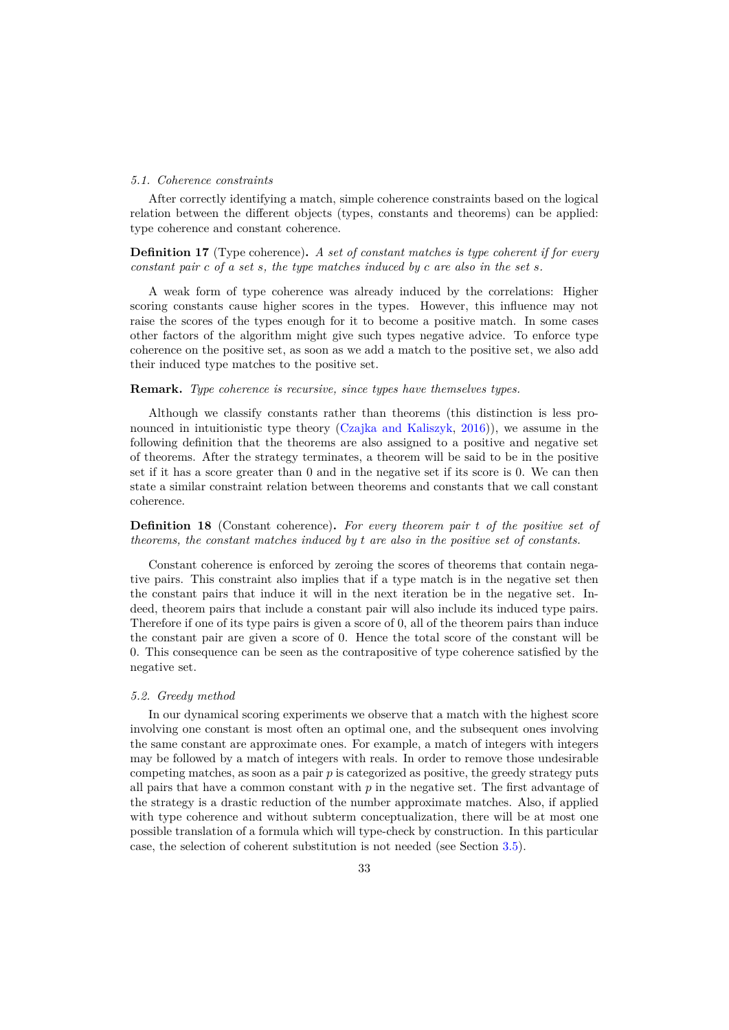# <span id="page-32-0"></span>*5.1. Coherence constraints*

After correctly identifying a match, simple coherence constraints based on the logical relation between the different objects (types, constants and theorems) can be applied: type coherence and constant coherence.

**Definition 17** (Type coherence)**.** *A set of constant matches is type coherent if for every constant pair c of a set s, the type matches induced by c are also in the set s.*

A weak form of type coherence was already induced by the correlations: Higher scoring constants cause higher scores in the types. However, this influence may not raise the scores of the types enough for it to become a positive match. In some cases other factors of the algorithm might give such types negative advice. To enforce type coherence on the positive set, as soon as we add a match to the positive set, we also add their induced type matches to the positive set.

#### **Remark.** *Type coherence is recursive, since types have themselves types.*

Although we classify constants rather than theorems (this distinction is less pronounced in intuitionistic type theory [\(Czajka and Kaliszyk,](#page-41-15) [2016\)](#page-41-15)), we assume in the following definition that the theorems are also assigned to a positive and negative set of theorems. After the strategy terminates, a theorem will be said to be in the positive set if it has a score greater than 0 and in the negative set if its score is 0. We can then state a similar constraint relation between theorems and constants that we call constant coherence.

**Definition 18** (Constant coherence)**.** *For every theorem pair t of the positive set of theorems, the constant matches induced by t are also in the positive set of constants.*

Constant coherence is enforced by zeroing the scores of theorems that contain negative pairs. This constraint also implies that if a type match is in the negative set then the constant pairs that induce it will in the next iteration be in the negative set. Indeed, theorem pairs that include a constant pair will also include its induced type pairs. Therefore if one of its type pairs is given a score of 0, all of the theorem pairs than induce the constant pair are given a score of 0. Hence the total score of the constant will be 0. This consequence can be seen as the contrapositive of type coherence satisfied by the negative set.

#### *5.2. Greedy method*

In our dynamical scoring experiments we observe that a match with the highest score involving one constant is most often an optimal one, and the subsequent ones involving the same constant are approximate ones. For example, a match of integers with integers may be followed by a match of integers with reals. In order to remove those undesirable competing matches, as soon as a pair *p* is categorized as positive, the greedy strategy puts all pairs that have a common constant with *p* in the negative set. The first advantage of the strategy is a drastic reduction of the number approximate matches. Also, if applied with type coherence and without subterm conceptualization, there will be at most one possible translation of a formula which will type-check by construction. In this particular case, the selection of coherent substitution is not needed (see Section [3.5\)](#page-14-2).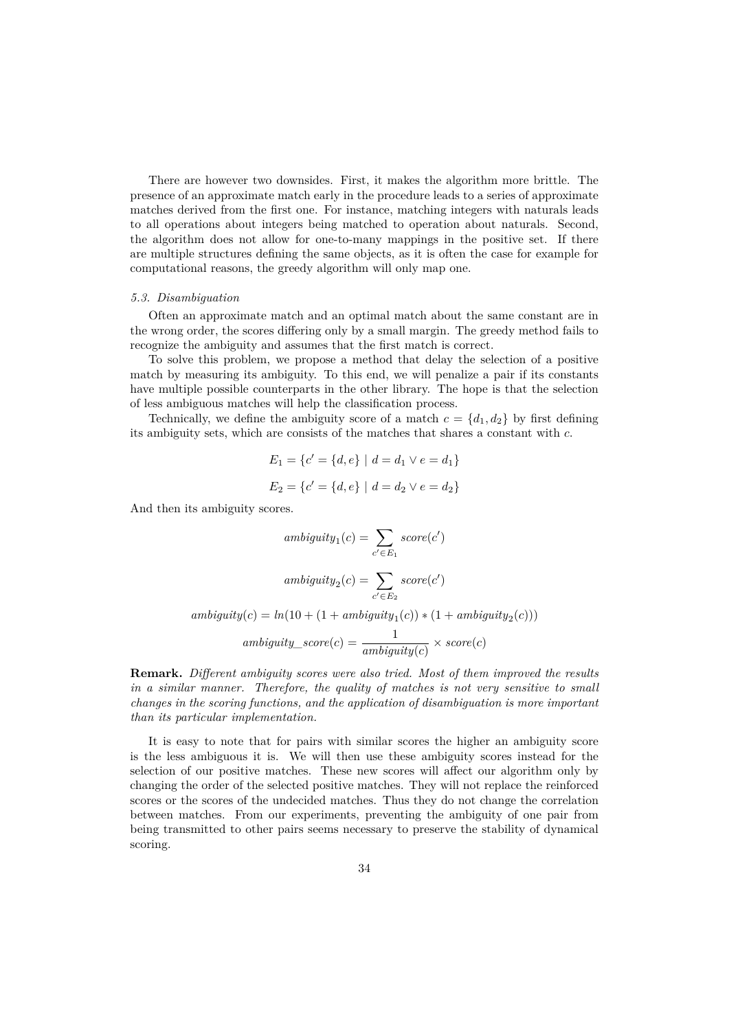There are however two downsides. First, it makes the algorithm more brittle. The presence of an approximate match early in the procedure leads to a series of approximate matches derived from the first one. For instance, matching integers with naturals leads to all operations about integers being matched to operation about naturals. Second, the algorithm does not allow for one-to-many mappings in the positive set. If there are multiple structures defining the same objects, as it is often the case for example for computational reasons, the greedy algorithm will only map one.

### <span id="page-33-0"></span>*5.3. Disambiguation*

Often an approximate match and an optimal match about the same constant are in the wrong order, the scores differing only by a small margin. The greedy method fails to recognize the ambiguity and assumes that the first match is correct.

To solve this problem, we propose a method that delay the selection of a positive match by measuring its ambiguity. To this end, we will penalize a pair if its constants have multiple possible counterparts in the other library. The hope is that the selection of less ambiguous matches will help the classification process.

Technically, we define the ambiguity score of a match  $c = \{d_1, d_2\}$  by first defining its ambiguity sets, which are consists of the matches that shares a constant with *c*.

$$
E_1 = \{c' = \{d, e\} \mid d = d_1 \lor e = d_1\}
$$
  

$$
E_2 = \{c' = \{d, e\} \mid d = d_2 \lor e = d_2\}
$$

And then its ambiguity scores.

$$
ambiguity_1(c) = \sum_{c' \in E_1} score(c')
$$
  

$$
ambiguity_2(c) = \sum_{c' \in E_2} score(c')
$$
  

$$
ambiguity(c) = ln(10 + (1 + ambiguity_1(c)) * (1 + ambiguity_2(c)))
$$

$$
ambiguity\_score(c) = \frac{1}{ambiguity(c)} \times score(c)
$$

**Remark.** *Different ambiguity scores were also tried. Most of them improved the results in a similar manner. Therefore, the quality of matches is not very sensitive to small changes in the scoring functions, and the application of disambiguation is more important than its particular implementation.*

It is easy to note that for pairs with similar scores the higher an ambiguity score is the less ambiguous it is. We will then use these ambiguity scores instead for the selection of our positive matches. These new scores will affect our algorithm only by changing the order of the selected positive matches. They will not replace the reinforced scores or the scores of the undecided matches. Thus they do not change the correlation between matches. From our experiments, preventing the ambiguity of one pair from being transmitted to other pairs seems necessary to preserve the stability of dynamical scoring.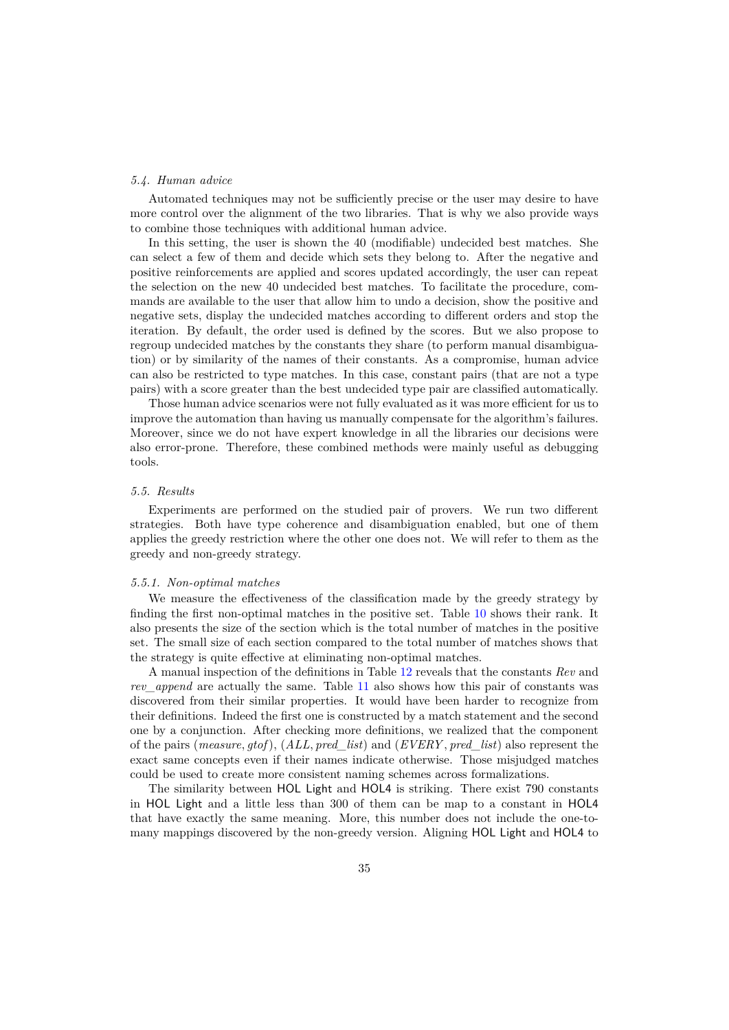### *5.4. Human advice*

Automated techniques may not be sufficiently precise or the user may desire to have more control over the alignment of the two libraries. That is why we also provide ways to combine those techniques with additional human advice.

In this setting, the user is shown the 40 (modifiable) undecided best matches. She can select a few of them and decide which sets they belong to. After the negative and positive reinforcements are applied and scores updated accordingly, the user can repeat the selection on the new 40 undecided best matches. To facilitate the procedure, commands are available to the user that allow him to undo a decision, show the positive and negative sets, display the undecided matches according to different orders and stop the iteration. By default, the order used is defined by the scores. But we also propose to regroup undecided matches by the constants they share (to perform manual disambiguation) or by similarity of the names of their constants. As a compromise, human advice can also be restricted to type matches. In this case, constant pairs (that are not a type pairs) with a score greater than the best undecided type pair are classified automatically.

Those human advice scenarios were not fully evaluated as it was more efficient for us to improve the automation than having us manually compensate for the algorithm's failures. Moreover, since we do not have expert knowledge in all the libraries our decisions were also error-prone. Therefore, these combined methods were mainly useful as debugging tools.

### *5.5. Results*

Experiments are performed on the studied pair of provers. We run two different strategies. Both have type coherence and disambiguation enabled, but one of them applies the greedy restriction where the other one does not. We will refer to them as the greedy and non-greedy strategy.

### *5.5.1. Non-optimal matches*

We measure the effectiveness of the classification made by the greedy strategy by finding the first non-optimal matches in the positive set. Table [10](#page-35-0) shows their rank. It also presents the size of the section which is the total number of matches in the positive set. The small size of each section compared to the total number of matches shows that the strategy is quite effective at eliminating non-optimal matches.

A manual inspection of the definitions in Table [12](#page-36-0) reveals that the constants *Rev* and *rev\_append* are actually the same. Table [11](#page-36-1) also shows how this pair of constants was discovered from their similar properties. It would have been harder to recognize from their definitions. Indeed the first one is constructed by a match statement and the second one by a conjunction. After checking more definitions, we realized that the component of the pairs (*measure, gtof*), (*ALL, pred\_list*) and (*EVERY , pred\_list*) also represent the exact same concepts even if their names indicate otherwise. Those misjudged matches could be used to create more consistent naming schemes across formalizations.

The similarity between HOL Light and HOL4 is striking. There exist 790 constants in HOL Light and a little less than 300 of them can be map to a constant in HOL4 that have exactly the same meaning. More, this number does not include the one-tomany mappings discovered by the non-greedy version. Aligning HOL Light and HOL4 to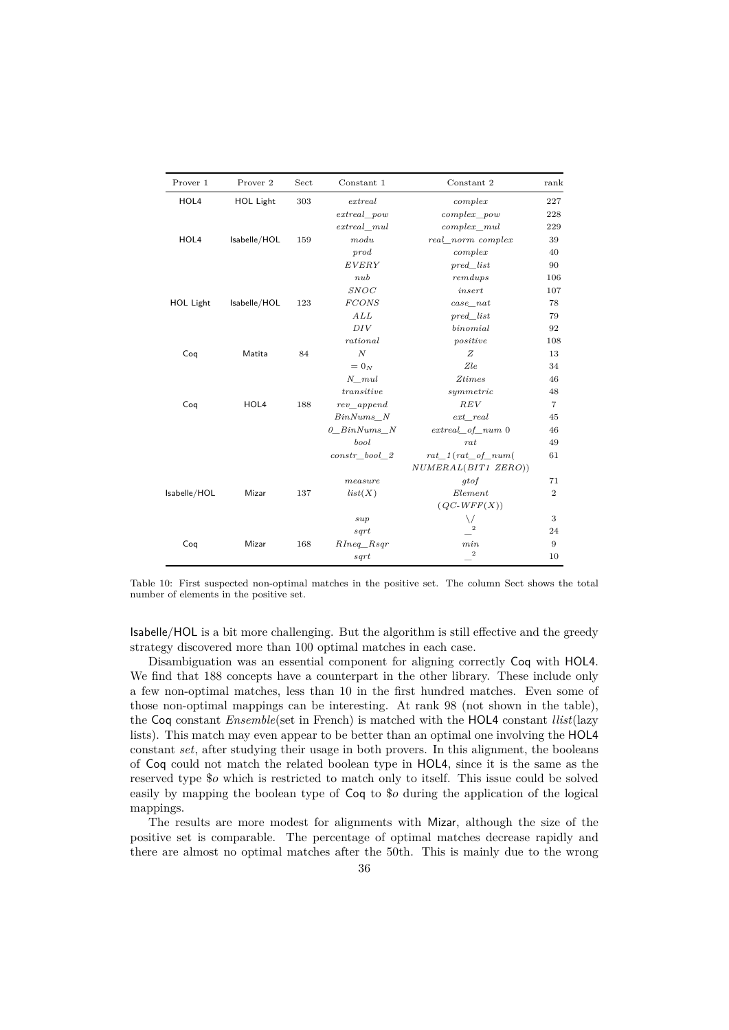| Prover 1         | Prover 2         | Sect | Constant 1         | Constant 2              | rank           |
|------------------|------------------|------|--------------------|-------------------------|----------------|
| HOL4             | <b>HOL Light</b> | 303  | extreal            | complex                 | 227            |
|                  |                  |      | extreal pow        | $complex$ $pow$         | 228            |
|                  |                  |      | $extreal$ $mul$    | $complex$ $mul$         | 229            |
| HOL4             | Isabelle/HOL     | 159  | modu               | real norm complex       | 39             |
|                  |                  |      | $_{prod}$          | complex                 | 40             |
|                  |                  |      | <b>EVERY</b>       | pred list               | 90             |
|                  |                  |      | $_{nub}$           | remdups                 | 106            |
|                  |                  |      | SNOC               | insert                  | 107            |
| <b>HOL Light</b> | Isabelle/HOL     | 123  | <b>FCONS</b>       | $case$ $nat$            | 78             |
|                  |                  |      | ALL                | pred list               | 79             |
|                  |                  |      | DIV                | binomial                | 92             |
|                  |                  |      | rational           | positive                | 108            |
| Coq              | Matita           | 84   | $\boldsymbol{N}$   | Ζ                       | 13             |
|                  |                  |      | $= 0_N$            | Zle                     | 34             |
|                  |                  |      | $N$ <sub>mul</sub> | <i>Ztimes</i>           | 46             |
|                  |                  |      | transitive         | symmetric               | 48             |
| Coq              | HOL4             | 188  | rev append         | REV                     | $\overline{7}$ |
|                  |                  |      | BinNums N          | $ext$ real              | 45             |
|                  |                  |      | 0 BinNums N        | extreal of num 0        | 46             |
|                  |                  |      | bool               | rat                     | 49             |
|                  |                  |      | constr bool 2      | $rat\_1(rat\_of\_num($  | 61             |
|                  |                  |      |                    | NUMERAL(BIT1 ZERO))     |                |
|                  |                  |      | measure            | $q\text{to}f$           | 71             |
| Isabelle/HOL     | Mizar            | 137  | list(X)            | Element                 | $\overline{2}$ |
|                  |                  |      |                    | $(QC-WFF(X))$           |                |
|                  |                  |      | sup                | \/                      | 3              |
|                  |                  |      | sqrt               | $\overline{2}$          | 24             |
| Coq              | Mizar            | 168  | RIneq Rsqr         | min                     | 9              |
|                  |                  |      | sqrt               | $\overline{\mathbf{2}}$ | 10             |

<span id="page-35-0"></span>Table 10: First suspected non-optimal matches in the positive set. The column Sect shows the total number of elements in the positive set.

Isabelle/HOL is a bit more challenging. But the algorithm is still effective and the greedy strategy discovered more than 100 optimal matches in each case.

Disambiguation was an essential component for aligning correctly Coq with HOL4. We find that 188 concepts have a counterpart in the other library. These include only a few non-optimal matches, less than 10 in the first hundred matches. Even some of those non-optimal mappings can be interesting. At rank 98 (not shown in the table), the Coq constant *Ensemble*(set in French) is matched with the HOL4 constant *llist*(lazy lists). This match may even appear to be better than an optimal one involving the HOL4 constant *set*, after studying their usage in both provers. In this alignment, the booleans of Coq could not match the related boolean type in HOL4, since it is the same as the reserved type \$*o* which is restricted to match only to itself. This issue could be solved easily by mapping the boolean type of Coq to \$*o* during the application of the logical mappings.

The results are more modest for alignments with Mizar, although the size of the positive set is comparable. The percentage of optimal matches decrease rapidly and there are almost no optimal matches after the 50th. This is mainly due to the wrong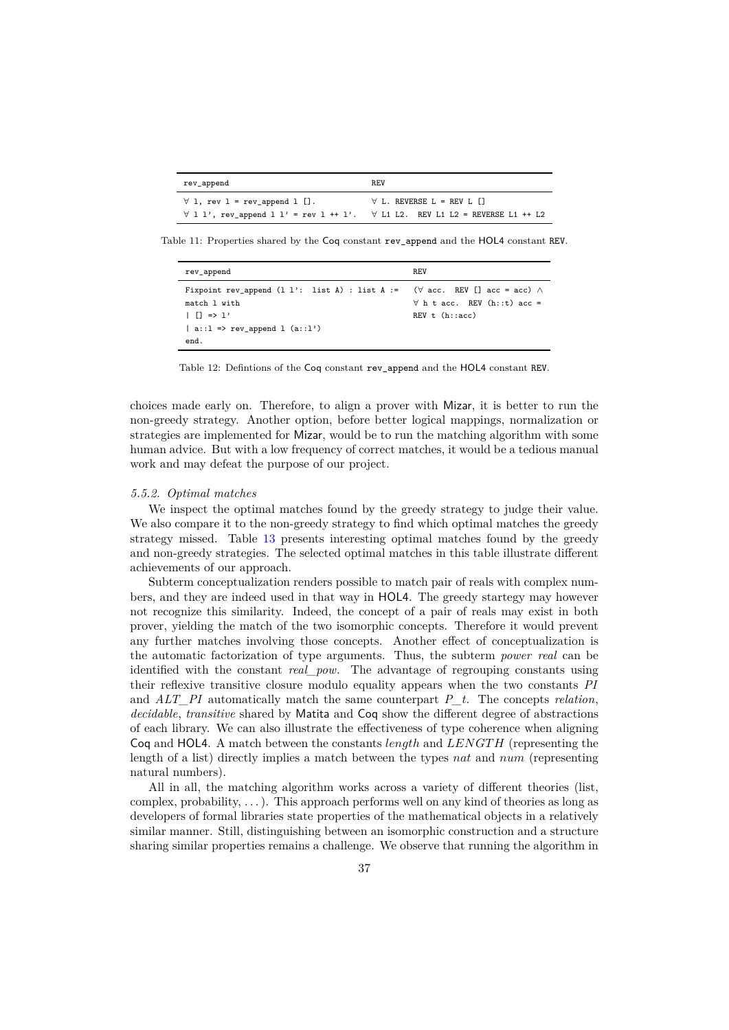| rev_append                                                                                   | <b>REV</b>                            |  |  |  |
|----------------------------------------------------------------------------------------------|---------------------------------------|--|--|--|
| $\forall$ 1, rev 1 = rev_append 1 [].                                                        | $\forall$ L. REVERSE L = REV L $\Box$ |  |  |  |
| $\forall$ 1 1', rev append 1 1' = rev 1 ++ 1'. $\forall$ L1 L2. REV L1 L2 = REVERSE L1 ++ L2 |                                       |  |  |  |

Table 11: Properties shared by the Coq constant rev append and the HOL4 constant REV.

<span id="page-36-1"></span>

| rev_append                                                                                                                                                                                                       | <b>REV</b>                                              |  |  |
|------------------------------------------------------------------------------------------------------------------------------------------------------------------------------------------------------------------|---------------------------------------------------------|--|--|
| Fixpoint rev append (1 1': list A) : list A := $(\forall \text{ acc. REV } []$ acc = acc) $\wedge$<br>match 1 with<br>$\left  \right  \left  \right  \Rightarrow 1'$<br>$ $ a::1 => rev append 1 (a::1')<br>end. | $\forall$ h t acc. REV (h::t) acc =<br>$REV t$ (h::acc) |  |  |

<span id="page-36-0"></span>Table 12: Defintions of the Coq constant rev\_append and the HOL4 constant REV.

choices made early on. Therefore, to align a prover with Mizar, it is better to run the non-greedy strategy. Another option, before better logical mappings, normalization or strategies are implemented for Mizar, would be to run the matching algorithm with some human advice. But with a low frequency of correct matches, it would be a tedious manual work and may defeat the purpose of our project.

### *5.5.2. Optimal matches*

We inspect the optimal matches found by the greedy strategy to judge their value. We also compare it to the non-greedy strategy to find which optimal matches the greedy strategy missed. Table [13](#page-37-0) presents interesting optimal matches found by the greedy and non-greedy strategies. The selected optimal matches in this table illustrate different achievements of our approach.

Subterm conceptualization renders possible to match pair of reals with complex numbers, and they are indeed used in that way in HOL4. The greedy startegy may however not recognize this similarity. Indeed, the concept of a pair of reals may exist in both prover, yielding the match of the two isomorphic concepts. Therefore it would prevent any further matches involving those concepts. Another effect of conceptualization is the automatic factorization of type arguments. Thus, the subterm *power real* can be identified with the constant *real\_pow*. The advantage of regrouping constants using their reflexive transitive closure modulo equality appears when the two constants *PI* and *ALT\_PI* automatically match the same counterpart *P\_t*. The concepts *relation*, *decidable*, *transitive* shared by Matita and Coq show the different degree of abstractions of each library. We can also illustrate the effectiveness of type coherence when aligning Coq and HOL4. A match between the constants *length* and *LENGTH* (representing the length of a list) directly implies a match between the types *nat* and *num* (representing natural numbers).

All in all, the matching algorithm works across a variety of different theories (list, complex, probability, . . . ). This approach performs well on any kind of theories as long as developers of formal libraries state properties of the mathematical objects in a relatively similar manner. Still, distinguishing between an isomorphic construction and a structure sharing similar properties remains a challenge. We observe that running the algorithm in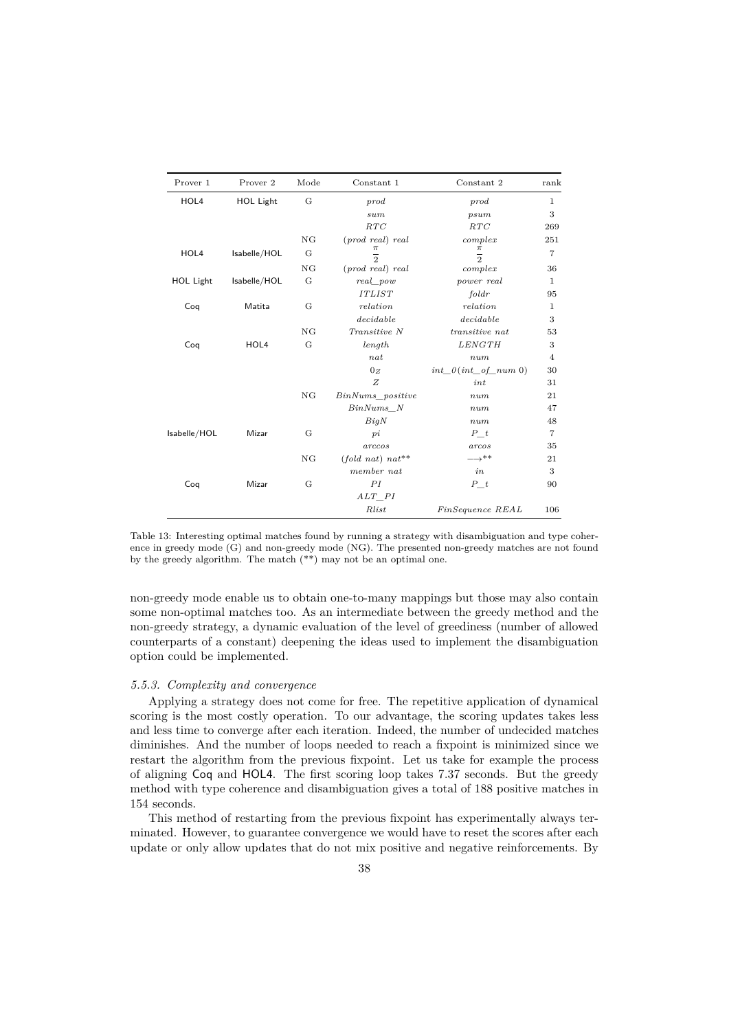| Prover 1     | Prover 2         | Mode | Constant 1             | Constant 2            | rank           |
|--------------|------------------|------|------------------------|-----------------------|----------------|
| HOL4         | <b>HOL Light</b> | G    | $_{prod}$              | prod                  | $\mathbf{1}$   |
|              |                  |      | sum                    | psum                  | 3              |
|              |                  |      | RTC                    | RTC                   | 269            |
|              |                  | NG   | $(pred \ real) \ real$ | complex               | 251            |
| HOL4         | Isabelle/HOL     | G    | $\frac{1}{2}$          | π<br>$\frac{1}{2}$    | $\overline{7}$ |
|              |                  | NG   | (pred real) real       | complex               | 36             |
| HOL Light    | Isabelle/HOL     | G    | real pow               | power real            | $\mathbf{1}$   |
|              |                  |      | <b>ITLIST</b>          | foldr                 | 95             |
| Coq          | Matita           | G    | relation               | relation              | $\mathbf 1$    |
|              |                  |      | decidable              | decidable             | 3              |
|              |                  | NG   | Transitive N           | transitive nat        | 53             |
| Coq          | HOL <sub>4</sub> | G    | length                 | <b>LENGTH</b>         | 3              |
|              |                  |      | $n$ at                 | num                   | $\overline{4}$ |
|              |                  |      | 0 <sub>z</sub>         | int $0(int of num 0)$ | 30             |
|              |                  |      | Z                      | int                   | 31             |
|              |                  | NG   | BinNums positive       | num                   | 21             |
|              |                  |      | BinNums N              | num                   | 47             |
|              |                  |      | BigN                   | num                   | 48             |
| Isabelle/HOL | Mizar            | G    | pi                     | $P_t$                 | $\overline{7}$ |
|              |                  |      | arccos                 | arcos                 | 35             |
|              |                  | NG   | $(fold nat) nat**$     | $\rightarrow$ **      | 21             |
|              |                  |      | member nat             | in                    | 3              |
| Coq          | Mizar            | G    | PI                     | $P_t$                 | 90             |
|              |                  |      | ALT PI                 |                       |                |
|              |                  |      | Rlist                  | FinSequence REAL      | 106            |

<span id="page-37-0"></span>Table 13: Interesting optimal matches found by running a strategy with disambiguation and type coherence in greedy mode (G) and non-greedy mode (NG). The presented non-greedy matches are not found by the greedy algorithm. The match (\*\*) may not be an optimal one.

non-greedy mode enable us to obtain one-to-many mappings but those may also contain some non-optimal matches too. As an intermediate between the greedy method and the non-greedy strategy, a dynamic evaluation of the level of greediness (number of allowed counterparts of a constant) deepening the ideas used to implement the disambiguation option could be implemented.

# *5.5.3. Complexity and convergence*

Applying a strategy does not come for free. The repetitive application of dynamical scoring is the most costly operation. To our advantage, the scoring updates takes less and less time to converge after each iteration. Indeed, the number of undecided matches diminishes. And the number of loops needed to reach a fixpoint is minimized since we restart the algorithm from the previous fixpoint. Let us take for example the process of aligning Coq and HOL4. The first scoring loop takes 7.37 seconds. But the greedy method with type coherence and disambiguation gives a total of 188 positive matches in 154 seconds.

This method of restarting from the previous fixpoint has experimentally always terminated. However, to guarantee convergence we would have to reset the scores after each update or only allow updates that do not mix positive and negative reinforcements. By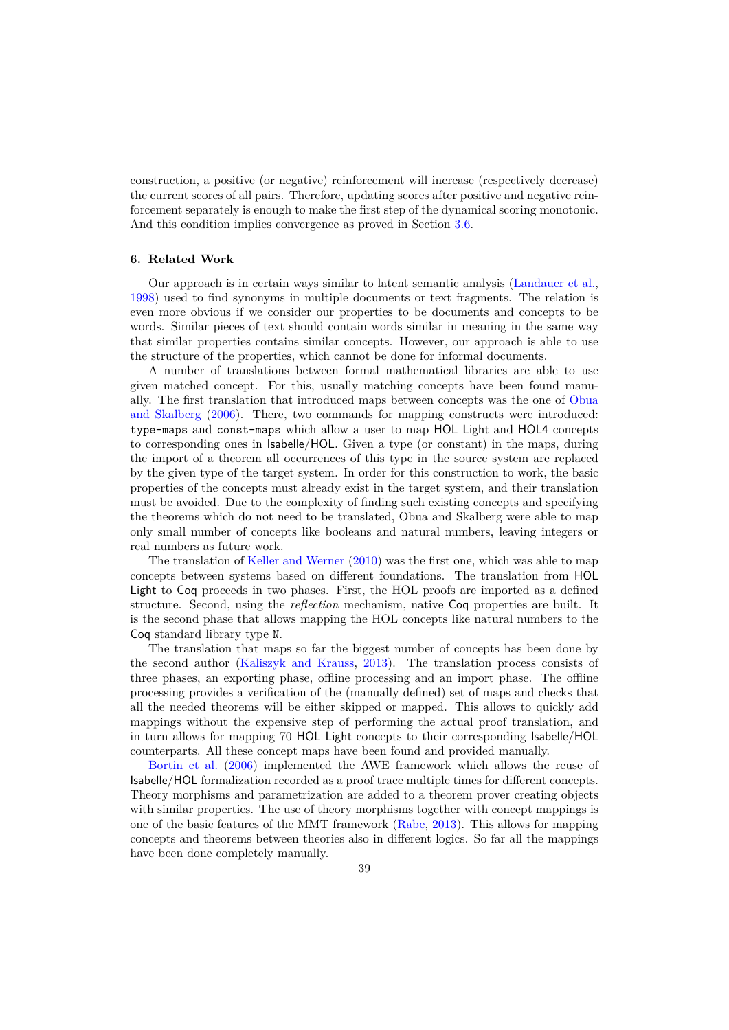construction, a positive (or negative) reinforcement will increase (respectively decrease) the current scores of all pairs. Therefore, updating scores after positive and negative reinforcement separately is enough to make the first step of the dynamical scoring monotonic. And this condition implies convergence as proved in Section [3.6.](#page-14-0)

# <span id="page-38-0"></span>**6. Related Work**

Our approach is in certain ways similar to latent semantic analysis [\(Landauer et al.,](#page-42-10) [1998\)](#page-42-10) used to find synonyms in multiple documents or text fragments. The relation is even more obvious if we consider our properties to be documents and concepts to be words. Similar pieces of text should contain words similar in meaning in the same way that similar properties contains similar concepts. However, our approach is able to use the structure of the properties, which cannot be done for informal documents.

A number of translations between formal mathematical libraries are able to use given matched concept. For this, usually matching concepts have been found manually. The first translation that introduced maps between concepts was the one of [Obua](#page-42-11) [and Skalberg](#page-42-11) [\(2006\)](#page-42-11). There, two commands for mapping constructs were introduced: type-maps and const-maps which allow a user to map HOL Light and HOL4 concepts to corresponding ones in Isabelle/HOL. Given a type (or constant) in the maps, during the import of a theorem all occurrences of this type in the source system are replaced by the given type of the target system. In order for this construction to work, the basic properties of the concepts must already exist in the target system, and their translation must be avoided. Due to the complexity of finding such existing concepts and specifying the theorems which do not need to be translated, Obua and Skalberg were able to map only small number of concepts like booleans and natural numbers, leaving integers or real numbers as future work.

The translation of [Keller and Werner](#page-42-3) [\(2010\)](#page-42-3) was the first one, which was able to map concepts between systems based on different foundations. The translation from HOL Light to Coq proceeds in two phases. First, the HOL proofs are imported as a defined structure. Second, using the *reflection* mechanism, native Coq properties are built. It is the second phase that allows mapping the HOL concepts like natural numbers to the Coq standard library type N.

The translation that maps so far the biggest number of concepts has been done by the second author [\(Kaliszyk and Krauss,](#page-42-12) [2013\)](#page-42-12). The translation process consists of three phases, an exporting phase, offline processing and an import phase. The offline processing provides a verification of the (manually defined) set of maps and checks that all the needed theorems will be either skipped or mapped. This allows to quickly add mappings without the expensive step of performing the actual proof translation, and in turn allows for mapping 70 HOL Light concepts to their corresponding Isabelle/HOL counterparts. All these concept maps have been found and provided manually.

[Bortin et al.](#page-41-16) [\(2006\)](#page-41-16) implemented the AWE framework which allows the reuse of Isabelle/HOL formalization recorded as a proof trace multiple times for different concepts. Theory morphisms and parametrization are added to a theorem prover creating objects with similar properties. The use of theory morphisms together with concept mappings is one of the basic features of the MMT framework [\(Rabe,](#page-43-12) [2013\)](#page-43-12). This allows for mapping concepts and theorems between theories also in different logics. So far all the mappings have been done completely manually.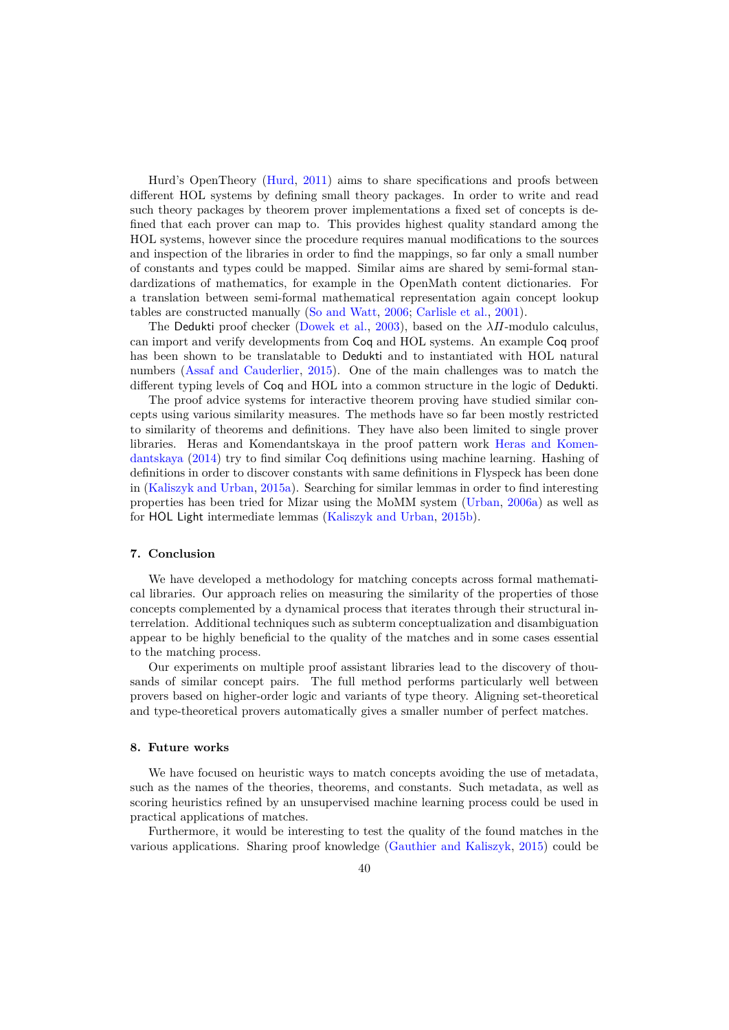Hurd's OpenTheory [\(Hurd,](#page-42-13) [2011\)](#page-42-13) aims to share specifications and proofs between different HOL systems by defining small theory packages. In order to write and read such theory packages by theorem prover implementations a fixed set of concepts is defined that each prover can map to. This provides highest quality standard among the HOL systems, however since the procedure requires manual modifications to the sources and inspection of the libraries in order to find the mappings, so far only a small number of constants and types could be mapped. Similar aims are shared by semi-formal standardizations of mathematics, for example in the OpenMath content dictionaries. For a translation between semi-formal mathematical representation again concept lookup tables are constructed manually [\(So and Watt,](#page-43-13) [2006;](#page-43-13) [Carlisle et al.,](#page-41-17) [2001\)](#page-41-17).

The Dedukti proof checker [\(Dowek et al.,](#page-41-10) [2003\)](#page-41-10), based on the *λΠ*-modulo calculus, can import and verify developments from Coq and HOL systems. An example Coq proof has been shown to be translatable to Dedukti and to instantiated with HOL natural numbers [\(Assaf and Cauderlier,](#page-40-7) [2015\)](#page-40-7). One of the main challenges was to match the different typing levels of Coq and HOL into a common structure in the logic of Dedukti.

The proof advice systems for interactive theorem proving have studied similar concepts using various similarity measures. The methods have so far been mostly restricted to similarity of theorems and definitions. They have also been limited to single prover libraries. Heras and Komendantskaya in the proof pattern work [Heras and Komen](#page-41-18)[dantskaya](#page-41-18) [\(2014\)](#page-41-18) try to find similar Coq definitions using machine learning. Hashing of definitions in order to discover constants with same definitions in Flyspeck has been done in [\(Kaliszyk and Urban,](#page-42-14) [2015a\)](#page-42-14). Searching for similar lemmas in order to find interesting properties has been tried for Mizar using the MoMM system [\(Urban,](#page-43-14) [2006a\)](#page-43-14) as well as for HOL Light intermediate lemmas [\(Kaliszyk and Urban,](#page-42-15) [2015b\)](#page-42-15).

# <span id="page-39-0"></span>**7. Conclusion**

We have developed a methodology for matching concepts across formal mathematical libraries. Our approach relies on measuring the similarity of the properties of those concepts complemented by a dynamical process that iterates through their structural interrelation. Additional techniques such as subterm conceptualization and disambiguation appear to be highly beneficial to the quality of the matches and in some cases essential to the matching process.

Our experiments on multiple proof assistant libraries lead to the discovery of thousands of similar concept pairs. The full method performs particularly well between provers based on higher-order logic and variants of type theory. Aligning set-theoretical and type-theoretical provers automatically gives a smaller number of perfect matches.

# <span id="page-39-1"></span>**8. Future works**

We have focused on heuristic ways to match concepts avoiding the use of metadata, such as the names of the theories, theorems, and constants. Such metadata, as well as scoring heuristics refined by an unsupervised machine learning process could be used in practical applications of matches.

Furthermore, it would be interesting to test the quality of the found matches in the various applications. Sharing proof knowledge [\(Gauthier and Kaliszyk,](#page-41-4) [2015\)](#page-41-4) could be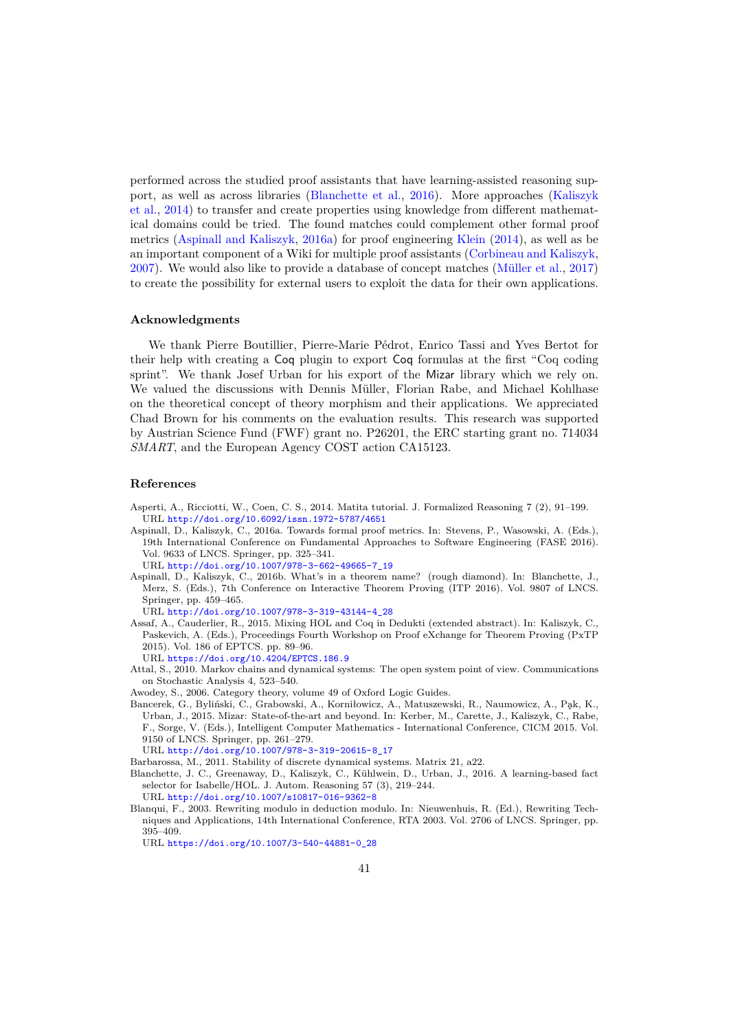performed across the studied proof assistants that have learning-assisted reasoning support, as well as across libraries [\(Blanchette et al.,](#page-40-8) [2016\)](#page-40-8). More approaches [\(Kaliszyk](#page-42-16) [et al.,](#page-42-16) [2014\)](#page-42-16) to transfer and create properties using knowledge from different mathematical domains could be tried. The found matches could complement other formal proof metrics [\(Aspinall and Kaliszyk,](#page-40-9) [2016a\)](#page-40-9) for proof engineering [Klein](#page-42-5) [\(2014\)](#page-42-5), as well as be an important component of a Wiki for multiple proof assistants [\(Corbineau and Kaliszyk,](#page-41-19) [2007\)](#page-41-19). We would also like to provide a database of concept matches [\(Müller et al.,](#page-42-17) [2017\)](#page-42-17) to create the possibility for external users to exploit the data for their own applications.

### **Acknowledgments**

We thank Pierre Boutillier, Pierre-Marie Pédrot, Enrico Tassi and Yves Bertot for their help with creating a Coq plugin to export Coq formulas at the first "Coq coding sprint". We thank Josef Urban for his export of the Mizar library which we rely on. We valued the discussions with Dennis Müller, Florian Rabe, and Michael Kohlhase on the theoretical concept of theory morphism and their applications. We appreciated Chad Brown for his comments on the evaluation results. This research was supported by Austrian Science Fund (FWF) grant no. P26201, the ERC starting grant no. 714034 *SMART*, and the European Agency COST action CA15123.

### **References**

- <span id="page-40-5"></span>Asperti, A., Ricciotti, W., Coen, C. S., 2014. Matita tutorial. J. Formalized Reasoning 7 (2), 91–199. URL <http://doi.org/10.6092/issn.1972-5787/4651>
- <span id="page-40-9"></span>Aspinall, D., Kaliszyk, C., 2016a. Towards formal proof metrics. In: Stevens, P., Wasowski, A. (Eds.), 19th International Conference on Fundamental Approaches to Software Engineering (FASE 2016). Vol. 9633 of LNCS. Springer, pp. 325–341. URL [http://doi.org/10.1007/978-3-662-49665-7\\_19](http://doi.org/10.1007/978-3-662-49665-7_19)
- <span id="page-40-6"></span>Aspinall, D., Kaliszyk, C., 2016b. What's in a theorem name? (rough diamond). In: Blanchette, J., Merz, S. (Eds.), 7th Conference on Interactive Theorem Proving (ITP 2016). Vol. 9807 of LNCS. Springer, pp. 459–465.

URL [http://doi.org/10.1007/978-3-319-43144-4\\_28](http://doi.org/10.1007/978-3-319-43144-4_28)

- <span id="page-40-7"></span>Assaf, A., Cauderlier, R., 2015. Mixing HOL and Coq in Dedukti (extended abstract). In: Kaliszyk, C., Paskevich, A. (Eds.), Proceedings Fourth Workshop on Proof eXchange for Theorem Proving (PxTP 2015). Vol. 186 of EPTCS. pp. 89–96. URL <https://doi.org/10.4204/EPTCS.186.9>
- <span id="page-40-4"></span>Attal, S., 2010. Markov chains and dynamical systems: The open system point of view. Communications on Stochastic Analysis 4, 523–540.

<span id="page-40-0"></span>Awodey, S., 2006. Category theory, volume 49 of Oxford Logic Guides.

<span id="page-40-1"></span>Bancerek, G., Byliński, C., Grabowski, A., Korniłowicz, A., Matuszewski, R., Naumowicz, A., Pak, K., Urban, J., 2015. Mizar: State-of-the-art and beyond. In: Kerber, M., Carette, J., Kaliszyk, C., Rabe, F., Sorge, V. (Eds.), Intelligent Computer Mathematics - International Conference, CICM 2015. Vol. 9150 of LNCS. Springer, pp. 261–279.

URL [http://doi.org/10.1007/978-3-319-20615-8\\_17](http://doi.org/10.1007/978-3-319-20615-8_17)

- <span id="page-40-3"></span>Barbarossa, M., 2011. Stability of discrete dynamical systems. Matrix 21, a22.
- <span id="page-40-8"></span>Blanchette, J. C., Greenaway, D., Kaliszyk, C., Kühlwein, D., Urban, J., 2016. A learning-based fact selector for Isabelle/HOL. J. Autom. Reasoning 57 (3), 219–244. URL <http://doi.org/10.1007/s10817-016-9362-8>
- <span id="page-40-2"></span>Blanqui, F., 2003. Rewriting modulo in deduction modulo. In: Nieuwenhuis, R. (Ed.), Rewriting Techniques and Applications, 14th International Conference, RTA 2003. Vol. 2706 of LNCS. Springer, pp. 395–409.

URL [https://doi.org/10.1007/3-540-44881-0\\_28](https://doi.org/10.1007/3-540-44881-0_28)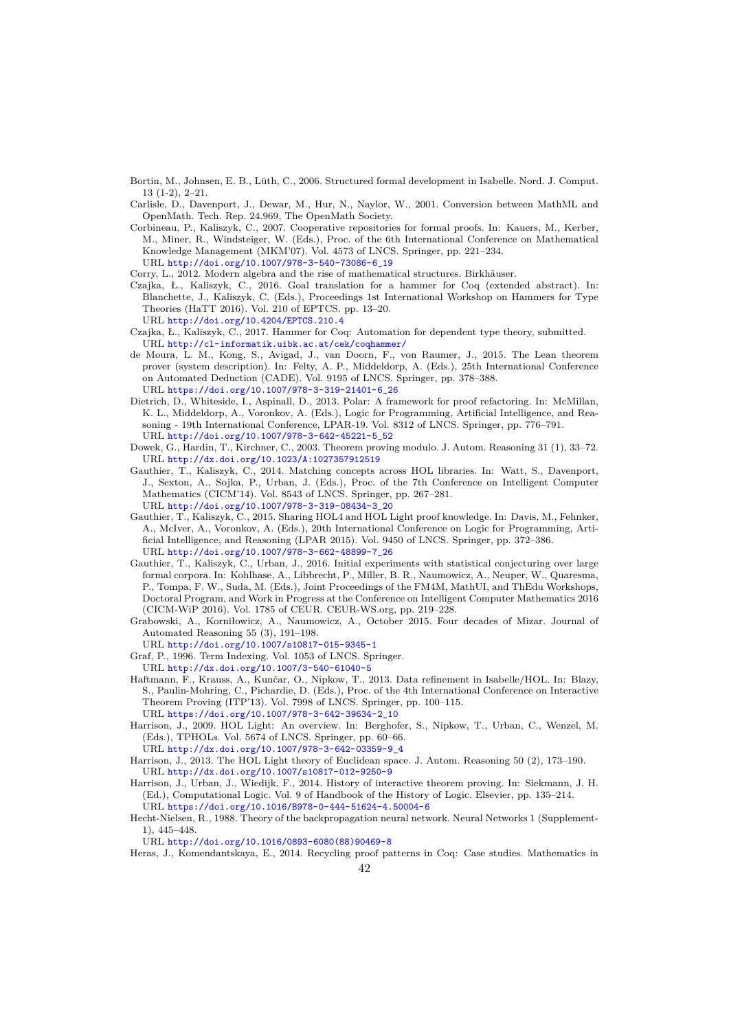<span id="page-41-16"></span>Bortin, M., Johnsen, E. B., Lüth, C., 2006. Structured formal development in Isabelle. Nord. J. Comput. 13 (1-2), 2–21.

<span id="page-41-17"></span>Carlisle, D., Davenport, J., Dewar, M., Hur, N., Naylor, W., 2001. Conversion between MathML and OpenMath. Tech. Rep. 24.969, The OpenMath Society.

<span id="page-41-19"></span>Corbineau, P., Kaliszyk, C., 2007. Cooperative repositories for formal proofs. In: Kauers, M., Kerber, M., Miner, R., Windsteiger, W. (Eds.), Proc. of the 6th International Conference on Mathematical Knowledge Management (MKM'07). Vol. 4573 of LNCS. Springer, pp. 221–234. URL [http://doi.org/10.1007/978-3-540-73086-6\\_19](http://doi.org/10.1007/978-3-540-73086-6_19)

<span id="page-41-1"></span>Corry, L., 2012. Modern algebra and the rise of mathematical structures. Birkhäuser.

- <span id="page-41-15"></span>Czajka, Ł., Kaliszyk, C., 2016. Goal translation for a hammer for Coq (extended abstract). In: Blanchette, J., Kaliszyk, C. (Eds.), Proceedings 1st International Workshop on Hammers for Type Theories (HaTT 2016). Vol. 210 of EPTCS. pp. 13–20. URL <http://doi.org/10.4204/EPTCS.210.4>
- <span id="page-41-14"></span>Czajka, Ł., Kaliszyk, C., 2017. Hammer for Coq: Automation for dependent type theory, submitted. URL <http://cl-informatik.uibk.ac.at/cek/coqhammer/>
- <span id="page-41-5"></span>de Moura, L. M., Kong, S., Avigad, J., van Doorn, F., von Raumer, J., 2015. The Lean theorem prover (system description). In: Felty, A. P., Middeldorp, A. (Eds.), 25th International Conference on Automated Deduction (CADE). Vol. 9195 of LNCS. Springer, pp. 378–388. URL [https://doi.org/10.1007/978-3-319-21401-6\\_26](https://doi.org/10.1007/978-3-319-21401-6_26)
- <span id="page-41-7"></span>Dietrich, D., Whiteside, I., Aspinall, D., 2013. Polar: A framework for proof refactoring. In: McMillan, K. L., Middeldorp, A., Voronkov, A. (Eds.), Logic for Programming, Artificial Intelligence, and Reasoning - 19th International Conference, LPAR-19. Vol. 8312 of LNCS. Springer, pp. 776–791. URL [http://doi.org/10.1007/978-3-642-45221-5\\_52](http://doi.org/10.1007/978-3-642-45221-5_52)
- <span id="page-41-10"></span>Dowek, G., Hardin, T., Kirchner, C., 2003. Theorem proving modulo. J. Autom. Reasoning 31 (1), 33–72. URL <http://dx.doi.org/10.1023/A:1027357912519>
- <span id="page-41-8"></span>Gauthier, T., Kaliszyk, C., 2014. Matching concepts across HOL libraries. In: Watt, S., Davenport, J., Sexton, A., Sojka, P., Urban, J. (Eds.), Proc. of the 7th Conference on Intelligent Computer Mathematics (CICM'14). Vol. 8543 of LNCS. Springer, pp. 267–281. URL [http://doi.org/10.1007/978-3-319-08434-3\\_20](http://doi.org/10.1007/978-3-319-08434-3_20)
- <span id="page-41-4"></span>Gauthier, T., Kaliszyk, C., 2015. Sharing HOL4 and HOL Light proof knowledge. In: Davis, M., Fehnker, A., McIver, A., Voronkov, A. (Eds.), 20th International Conference on Logic for Programming, Artificial Intelligence, and Reasoning (LPAR 2015). Vol. 9450 of LNCS. Springer, pp. 372–386. URL [http://doi.org/10.1007/978-3-662-48899-7\\_26](http://doi.org/10.1007/978-3-662-48899-7_26)
- <span id="page-41-6"></span>Gauthier, T., Kaliszyk, C., Urban, J., 2016. Initial experiments with statistical conjecturing over large formal corpora. In: Kohlhase, A., Libbrecht, P., Miller, B. R., Naumowicz, A., Neuper, W., Quaresma, P., Tompa, F. W., Suda, M. (Eds.), Joint Proceedings of the FM4M, MathUI, and ThEdu Workshops, Doctoral Program, and Work in Progress at the Conference on Intelligent Computer Mathematics 2016 (CICM-WiP 2016). Vol. 1785 of CEUR. CEUR-WS.org, pp. 219–228.
- <span id="page-41-3"></span>Grabowski, A., Korniłowicz, A., Naumowicz, A., October 2015. Four decades of Mizar. Journal of Automated Reasoning 55 (3), 191–198.
- URL <http://doi.org/10.1007/s10817-015-9345-1>
- <span id="page-41-9"></span>Graf, P., 1996. Term Indexing. Vol. 1053 of LNCS. Springer.
- URL <http://dx.doi.org/10.1007/3-540-61040-5>
- <span id="page-41-2"></span>Haftmann, F., Krauss, A., Kunčar, O., Nipkow, T., 2013. Data refinement in Isabelle/HOL. In: Blazy, S., Paulin-Mohring, C., Pichardie, D. (Eds.), Proc. of the 4th International Conference on Interactive Theorem Proving (ITP'13). Vol. 7998 of LNCS. Springer, pp. 100–115. URL [https://doi.org/10.1007/978-3-642-39634-2\\_10](https://doi.org/10.1007/978-3-642-39634-2_10)
- <span id="page-41-12"></span>Harrison, J., 2009. HOL Light: An overview. In: Berghofer, S., Nipkow, T., Urban, C., Wenzel, M. (Eds.), TPHOLs. Vol. 5674 of LNCS. Springer, pp. 60–66.
	- URL [http://dx.doi.org/10.1007/978-3-642-03359-9\\_4](http://dx.doi.org/10.1007/978-3-642-03359-9_4)
- <span id="page-41-13"></span>Harrison, J., 2013. The HOL Light theory of Euclidean space. J. Autom. Reasoning 50 (2), 173–190. URL <http://dx.doi.org/10.1007/s10817-012-9250-9>
- <span id="page-41-0"></span>Harrison, J., Urban, J., Wiedijk, F., 2014. History of interactive theorem proving. In: Siekmann, J. H. (Ed.), Computational Logic. Vol. 9 of Handbook of the History of Logic. Elsevier, pp. 135–214. URL <https://doi.org/10.1016/B978-0-444-51624-4.50004-6>
- <span id="page-41-11"></span>Hecht-Nielsen, R., 1988. Theory of the backpropagation neural network. Neural Networks 1 (Supplement-1), 445–448. URL [http://doi.org/10.1016/0893-6080\(88\)90469-8](http://doi.org/10.1016/0893-6080(88)90469-8)

<span id="page-41-18"></span>Heras, J., Komendantskaya, E., 2014. Recycling proof patterns in Coq: Case studies. Mathematics in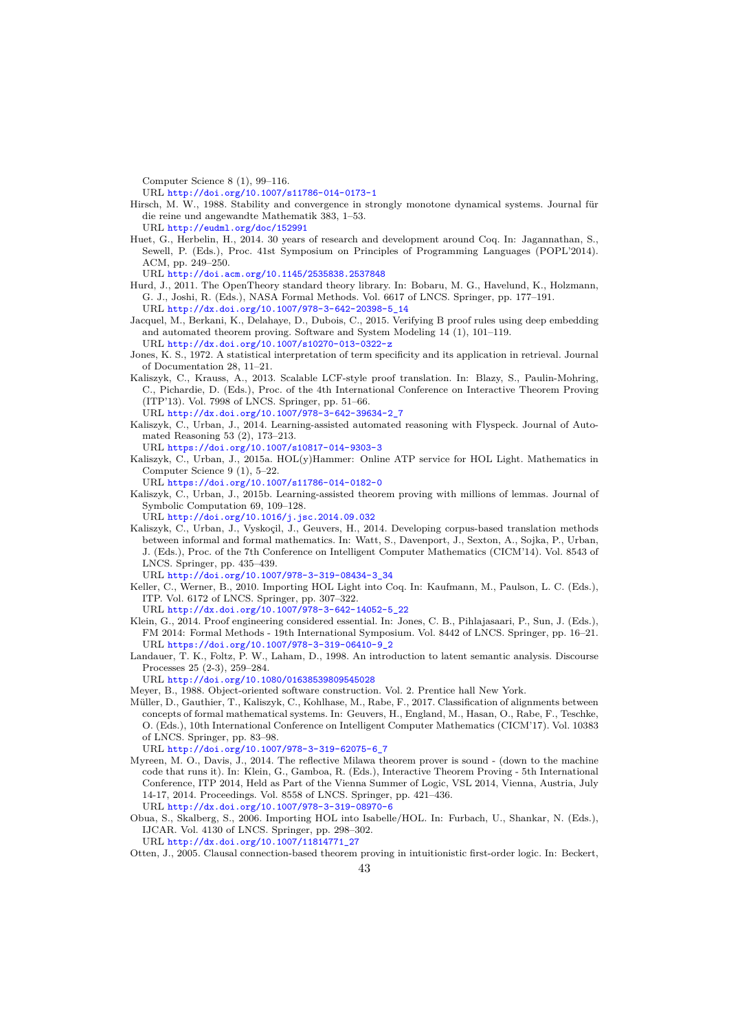Computer Science 8 (1), 99–116.

URL <http://doi.org/10.1007/s11786-014-0173-1>

<span id="page-42-8"></span>Hirsch, M. W., 1988. Stability and convergence in strongly monotone dynamical systems. Journal für die reine und angewandte Mathematik 383, 1–53.

URL <http://eudml.org/doc/152991>

<span id="page-42-9"></span>Huet, G., Herbelin, H., 2014. 30 years of research and development around Coq. In: Jagannathan, S., Sewell, P. (Eds.), Proc. 41st Symposium on Principles of Programming Languages (POPL'2014). ACM, pp. 249–250.

URL <http://doi.acm.org/10.1145/2535838.2537848>

- <span id="page-42-13"></span>Hurd, J., 2011. The OpenTheory standard theory library. In: Bobaru, M. G., Havelund, K., Holzmann, G. J., Joshi, R. (Eds.), NASA Formal Methods. Vol. 6617 of LNCS. Springer, pp. 177–191. URL [http://dx.doi.org/10.1007/978-3-642-20398-5\\_14](http://dx.doi.org/10.1007/978-3-642-20398-5_14)
- <span id="page-42-1"></span>Jacquel, M., Berkani, K., Delahaye, D., Dubois, C., 2015. Verifying B proof rules using deep embedding and automated theorem proving. Software and System Modeling 14 (1), 101–119. URL <http://dx.doi.org/10.1007/s10270-013-0322-z>

<span id="page-42-7"></span>Jones, K. S., 1972. A statistical interpretation of term specificity and its application in retrieval. Journal of Documentation 28, 11–21.

- <span id="page-42-12"></span>Kaliszyk, C., Krauss, A., 2013. Scalable LCF-style proof translation. In: Blazy, S., Paulin-Mohring, C., Pichardie, D. (Eds.), Proc. of the 4th International Conference on Interactive Theorem Proving (ITP'13). Vol. 7998 of LNCS. Springer, pp. 51–66. URL [http://dx.doi.org/10.1007/978-3-642-39634-2\\_7](http://dx.doi.org/10.1007/978-3-642-39634-2_7)
- <span id="page-42-4"></span>Kaliszyk, C., Urban, J., 2014. Learning-assisted automated reasoning with Flyspeck. Journal of Automated Reasoning 53 (2), 173–213.

URL <https://doi.org/10.1007/s10817-014-9303-3>

<span id="page-42-14"></span>Kaliszyk, C., Urban, J., 2015a. HOL(y)Hammer: Online ATP service for HOL Light. Mathematics in Computer Science 9 (1), 5–22.

URL <https://doi.org/10.1007/s11786-014-0182-0>

- <span id="page-42-15"></span>Kaliszyk, C., Urban, J., 2015b. Learning-assisted theorem proving with millions of lemmas. Journal of Symbolic Computation 69, 109–128.
- URL <http://doi.org/10.1016/j.jsc.2014.09.032>
- <span id="page-42-16"></span>Kaliszyk, C., Urban, J., Vyskoçil, J., Geuvers, H., 2014. Developing corpus-based translation methods between informal and formal mathematics. In: Watt, S., Davenport, J., Sexton, A., Sojka, P., Urban, J. (Eds.), Proc. of the 7th Conference on Intelligent Computer Mathematics (CICM'14). Vol. 8543 of LNCS. Springer, pp. 435–439.

URL [http://doi.org/10.1007/978-3-319-08434-3\\_34](http://doi.org/10.1007/978-3-319-08434-3_34)

<span id="page-42-3"></span>Keller, C., Werner, B., 2010. Importing HOL Light into Coq. In: Kaufmann, M., Paulson, L. C. (Eds.), ITP. Vol. 6172 of LNCS. Springer, pp. 307–322.

URL [http://dx.doi.org/10.1007/978-3-642-14052-5\\_22](http://dx.doi.org/10.1007/978-3-642-14052-5_22)

- <span id="page-42-5"></span>Klein, G., 2014. Proof engineering considered essential. In: Jones, C. B., Pihlajasaari, P., Sun, J. (Eds.), FM 2014: Formal Methods - 19th International Symposium. Vol. 8442 of LNCS. Springer, pp. 16–21. URL [https://doi.org/10.1007/978-3-319-06410-9\\_2](https://doi.org/10.1007/978-3-319-06410-9_2)
- <span id="page-42-10"></span>Landauer, T. K., Foltz, P. W., Laham, D., 1998. An introduction to latent semantic analysis. Discourse Processes 25 (2-3), 259–284.

URL <http://doi.org/10.1080/01638539809545028>

<span id="page-42-0"></span>Meyer, B., 1988. Object-oriented software construction. Vol. 2. Prentice hall New York.

<span id="page-42-17"></span>Müller, D., Gauthier, T., Kaliszyk, C., Kohlhase, M., Rabe, F., 2017. Classification of alignments between concepts of formal mathematical systems. In: Geuvers, H., England, M., Hasan, O., Rabe, F., Teschke, O. (Eds.), 10th International Conference on Intelligent Computer Mathematics (CICM'17). Vol. 10383 of LNCS. Springer, pp. 83–98.

URL [http://doi.org/10.1007/978-3-319-62075-6\\_7](http://doi.org/10.1007/978-3-319-62075-6_7)

- <span id="page-42-2"></span>Myreen, M. O., Davis, J., 2014. The reflective Milawa theorem prover is sound - (down to the machine code that runs it). In: Klein, G., Gamboa, R. (Eds.), Interactive Theorem Proving - 5th International Conference, ITP 2014, Held as Part of the Vienna Summer of Logic, VSL 2014, Vienna, Austria, July 14-17, 2014. Proceedings. Vol. 8558 of LNCS. Springer, pp. 421–436. URL <http://dx.doi.org/10.1007/978-3-319-08970-6>
- <span id="page-42-11"></span>Obua, S., Skalberg, S., 2006. Importing HOL into Isabelle/HOL. In: Furbach, U., Shankar, N. (Eds.), IJCAR. Vol. 4130 of LNCS. Springer, pp. 298–302. URL [http://dx.doi.org/10.1007/11814771\\_27](http://dx.doi.org/10.1007/11814771_27)

<span id="page-42-6"></span>Otten, J., 2005. Clausal connection-based theorem proving in intuitionistic first-order logic. In: Beckert,